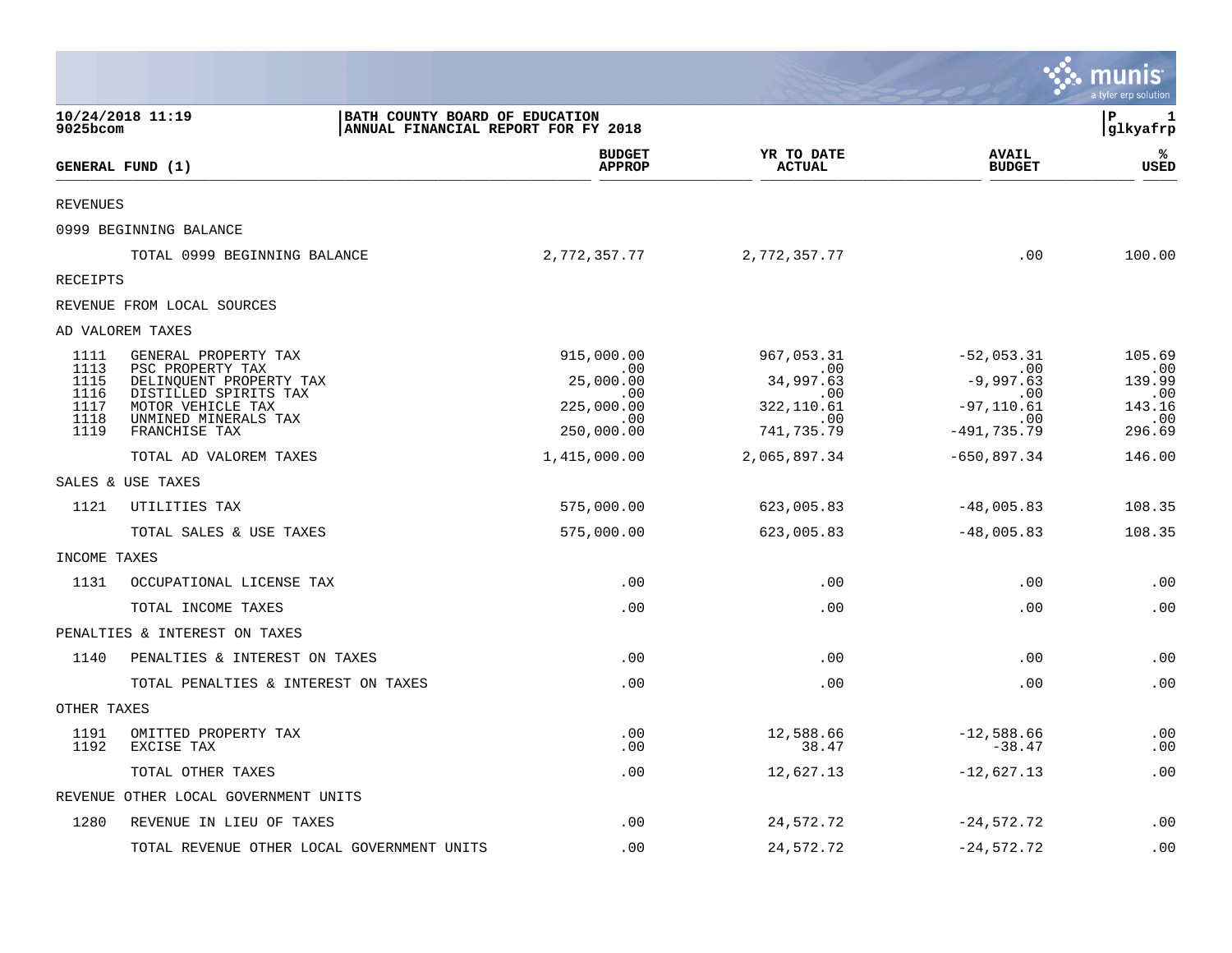|                                                      |                                                                                                                                                            |                                                                          |                                                                                                    |                                                                                                       | munis<br>a tyler erp solution                             |
|------------------------------------------------------|------------------------------------------------------------------------------------------------------------------------------------------------------------|--------------------------------------------------------------------------|----------------------------------------------------------------------------------------------------|-------------------------------------------------------------------------------------------------------|-----------------------------------------------------------|
| 9025bcom                                             | 10/24/2018 11:19                                                                                                                                           | BATH COUNTY BOARD OF EDUCATION<br>ANNUAL FINANCIAL REPORT FOR FY 2018    |                                                                                                    |                                                                                                       | P<br>-1<br>glkyafrp                                       |
|                                                      | GENERAL FUND (1)                                                                                                                                           | <b>BUDGET</b><br><b>APPROP</b>                                           | YR TO DATE<br><b>ACTUAL</b>                                                                        | <b>AVAIL</b><br><b>BUDGET</b>                                                                         | %<br>USED                                                 |
| <b>REVENUES</b>                                      |                                                                                                                                                            |                                                                          |                                                                                                    |                                                                                                       |                                                           |
|                                                      | 0999 BEGINNING BALANCE                                                                                                                                     |                                                                          |                                                                                                    |                                                                                                       |                                                           |
|                                                      | TOTAL 0999 BEGINNING BALANCE                                                                                                                               | 2,772,357.77                                                             | 2,772,357.77                                                                                       | .00                                                                                                   | 100.00                                                    |
| <b>RECEIPTS</b>                                      |                                                                                                                                                            |                                                                          |                                                                                                    |                                                                                                       |                                                           |
|                                                      | REVENUE FROM LOCAL SOURCES                                                                                                                                 |                                                                          |                                                                                                    |                                                                                                       |                                                           |
|                                                      | AD VALOREM TAXES                                                                                                                                           |                                                                          |                                                                                                    |                                                                                                       |                                                           |
| 1111<br>1113<br>1115<br>1116<br>1117<br>1118<br>1119 | GENERAL PROPERTY TAX<br>PSC PROPERTY TAX<br>DELINQUENT PROPERTY TAX<br>DISTILLED SPIRITS TAX<br>MOTOR VEHICLE TAX<br>UNMINED MINERALS TAX<br>FRANCHISE TAX | 915,000.00<br>.00<br>25,000.00<br>.00<br>225,000.00<br>.00<br>250,000.00 | 967,053.31<br>$\overline{\phantom{0}}$ .00<br>34,997.63<br>.00<br>322, 110.61<br>.00<br>741,735.79 | $-52,053.31$<br>$\sim$ 00<br>$-9,997.63$<br>.00<br>$-97, 110.61$<br>$\overline{00}$<br>$-491, 735.79$ | 105.69<br>.00<br>139.99<br>.00<br>143.16<br>.00<br>296.69 |
|                                                      | TOTAL AD VALOREM TAXES                                                                                                                                     | 1,415,000.00                                                             | 2,065,897.34                                                                                       | $-650,897.34$                                                                                         | 146.00                                                    |
|                                                      | SALES & USE TAXES                                                                                                                                          |                                                                          |                                                                                                    |                                                                                                       |                                                           |
| 1121                                                 | UTILITIES TAX                                                                                                                                              | 575,000.00                                                               | 623,005.83                                                                                         | $-48,005.83$                                                                                          | 108.35                                                    |
|                                                      | TOTAL SALES & USE TAXES                                                                                                                                    | 575,000.00                                                               | 623,005.83                                                                                         | $-48,005.83$                                                                                          | 108.35                                                    |
| INCOME TAXES                                         |                                                                                                                                                            |                                                                          |                                                                                                    |                                                                                                       |                                                           |
| 1131                                                 | OCCUPATIONAL LICENSE TAX                                                                                                                                   | .00                                                                      | .00                                                                                                | .00                                                                                                   | .00                                                       |
|                                                      | TOTAL INCOME TAXES                                                                                                                                         | .00                                                                      | .00                                                                                                | .00                                                                                                   | .00                                                       |
|                                                      | PENALTIES & INTEREST ON TAXES                                                                                                                              |                                                                          |                                                                                                    |                                                                                                       |                                                           |
| 1140                                                 | PENALTIES & INTEREST ON TAXES                                                                                                                              | .00                                                                      | .00                                                                                                | .00                                                                                                   | .00                                                       |
|                                                      | TOTAL PENALTIES & INTEREST ON TAXES                                                                                                                        | .00                                                                      | .00                                                                                                | .00                                                                                                   | .00                                                       |
| OTHER TAXES                                          |                                                                                                                                                            |                                                                          |                                                                                                    |                                                                                                       |                                                           |
| 1191<br>1192                                         | OMITTED PROPERTY TAX<br>EXCISE TAX                                                                                                                         | .00<br>.00.                                                              | 12,588.66<br>38.47                                                                                 | $-12,588.66$<br>$-38.47$                                                                              | .00<br>.00                                                |
|                                                      | TOTAL OTHER TAXES                                                                                                                                          | .00                                                                      | 12,627.13                                                                                          | $-12,627.13$                                                                                          | .00                                                       |
|                                                      | REVENUE OTHER LOCAL GOVERNMENT UNITS                                                                                                                       |                                                                          |                                                                                                    |                                                                                                       |                                                           |
| 1280                                                 | REVENUE IN LIEU OF TAXES                                                                                                                                   | .00                                                                      | 24,572.72                                                                                          | $-24,572.72$                                                                                          | .00                                                       |
|                                                      | TOTAL REVENUE OTHER LOCAL GOVERNMENT UNITS                                                                                                                 | .00                                                                      | 24,572.72                                                                                          | $-24,572.72$                                                                                          | .00                                                       |

 $\mathcal{L}^{\text{max}}$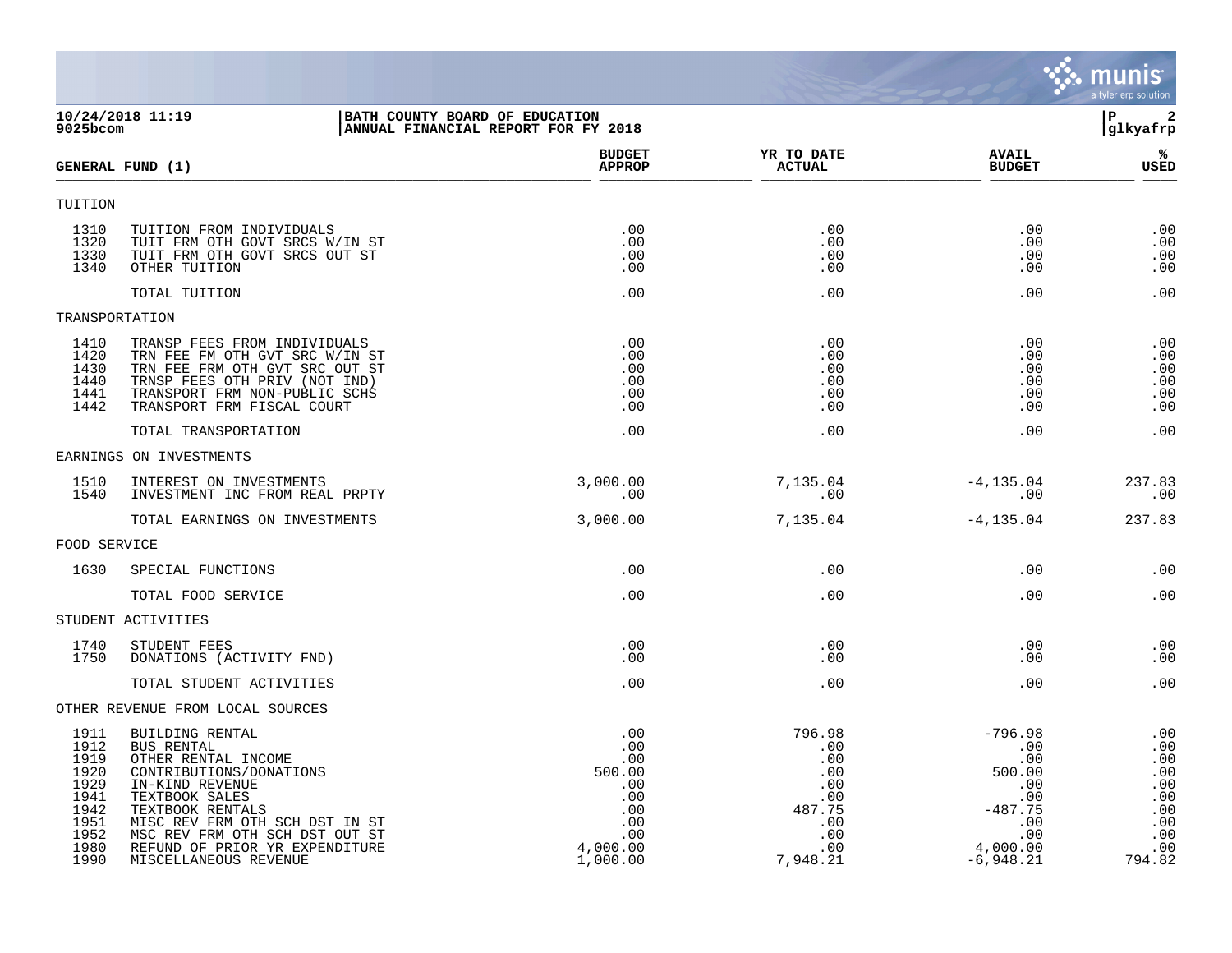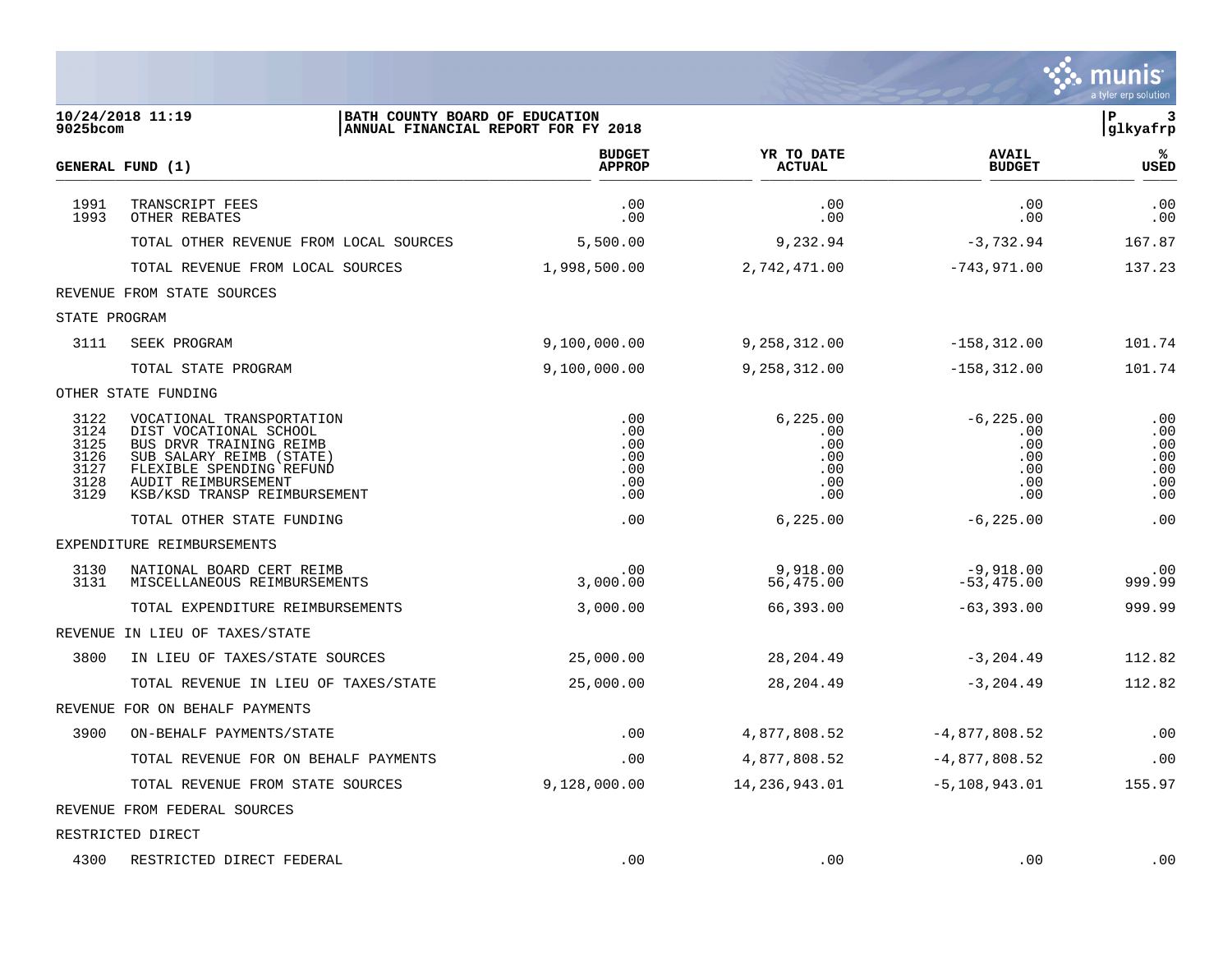|                                                      |                                                                                                                                                                                               |                                               |                                                     |                                                        | a tyler erp solution                          |
|------------------------------------------------------|-----------------------------------------------------------------------------------------------------------------------------------------------------------------------------------------------|-----------------------------------------------|-----------------------------------------------------|--------------------------------------------------------|-----------------------------------------------|
| 9025bcom                                             | 10/24/2018 11:19<br>BATH COUNTY BOARD OF EDUCATION<br>ANNUAL FINANCIAL REPORT FOR FY 2018                                                                                                     |                                               |                                                     |                                                        | P<br>3<br>glkyafrp                            |
|                                                      | GENERAL FUND (1)                                                                                                                                                                              | <b>BUDGET</b><br><b>APPROP</b>                | YR TO DATE<br><b>ACTUAL</b>                         | <b>AVAIL</b><br><b>BUDGET</b>                          | ℁<br>USED                                     |
| 1991<br>1993                                         | TRANSCRIPT FEES<br>OTHER REBATES                                                                                                                                                              | .00<br>.00                                    | .00<br>.00                                          | .00<br>.00                                             | .00<br>.00                                    |
|                                                      | TOTAL OTHER REVENUE FROM LOCAL SOURCES                                                                                                                                                        | 5,500.00                                      | 9,232.94                                            | $-3,732.94$                                            | 167.87                                        |
|                                                      | TOTAL REVENUE FROM LOCAL SOURCES                                                                                                                                                              | 1,998,500.00                                  | 2,742,471.00                                        | $-743,971.00$                                          | 137.23                                        |
|                                                      | REVENUE FROM STATE SOURCES                                                                                                                                                                    |                                               |                                                     |                                                        |                                               |
| STATE PROGRAM                                        |                                                                                                                                                                                               |                                               |                                                     |                                                        |                                               |
| 3111                                                 | SEEK PROGRAM                                                                                                                                                                                  | 9,100,000.00                                  | 9,258,312.00                                        | $-158, 312.00$                                         | 101.74                                        |
|                                                      | TOTAL STATE PROGRAM                                                                                                                                                                           | 9,100,000.00                                  | 9,258,312.00                                        | $-158, 312.00$                                         | 101.74                                        |
|                                                      | OTHER STATE FUNDING                                                                                                                                                                           |                                               |                                                     |                                                        |                                               |
| 3122<br>3124<br>3125<br>3126<br>3127<br>3128<br>3129 | VOCATIONAL TRANSPORTATION<br>DIST VOCATIONAL SCHOOL<br>BUS DRVR TRAINING REIMB<br>SUB SALARY REIMB (STATE)<br>FLEXIBLE SPENDING REFUND<br>AUDIT REIMBURSEMENT<br>KSB/KSD TRANSP REIMBURSEMENT | .00<br>.00<br>.00<br>.00<br>.00<br>.00<br>.00 | 6, 225.00<br>.00<br>.00<br>.00<br>.00<br>.00<br>.00 | $-6, 225.00$<br>.00<br>.00<br>.00<br>.00<br>.00<br>.00 | .00<br>.00<br>.00<br>.00<br>.00<br>.00<br>.00 |
|                                                      | TOTAL OTHER STATE FUNDING                                                                                                                                                                     | .00                                           | 6, 225.00                                           | $-6, 225.00$                                           | .00                                           |
|                                                      | EXPENDITURE REIMBURSEMENTS                                                                                                                                                                    |                                               |                                                     |                                                        |                                               |
| 3130<br>3131                                         | NATIONAL BOARD CERT REIMB<br>MISCELLANEOUS REIMBURSEMENTS                                                                                                                                     | .00<br>3,000.00                               | 9,918.00<br>56,475.00                               | $-9,918.00$<br>$-53,475.00$                            | .00<br>999.99                                 |
|                                                      | TOTAL EXPENDITURE REIMBURSEMENTS                                                                                                                                                              | 3,000.00                                      | 66,393.00                                           | $-63,393.00$                                           | 999.99                                        |
|                                                      | REVENUE IN LIEU OF TAXES/STATE                                                                                                                                                                |                                               |                                                     |                                                        |                                               |
| 3800                                                 | IN LIEU OF TAXES/STATE SOURCES                                                                                                                                                                | 25,000.00                                     | 28, 204.49                                          | $-3, 204.49$                                           | 112.82                                        |
|                                                      | TOTAL REVENUE IN LIEU OF TAXES/STATE                                                                                                                                                          | 25,000.00                                     | 28, 204.49                                          | $-3, 204.49$                                           | 112.82                                        |
|                                                      | REVENUE FOR ON BEHALF PAYMENTS                                                                                                                                                                |                                               |                                                     |                                                        |                                               |
| 3900                                                 | ON-BEHALF PAYMENTS/STATE                                                                                                                                                                      | .00                                           | 4,877,808.52                                        | $-4,877,808.52$                                        | .00                                           |
|                                                      | TOTAL REVENUE FOR ON BEHALF PAYMENTS                                                                                                                                                          | .00                                           | 4,877,808.52                                        | $-4,877,808.52$                                        | .00                                           |
|                                                      | TOTAL REVENUE FROM STATE SOURCES                                                                                                                                                              | 9,128,000.00                                  | 14,236,943.01                                       | $-5, 108, 943.01$                                      | 155.97                                        |
|                                                      | REVENUE FROM FEDERAL SOURCES                                                                                                                                                                  |                                               |                                                     |                                                        |                                               |
|                                                      | RESTRICTED DIRECT                                                                                                                                                                             |                                               |                                                     |                                                        |                                               |
| 4300                                                 | RESTRICTED DIRECT FEDERAL                                                                                                                                                                     | .00                                           | .00                                                 | .00                                                    | .00                                           |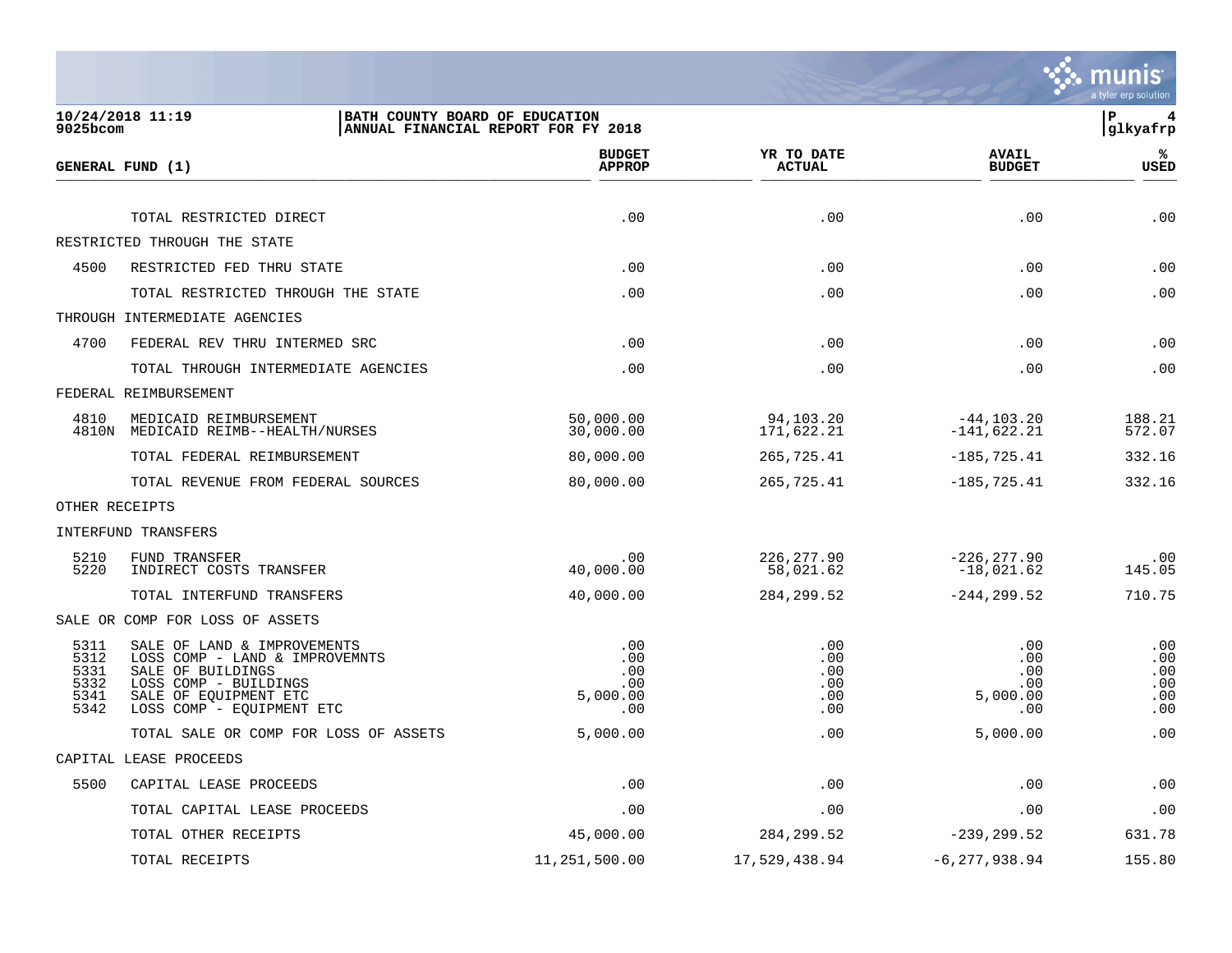

| 9025bcom                                     | 10/24/2018 11:19                                                                                                                                                  | BATH COUNTY BOARD OF EDUCATION<br>ANNUAL FINANCIAL REPORT FOR FY 2018 |                                        |                                             | Þ<br>4<br>glkyafrp                     |
|----------------------------------------------|-------------------------------------------------------------------------------------------------------------------------------------------------------------------|-----------------------------------------------------------------------|----------------------------------------|---------------------------------------------|----------------------------------------|
|                                              | GENERAL FUND (1)                                                                                                                                                  | <b>BUDGET</b><br><b>APPROP</b>                                        | YR TO DATE<br><b>ACTUAL</b>            | <b>AVAIL</b><br><b>BUDGET</b>               | %ะ<br><b>USED</b>                      |
|                                              |                                                                                                                                                                   |                                                                       |                                        |                                             |                                        |
|                                              | TOTAL RESTRICTED DIRECT                                                                                                                                           | .00                                                                   | .00                                    | .00                                         | .00                                    |
|                                              | RESTRICTED THROUGH THE STATE                                                                                                                                      |                                                                       |                                        |                                             |                                        |
| 4500                                         | RESTRICTED FED THRU STATE                                                                                                                                         | .00                                                                   | .00                                    | .00                                         | .00                                    |
|                                              | TOTAL RESTRICTED THROUGH THE STATE                                                                                                                                | .00                                                                   | .00                                    | .00                                         | .00                                    |
|                                              | THROUGH INTERMEDIATE AGENCIES                                                                                                                                     |                                                                       |                                        |                                             |                                        |
| 4700                                         | FEDERAL REV THRU INTERMED SRC                                                                                                                                     | .00                                                                   | .00                                    | .00                                         | .00                                    |
|                                              | TOTAL THROUGH INTERMEDIATE AGENCIES                                                                                                                               | .00                                                                   | .00                                    | .00                                         | .00                                    |
|                                              | FEDERAL REIMBURSEMENT                                                                                                                                             |                                                                       |                                        |                                             |                                        |
| 4810                                         | MEDICAID REIMBURSEMENT<br>4810N MEDICAID REIMB--HEALTH/NURSES                                                                                                     | 50,000.00<br>30,000.00                                                | 94,103.20<br>171,622.21                | $-44, 103.20$<br>$-141,622.21$              | 188.21<br>572.07                       |
|                                              | TOTAL FEDERAL REIMBURSEMENT                                                                                                                                       | 80,000.00                                                             | 265,725.41                             | $-185, 725.41$                              | 332.16                                 |
|                                              | TOTAL REVENUE FROM FEDERAL SOURCES                                                                                                                                | 80,000.00                                                             | 265,725.41                             | $-185, 725.41$                              | 332.16                                 |
|                                              | OTHER RECEIPTS                                                                                                                                                    |                                                                       |                                        |                                             |                                        |
|                                              | INTERFUND TRANSFERS                                                                                                                                               |                                                                       |                                        |                                             |                                        |
| 5210<br>5220                                 | FUND TRANSFER<br>INDIRECT COSTS TRANSFER                                                                                                                          | .00<br>40,000.00                                                      | 226, 277.90<br>58,021.62               | $-226, 277.90$<br>$-18,021.62$              | .00<br>145.05                          |
|                                              | TOTAL INTERFUND TRANSFERS                                                                                                                                         | 40,000.00                                                             | 284, 299.52                            | $-244, 299.52$                              | 710.75                                 |
|                                              | SALE OR COMP FOR LOSS OF ASSETS                                                                                                                                   |                                                                       |                                        |                                             |                                        |
| 5311<br>5312<br>5331<br>5332<br>5341<br>5342 | SALE OF LAND & IMPROVEMENTS<br>LOSS COMP - LAND & IMPROVEMNTS<br>SALE OF BUILDINGS<br>LOSS COMP - BUILDINGS<br>SALE OF EQUIPMENT ETC<br>LOSS COMP - EQUIPMENT ETC | .00<br>.00<br>.00<br>.00<br>5,000.00<br>.00                           | .00<br>.00<br>.00<br>.00<br>.00<br>.00 | .00<br>.00<br>.00<br>.00<br>5,000.00<br>.00 | .00<br>.00<br>.00<br>.00<br>.00<br>.00 |
|                                              | TOTAL SALE OR COMP FOR LOSS OF ASSETS                                                                                                                             | 5,000.00                                                              | .00                                    | 5,000.00                                    | .00                                    |
|                                              | CAPITAL LEASE PROCEEDS                                                                                                                                            |                                                                       |                                        |                                             |                                        |
| 5500                                         | CAPITAL LEASE PROCEEDS                                                                                                                                            | .00                                                                   | .00                                    | .00                                         | .00                                    |
|                                              | TOTAL CAPITAL LEASE PROCEEDS                                                                                                                                      | .00                                                                   | .00                                    | .00                                         | .00                                    |
|                                              | TOTAL OTHER RECEIPTS                                                                                                                                              | 45,000.00                                                             | 284, 299.52                            | $-239, 299.52$                              | 631.78                                 |
|                                              | TOTAL RECEIPTS                                                                                                                                                    | 11,251,500.00                                                         | 17,529,438.94                          | $-6, 277, 938.94$                           | 155.80                                 |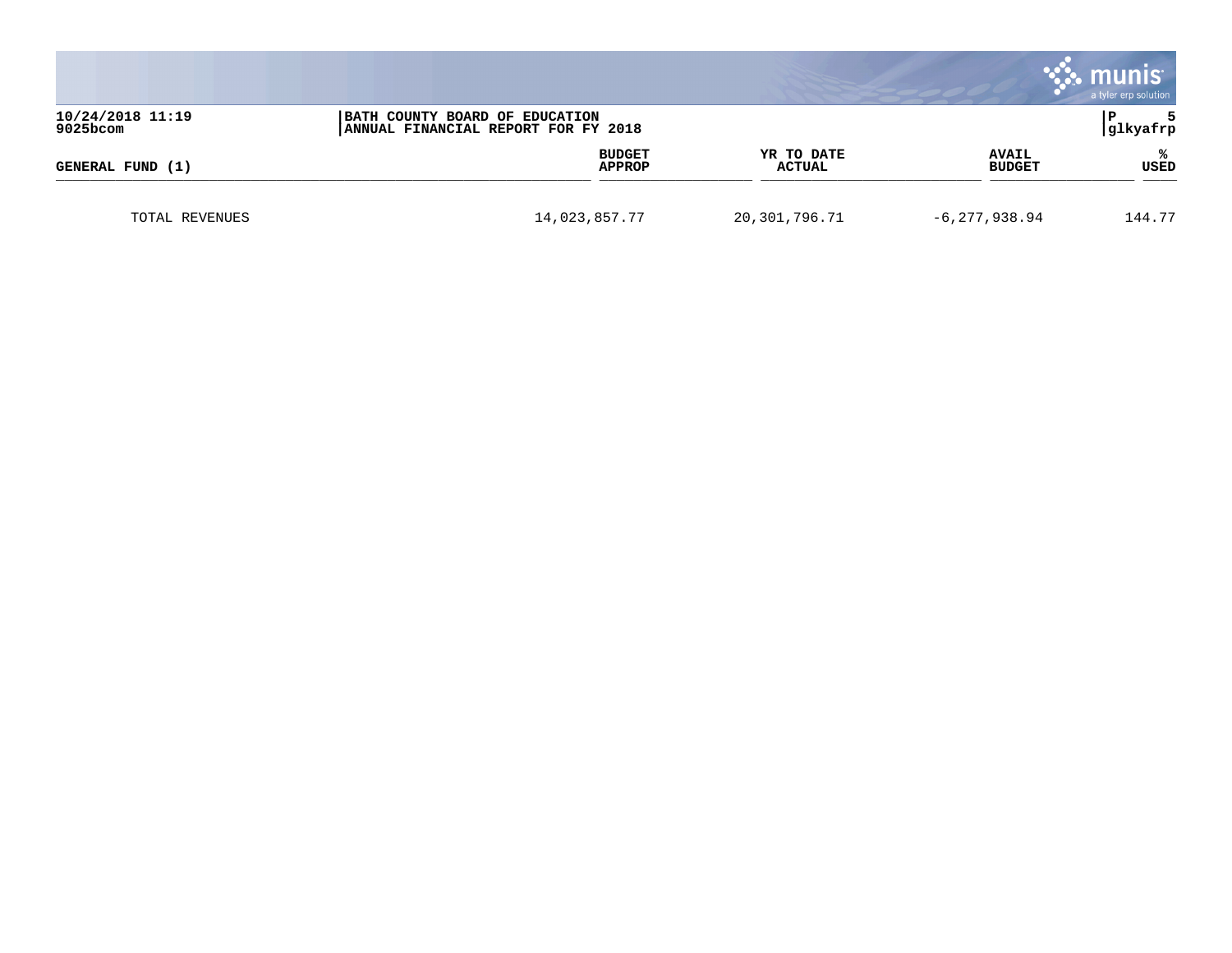|                              |                                |                             |                               | munis<br>a tyler erp solution |
|------------------------------|--------------------------------|-----------------------------|-------------------------------|-------------------------------|
| 10/24/2018 11:19<br>9025bcom |                                | glkyafrp                    |                               |                               |
| GENERAL FUND (1)             | <b>BUDGET</b><br><b>APPROP</b> | YR TO DATE<br><b>ACTUAL</b> | <b>AVAIL</b><br><b>BUDGET</b> | ℁<br>USED                     |
| TOTAL REVENUES               | 14,023,857.77                  | 20,301,796.71               | $-6, 277, 938.94$             | 144.77                        |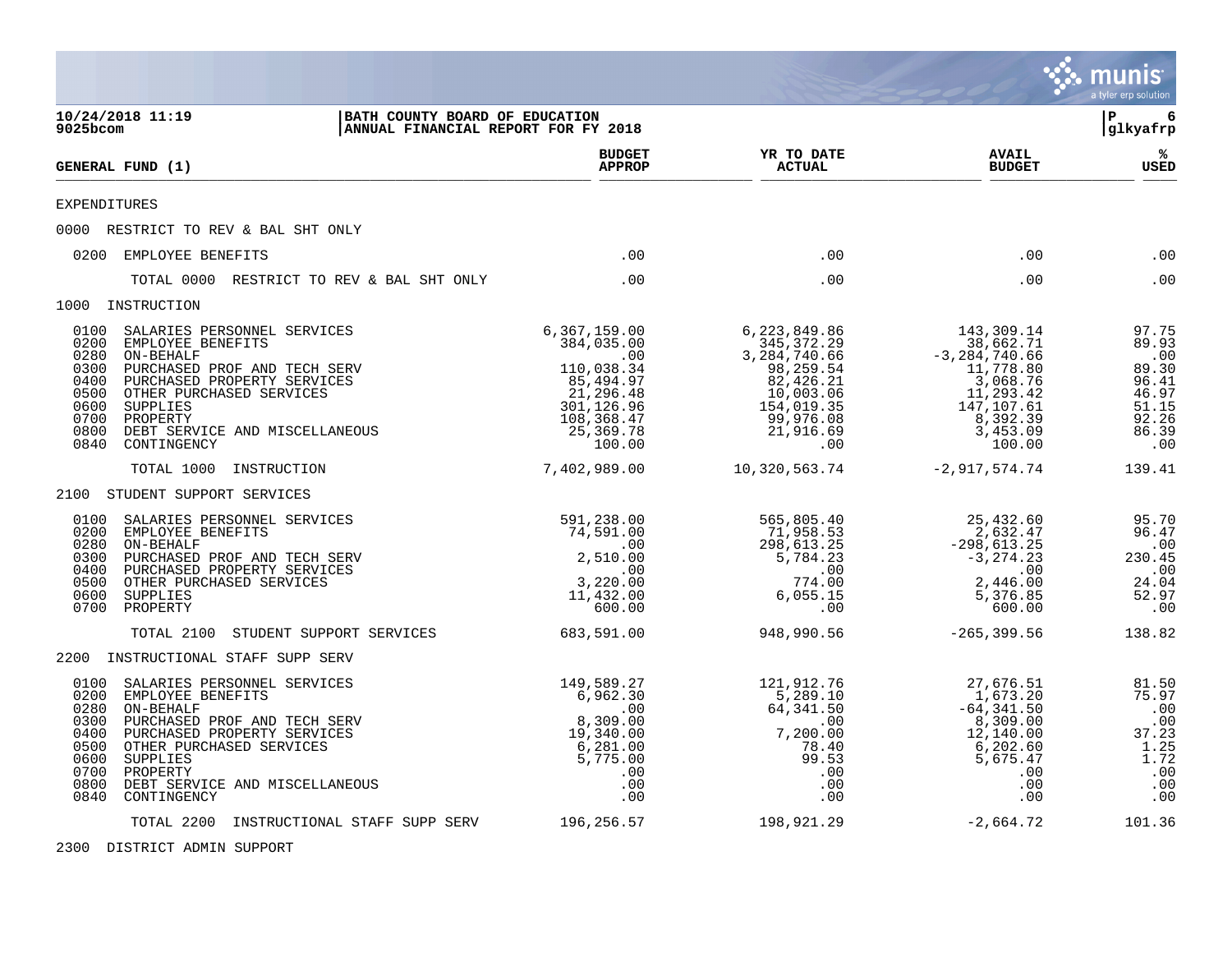|                                                                                                                                                                                                                                                                                                                   |                                                                                                                                |                                                                                                                                    |                                                                                                                                      | <b>munis</b><br>a tyler erp solution                                                 |
|-------------------------------------------------------------------------------------------------------------------------------------------------------------------------------------------------------------------------------------------------------------------------------------------------------------------|--------------------------------------------------------------------------------------------------------------------------------|------------------------------------------------------------------------------------------------------------------------------------|--------------------------------------------------------------------------------------------------------------------------------------|--------------------------------------------------------------------------------------|
| 10/24/2018 11:19<br>9025bcom                                                                                                                                                                                                                                                                                      | BATH COUNTY BOARD OF EDUCATION<br>ANNUAL FINANCIAL REPORT FOR FY 2018                                                          |                                                                                                                                    |                                                                                                                                      | 6<br>l P<br> glkyafrp                                                                |
| GENERAL FUND (1)                                                                                                                                                                                                                                                                                                  | <b>BUDGET</b><br><b>APPROP</b>                                                                                                 | YR TO DATE<br><b>ACTUAL</b>                                                                                                        | <b>AVAIL</b><br><b>BUDGET</b>                                                                                                        | ℁<br>USED                                                                            |
| <b>EXPENDITURES</b>                                                                                                                                                                                                                                                                                               |                                                                                                                                |                                                                                                                                    |                                                                                                                                      |                                                                                      |
| 0000 RESTRICT TO REV & BAL SHT ONLY                                                                                                                                                                                                                                                                               |                                                                                                                                |                                                                                                                                    |                                                                                                                                      |                                                                                      |
| 0200 EMPLOYEE BENEFITS                                                                                                                                                                                                                                                                                            | .00                                                                                                                            | .00                                                                                                                                | .00                                                                                                                                  | .00                                                                                  |
| TOTAL 0000 RESTRICT TO REV & BAL SHT ONLY                                                                                                                                                                                                                                                                         | .00                                                                                                                            | .00                                                                                                                                | .00                                                                                                                                  | .00                                                                                  |
| 1000 INSTRUCTION                                                                                                                                                                                                                                                                                                  |                                                                                                                                |                                                                                                                                    |                                                                                                                                      |                                                                                      |
| 0100<br>SALARIES PERSONNEL SERVICES<br>0200<br>EMPLOYEE BENEFITS<br>0280<br>ON-BEHALF<br>0300<br>PURCHASED PROF AND TECH SERV<br>0400<br>PURCHASED PROPERTY SERVICES<br>0500<br>OTHER PURCHASED SERVICES<br>0600<br>SUPPLIES<br>0700<br>PROPERTY<br>0800<br>DEBT SERVICE AND MISCELLANEOUS<br>0840<br>CONTINGENCY | 6,367,159.00<br>384,035.00<br>.00<br>110,038.34<br>85,494.97<br>21, 296.48<br>301, 126.96<br>108,368.47<br>25,369.78<br>100.00 | 6, 223, 849.86<br>345,372.29<br>3,284,740.66<br>98,259.54<br>82,426.21<br>10,003.06<br>154,019.35<br>99,976.08<br>21,916.69<br>.00 | 143,309.14<br>38,662.71<br>$-3, 284, 740.66$<br>11,778.80<br>3,068.76<br>11,293.42<br>147,107.61<br>8, 392.39<br>3, 453.09<br>100.00 | 97.75<br>89.93<br>$.00$<br>89.30<br>96.41<br>46.97<br>51.15<br>92.26<br>86.39<br>.00 |
| TOTAL 1000<br>INSTRUCTION                                                                                                                                                                                                                                                                                         | 7,402,989.00                                                                                                                   | 10,320,563.74                                                                                                                      | $-2,917,574.74$                                                                                                                      | 139.41                                                                               |
| 2100 STUDENT SUPPORT SERVICES                                                                                                                                                                                                                                                                                     |                                                                                                                                |                                                                                                                                    |                                                                                                                                      |                                                                                      |
| 0100<br>SALARIES PERSONNEL SERVICES<br>0200<br>EMPLOYEE BENEFITS<br>0280<br>ON-BEHALF<br>0300<br>PURCHASED PROF AND TECH SERV<br>0400<br>PURCHASED PROPERTY SERVICES<br>0500<br>OTHER PURCHASED SERVICES<br>0600<br>SUPPLIES<br>0700<br>PROPERTY                                                                  | 591,238.00<br>74,591.00<br>$\overline{\phantom{0}}$ .00<br>2,510.00<br>.00<br>3,220.00<br>11,432.00<br>600.00                  | 565,805.40<br>71,958.53<br>298,613.25<br>5,784.23<br>.00<br>774.00<br>6,055.15<br>.00                                              | 25,432.60<br>2,632.47<br>$-298,613.25$<br>$-3, 274.23$<br>.00<br>2,446.00<br>5,376.85<br>600.00                                      | 95.70<br>96.47<br>.00<br>230.45<br>$\ldots$<br>24.04<br>52.97<br>.00                 |
| STUDENT SUPPORT SERVICES<br>TOTAL 2100                                                                                                                                                                                                                                                                            | 683,591.00                                                                                                                     | 948,990.56                                                                                                                         | $-265, 399.56$                                                                                                                       | 138.82                                                                               |
| 2200 INSTRUCTIONAL STAFF SUPP SERV                                                                                                                                                                                                                                                                                |                                                                                                                                |                                                                                                                                    |                                                                                                                                      |                                                                                      |
| 0100<br>SALARIES PERSONNEL SERVICES<br>0200<br>EMPLOYEE BENEFITS<br>0280<br>ON-BEHALF<br>0300<br>PURCHASED PROF AND TECH SERV<br>0400<br>PURCHASED PROPERTY SERVICES<br>0500<br>OTHER PURCHASED SERVICES<br>0600<br>SUPPLIES<br>0700<br>PROPERTY<br>0800<br>DEBT SERVICE AND MISCELLANEOUS<br>0840<br>CONTINGENCY | 149,589.27<br>6,962.30<br>.00<br>8,309.00<br>19,340.00<br>6,281.00<br>5,775.00<br>$.00 \,$<br>.00<br>.00                       | 121,912.76<br>5,289.10<br>64,341.50<br>$\sim 00$<br>7,200.00<br>78.40<br>99.53<br>.00<br>.00<br>.00                                | 27,676.51<br>1,673.20<br>$-64, 341.50$<br>8,309.00<br>12,140.00<br>6,202.60<br>5,675.47<br>.00<br>.00<br>.00                         | 81.50<br>75.97<br>.00<br>.00<br>37.23<br>$\frac{1.25}{1.72}$<br>.00<br>.00<br>.00    |
| TOTAL 2200 INSTRUCTIONAL STAFF SUPP SERV                                                                                                                                                                                                                                                                          | 196,256.57                                                                                                                     | 198,921.29                                                                                                                         | $-2,664.72$                                                                                                                          | 101.36                                                                               |

2300 DISTRICT ADMIN SUPPORT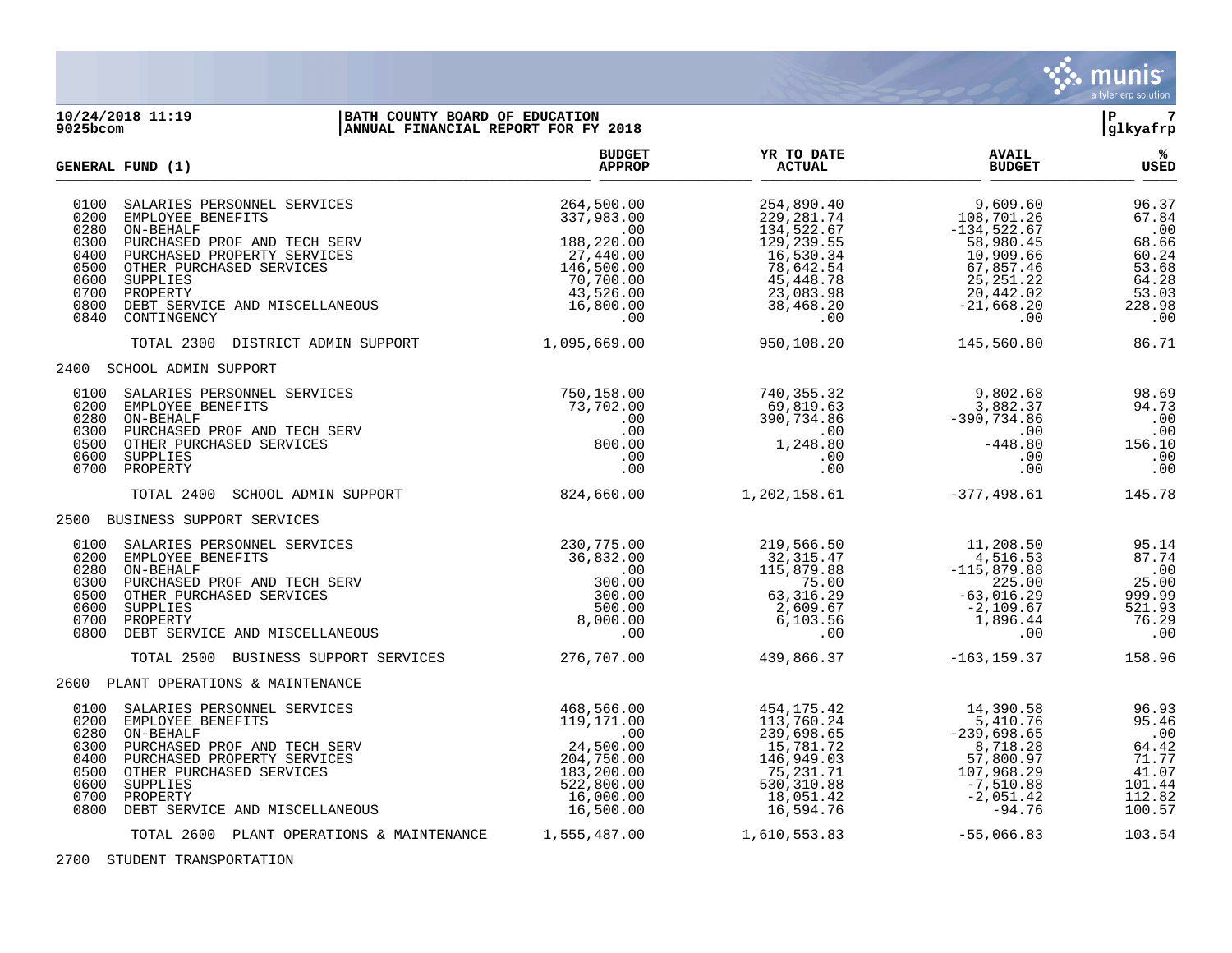

### **10/24/2018 11:19 |BATH COUNTY BOARD OF EDUCATION |P 7 9025bcom |ANNUAL FINANCIAL REPORT FOR FY 2018 |glkyafrp**

| GENERAL FUND (1)                                                             |                                                                                                                                                                                                                                   | <b>BUDGET</b><br><b>APPROP</b>                                                                                              | YR TO DATE<br><b>ACTUAL</b>                                                                                                              | <b>AVAIL</b><br><b>BUDGET</b>                                                                                                          | %ะ<br><b>USED</b>                                                                   |
|------------------------------------------------------------------------------|-----------------------------------------------------------------------------------------------------------------------------------------------------------------------------------------------------------------------------------|-----------------------------------------------------------------------------------------------------------------------------|------------------------------------------------------------------------------------------------------------------------------------------|----------------------------------------------------------------------------------------------------------------------------------------|-------------------------------------------------------------------------------------|
| 0100<br>0200<br>0280<br>0300<br>0400<br>0500<br>0600<br>0700<br>0800<br>0840 | SALARIES PERSONNEL SERVICES<br>EMPLOYEE BENEFITS<br>ON-BEHALF<br>PURCHASED PROF AND TECH SERV<br>PURCHASED PROPERTY SERVICES<br>OTHER PURCHASED SERVICES<br>SUPPLIES<br>PROPERTY<br>DEBT SERVICE AND MISCELLANEOUS<br>CONTINGENCY | 264,500.00<br>337,983.00<br>.00<br>188,220.00<br>27,440.00<br>146,500.00<br>70,700.00<br>43,526.00<br>16,800.00<br>$.00 \,$ | 254,890.40<br>229, 281.74<br>134,522.67<br>129, 239.55<br>16,530.34<br>78,642.54<br>45,448.78<br>23,083.98<br>38,468.20<br>$.00 \,$      | 9,609.60<br>108, 701.26<br>$-134,522.67$<br>58,980.45<br>10,909.66<br>67,857.46<br>25, 251.22<br>20,442.02<br>$-21,668.20$<br>$.00 \,$ | 96.37<br>67.84<br>.00<br>68.66<br>60.24<br>53.68<br>64.28<br>53.03<br>228.98<br>.00 |
|                                                                              | TOTAL 2300 DISTRICT ADMIN SUPPORT                                                                                                                                                                                                 | 1,095,669.00                                                                                                                | 950, 108.20                                                                                                                              | 145,560.80                                                                                                                             | 86.71                                                                               |
|                                                                              | 2400 SCHOOL ADMIN SUPPORT                                                                                                                                                                                                         |                                                                                                                             |                                                                                                                                          |                                                                                                                                        |                                                                                     |
| 0100<br>0200<br>0280<br>0300<br>0500<br>0600<br>0700                         | SALARIES PERSONNEL SERVICES<br>EMPLOYEE BENEFITS<br>ON-BEHALF<br>PURCHASED PROF AND TECH SERV<br>OTHER PURCHASED SERVICES<br>SUPPLIES<br>PROPERTY                                                                                 | 750,158.00<br>73,702.00<br>.00<br>.00<br>800.00<br>$.00 \,$<br>$.00 \,$                                                     | 740,355.32<br>69,819.63<br>390,734.86<br>$\begin{array}{c} \begin{array}{c} 0.00 \\ 1.248.80 \end{array} \end{array}$<br>.00<br>$.00 \,$ | 9,802.68<br>3,882.37<br>$-390,734.86$<br>.00<br>$-448.80$<br>.00<br>.00                                                                | 98.69<br>94.73<br>.00<br>.00<br>156.10<br>.00<br>.00                                |
|                                                                              | TOTAL 2400<br>SCHOOL ADMIN SUPPORT                                                                                                                                                                                                | 824,660.00                                                                                                                  | 1,202,158.61                                                                                                                             | $-377,498.61$                                                                                                                          | 145.78                                                                              |
|                                                                              | 2500 BUSINESS SUPPORT SERVICES                                                                                                                                                                                                    |                                                                                                                             |                                                                                                                                          |                                                                                                                                        |                                                                                     |
| 0100<br>0200<br>0280<br>0300<br>0500<br>0600<br>0700<br>0800                 | SALARIES PERSONNEL SERVICES<br>EMPLOYEE BENEFITS<br>ON-BEHALF<br>PURCHASED PROF AND TECH SERV<br>OTHER PURCHASED SERVICES<br>SUPPLIES<br>PROPERTY<br>DEBT SERVICE AND MISCELLANEOUS                                               | 230,775.00<br>36,832.00<br>.00<br>300.00<br>300.00<br>500.00<br>8,000.00<br>.00                                             | 219,566.50<br>32,315.47<br>115,879.88<br>75.00<br>63,316.29<br>2,609.67<br>6,103.56<br>.00                                               | 11,208.50<br>4,516.53<br>$-115,879.88$<br>225.00<br>$-63,016.29$<br>$-2,109.67$<br>1,896.44<br>.00                                     | 95.14<br>87.74<br>.00<br>25.00<br>999.99<br>521.93<br>76.29<br>.00                  |
|                                                                              | TOTAL 2500 BUSINESS SUPPORT SERVICES                                                                                                                                                                                              | 276,707.00                                                                                                                  | 439,866.37                                                                                                                               | -163,159.37                                                                                                                            | 158.96                                                                              |
|                                                                              | 2600 PLANT OPERATIONS & MAINTENANCE                                                                                                                                                                                               |                                                                                                                             |                                                                                                                                          |                                                                                                                                        |                                                                                     |
| 0100<br>0200<br>0280<br>0300<br>0400<br>0500<br>0600<br>0700<br>0800         | SALARIES PERSONNEL SERVICES<br>EMPLOYEE BENEFITS<br>ON-BEHALF<br>PURCHASED PROF AND TECH SERV<br>PURCHASED PROPERTY SERVICES<br>OTHER PURCHASED SERVICES<br>SUPPLIES<br>PROPERTY<br>DEBT SERVICE AND MISCELLANEOUS                | 468,566.00<br>119,171.00<br>.00<br>24,500.00<br>204,750.00<br>183,200.00<br>522,800.00<br>16,000.00<br>16,500.00            | 454,175.42<br>113,760.24<br>239,698.65<br>15,781.72<br>146,949.03<br>75,231.71<br>530,310.88<br>18,051.42<br>16,594.76                   | 14,390.58<br>5,410.76<br>$-239,698.65$<br>8,718.28<br>57,800.97<br>107,968.29<br>-7,510.88<br>$-2,051.42$<br>-94.76                    | 96.93<br>95.46<br>.00<br>64.42<br>71.77<br>41.07<br>101.44<br>112.82<br>100.57      |
|                                                                              | TOTAL 2600 PLANT OPERATIONS & MAINTENANCE                                                                                                                                                                                         | 1,555,487.00                                                                                                                | 1,610,553.83                                                                                                                             | $-55,066.83$                                                                                                                           | 103.54                                                                              |

2700 STUDENT TRANSPORTATION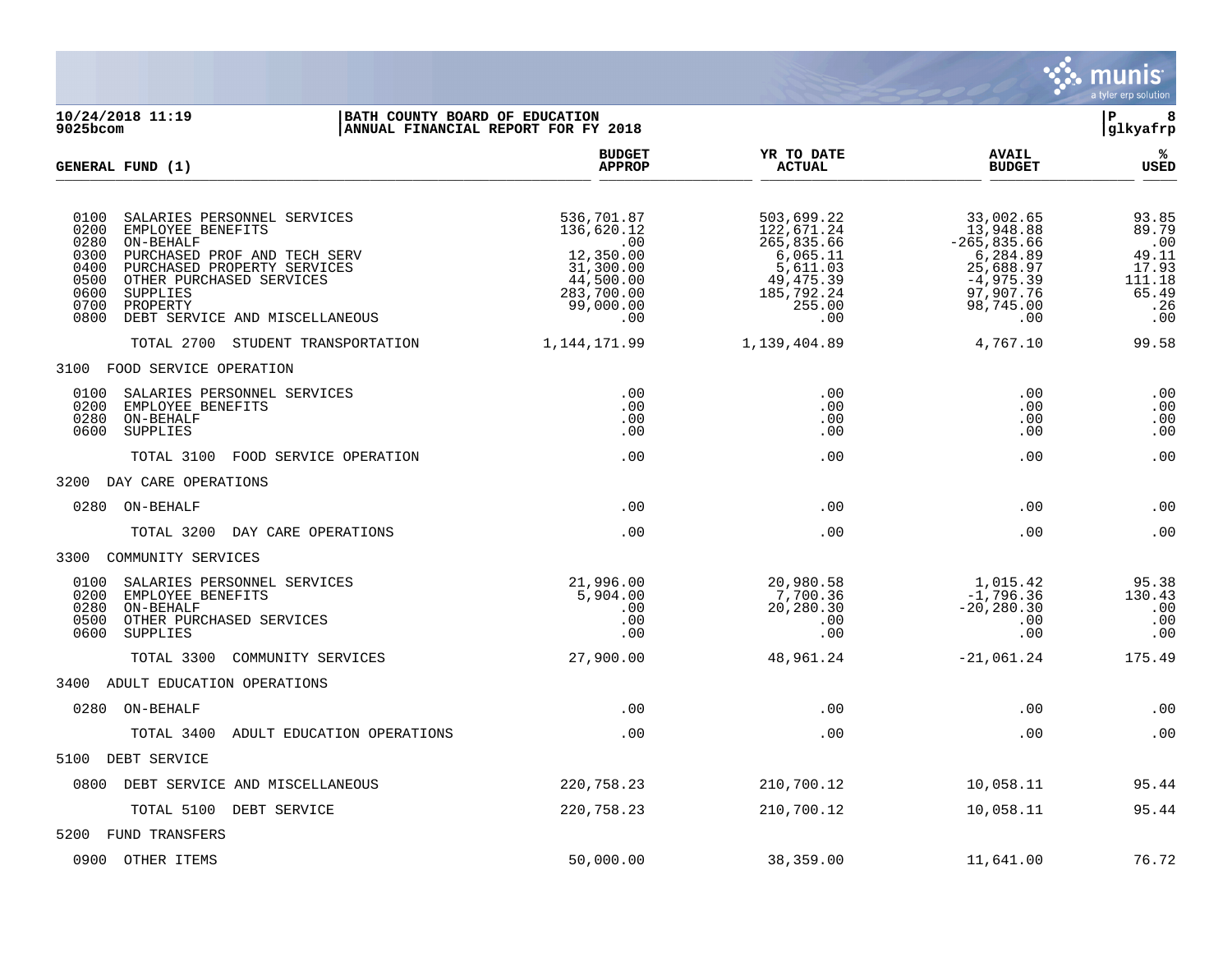

**10/24/2018 11:19 |BATH COUNTY BOARD OF EDUCATION |P 8** ANNUAL FINANCIAL REPORT FOR FY 2018 **BUDGET YR TO DATE AVAIL % GENERAL FUND (1) APPROP ACTUAL BUDGET USED**  $\frac{A_{\text{H}^{\text{F}}\text{N}}}{A_{\text{H}}\text{N}}$   $\frac{A_{\text{H}}\text{N}}{A_{\text{H}}\text{N}}$   $\frac{A_{\text{H}}\text{N}}{A_{\text{H}}\text{N}}$   $\frac{A_{\text{H}}\text{N}}{A_{\text{H}}\text{N}}$   $\frac{B_{\text{H}}\text{N}}{B_{\text{H}}\text{N}}$  0100 SALARIES PERSONNEL SERVICES 536,701.87 503,699.22 33,002.65 93.85 0200 EMPLOYEE BENEFITS 136,620.12 122,671.24 13,948.88 89.79 0280 ON-BEHALF .00 265,835.66 -265,835.66 .00 0300 PURCHASED PROF AND TECH SERV  $\begin{array}{cccccccc} 0.300 & 0.11 & 0.000 & 0.000 & 0.000 & 0.000 & 0.000 & 0.000 & 0.000 & 0.000 & 0.000 & 0.000 & 0.000 & 0.000 & 0.000 & 0.000 & 0.000 & 0.000 & 0.000 & 0.000 & 0.000 & 0.000 & 0.000 & 0.000 & 0.000 & 0.00$ 0400 PURCHASED PROPERTY SERVICES 31,300.00 5,611.03 25,688.97 17.93<br>0500 OTHER PURCHASED SERVICES 44,500.00 49,475.39 -4,975.39 111.18 0500 OTHER PURCHASED SERVICES (11.18)<br>0600 SUPPLIES (11.18) 283,700.00 (185,792.24 97,907.76 (65.49<br>0700 PROPERTY (199,000.00 255.00 255.00 98,745.00 .26 0600 SUPPLIES 283,700.00 185,792.24 97,907.76 65.49 0700 PROPERTY 99,000.00 255.00 98,745.00 .26 0800 DEBT SERVICE AND MISCELLANEOUS .00 .00 .00 .00 TOTAL 2700 STUDENT TRANSPORTATION 1,144,171.99 1,139,404.89 4,767.10 99.58 3100 FOOD SERVICE OPERATION 0100 SALARIES PERSONNEL SERVICES .00 .00 .00 .00 0200 EMPLOYEE BENEFITS .00 .00 .00 .00 0280 ON-BEHALF .00 .00 .00 .00 0600 SUPPLIES .00 .00 .00 .00 TOTAL 3100 FOOD SERVICE OPERATION .00 .00 .00 .00 3200 DAY CARE OPERATIONS 0280 ON-BEHALF .00 .00 .00 .00 TOTAL 3200 DAY CARE OPERATIONS .00 .00 .00 .00 3300 COMMUNITY SERVICES 0100 SALARIES PERSONNEL SERVICES 21,996.00 20,980.58 1,015.42 95.38 0200 EMPLOYEE BENEFITS 5,904.00 7,700.36 -1,796.36 130.43 0280 ON-BEHALF .00 20,280.30 -20,280.30 .00 0500 OTHER PURCHASED SERVICES .00 .00 .00 .00 0600 SUPPLIES .00 .00 .00 .00 TOTAL 3300 COMMUNITY SERVICES  $27,900.00$  48,961.24 -21,061.24 175.49 3400 ADULT EDUCATION OPERATIONS 0280 ON-BEHALF .00 .00 .00 .00 TOTAL 3400 ADULT EDUCATION OPERATIONS .00 .00 .00 .00 5100 DEBT SERVICE 0800 DEBT SERVICE AND MISCELLANEOUS 220,758.23 210,700.12 10,058.11 95.44 TOTAL 5100 DEBT SERVICE 220,758.23 210,700.12 10,058.11 95.44 5200 FUND TRANSFERS 0900 OTHER ITEMS 50,000.00 38,359.00 11,641.00 76.72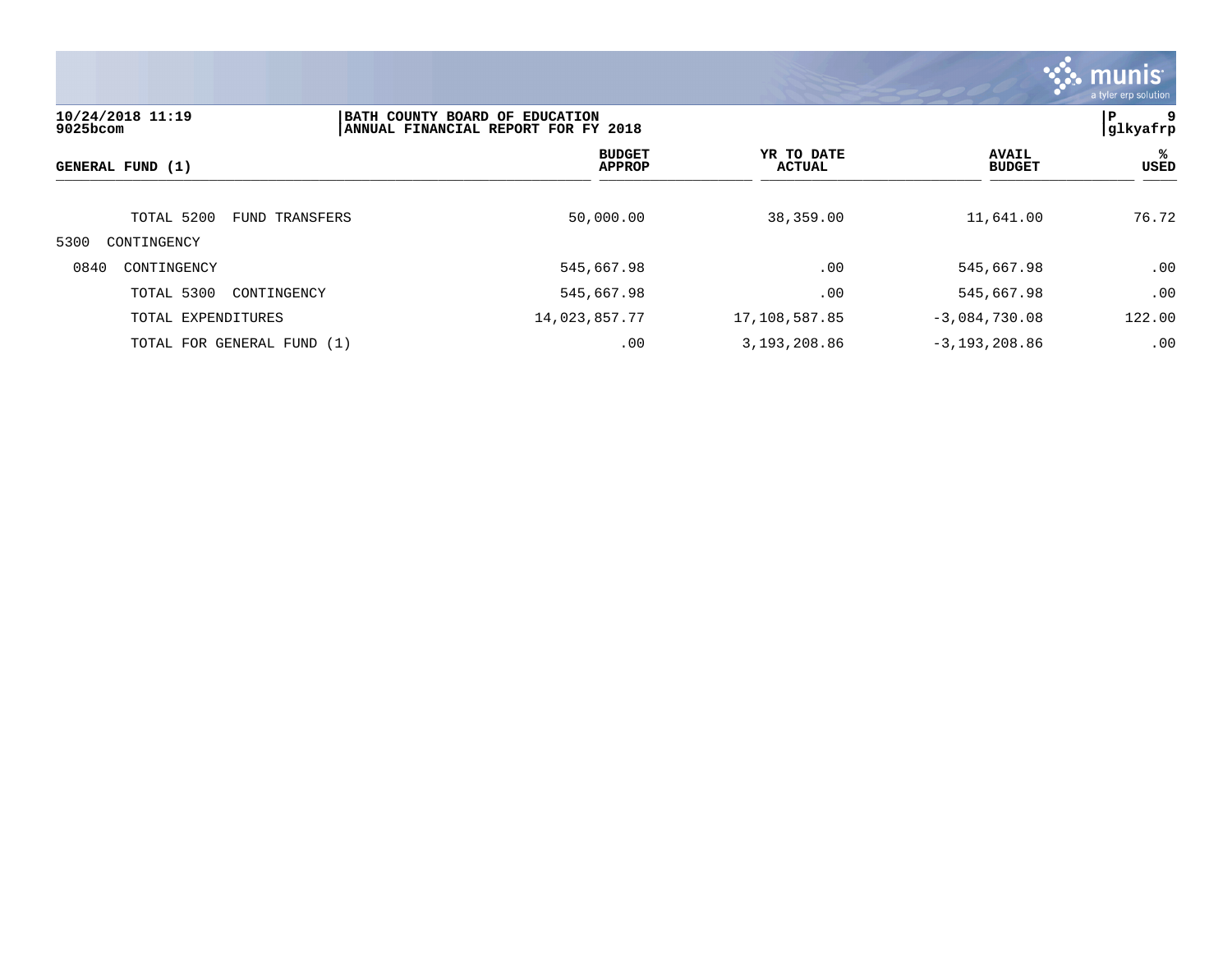

| 10/24/2018 11:19<br>9025bcom | BATH COUNTY BOARD OF EDUCATION<br>ANNUAL FINANCIAL REPORT FOR FY 2018 |               |                                |                             |                   | 9<br>ΙP<br> glkyafrp          |                   |
|------------------------------|-----------------------------------------------------------------------|---------------|--------------------------------|-----------------------------|-------------------|-------------------------------|-------------------|
| GENERAL FUND (1)             |                                                                       |               | <b>BUDGET</b><br><b>APPROP</b> | YR TO DATE<br><b>ACTUAL</b> |                   | <b>AVAIL</b><br><b>BUDGET</b> | %ะ<br><b>USED</b> |
| TOTAL 5200                   | FUND TRANSFERS                                                        |               | 50,000.00                      | 38,359.00                   |                   | 11,641.00                     | 76.72             |
| 5300<br>CONTINGENCY          |                                                                       |               |                                |                             |                   |                               |                   |
| 0840<br>CONTINGENCY          |                                                                       |               | 545,667.98                     | .00                         |                   | 545,667.98                    | .00               |
| TOTAL 5300                   | CONTINGENCY                                                           |               | 545,667.98                     | .00                         |                   | 545,667.98                    | .00               |
| TOTAL EXPENDITURES           |                                                                       | 14,023,857.77 |                                | 17,108,587.85               | $-3,084,730.08$   |                               | 122.00            |
| TOTAL FOR GENERAL FUND (1)   |                                                                       |               | .00                            | 3,193,208.86                | $-3, 193, 208.86$ |                               | .00               |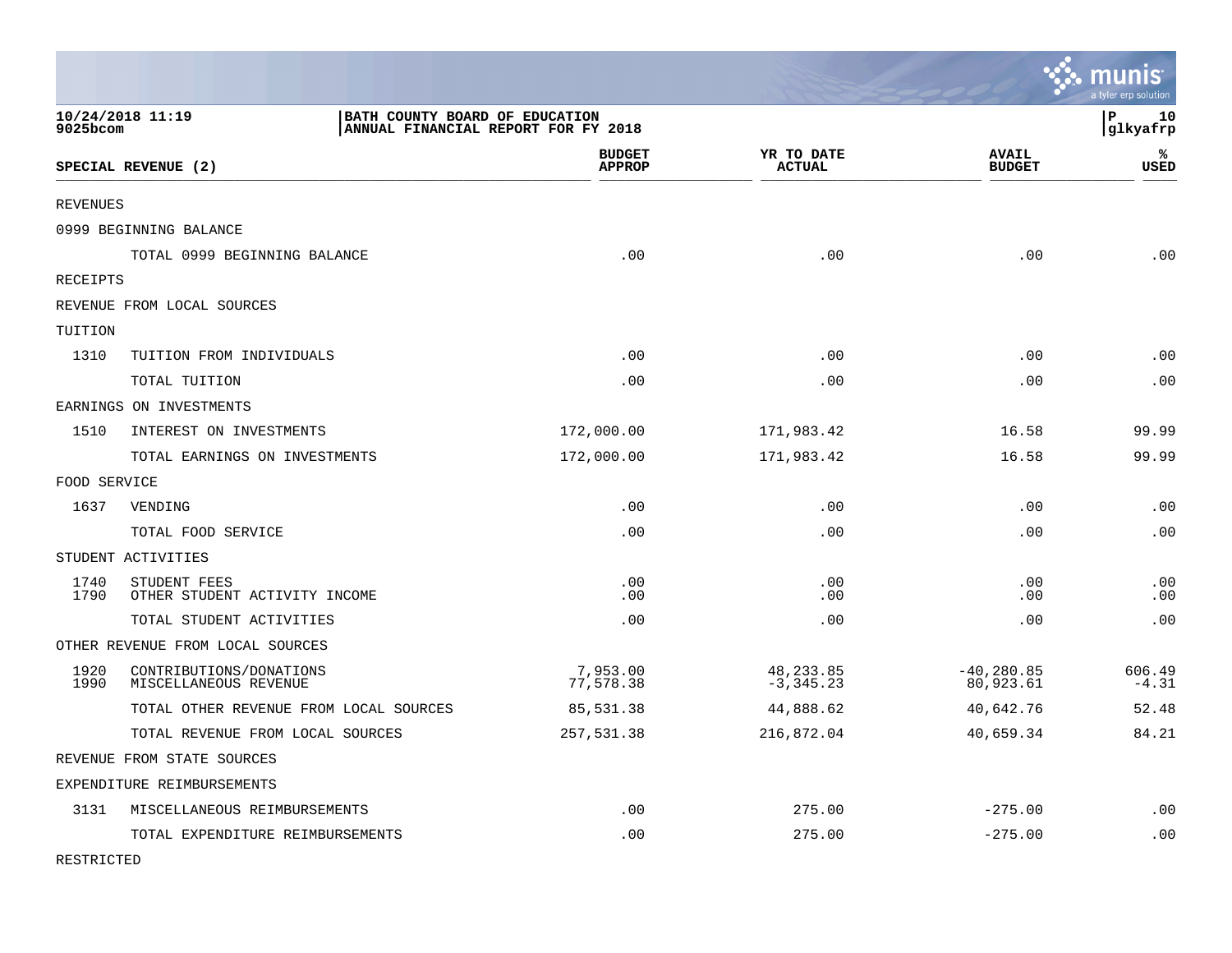|                 |                                                  |                                                                       |                             |                               | munis<br>a tyler erp solution |
|-----------------|--------------------------------------------------|-----------------------------------------------------------------------|-----------------------------|-------------------------------|-------------------------------|
| 9025bcom        | 10/24/2018 11:19                                 | BATH COUNTY BOARD OF EDUCATION<br>ANNUAL FINANCIAL REPORT FOR FY 2018 |                             |                               | lР<br>10<br> glkyafrp         |
|                 | SPECIAL REVENUE (2)                              | <b>BUDGET</b><br><b>APPROP</b>                                        | YR TO DATE<br><b>ACTUAL</b> | <b>AVAIL</b><br><b>BUDGET</b> | %<br><b>USED</b>              |
| <b>REVENUES</b> |                                                  |                                                                       |                             |                               |                               |
|                 | 0999 BEGINNING BALANCE                           |                                                                       |                             |                               |                               |
|                 | TOTAL 0999 BEGINNING BALANCE                     | .00                                                                   | .00                         | .00                           | .00                           |
| RECEIPTS        |                                                  |                                                                       |                             |                               |                               |
|                 | REVENUE FROM LOCAL SOURCES                       |                                                                       |                             |                               |                               |
| TUITION         |                                                  |                                                                       |                             |                               |                               |
| 1310            | TUITION FROM INDIVIDUALS                         | .00                                                                   | .00                         | .00                           | .00                           |
|                 | TOTAL TUITION                                    | .00                                                                   | .00                         | .00                           | .00                           |
|                 | EARNINGS ON INVESTMENTS                          |                                                                       |                             |                               |                               |
| 1510            | INTEREST ON INVESTMENTS                          | 172,000.00                                                            | 171,983.42                  | 16.58                         | 99.99                         |
|                 | TOTAL EARNINGS ON INVESTMENTS                    | 172,000.00                                                            | 171,983.42                  | 16.58                         | 99.99                         |
| FOOD SERVICE    |                                                  |                                                                       |                             |                               |                               |
| 1637            | VENDING                                          | .00                                                                   | .00                         | .00                           | .00                           |
|                 | TOTAL FOOD SERVICE                               | .00                                                                   | .00                         | .00                           | .00                           |
|                 | STUDENT ACTIVITIES                               |                                                                       |                             |                               |                               |
| 1740<br>1790    | STUDENT FEES<br>OTHER STUDENT ACTIVITY INCOME    | .00<br>.00                                                            | .00<br>.00                  | .00<br>.00                    | .00<br>.00                    |
|                 | TOTAL STUDENT ACTIVITIES                         | .00                                                                   | .00                         | .00                           | .00                           |
|                 | OTHER REVENUE FROM LOCAL SOURCES                 |                                                                       |                             |                               |                               |
| 1920<br>1990    | CONTRIBUTIONS/DONATIONS<br>MISCELLANEOUS REVENUE | 7,953.00<br>77,578.38                                                 | 48, 233.85<br>$-3, 345.23$  | $-40, 280.85$<br>80,923.61    | 606.49<br>$-4.31$             |
|                 | TOTAL OTHER REVENUE FROM LOCAL SOURCES           | 85,531.38                                                             | 44,888.62                   | 40,642.76                     | 52.48                         |
|                 | TOTAL REVENUE FROM LOCAL SOURCES                 | 257,531.38                                                            | 216,872.04                  | 40,659.34                     | 84.21                         |
|                 | REVENUE FROM STATE SOURCES                       |                                                                       |                             |                               |                               |
|                 | EXPENDITURE REIMBURSEMENTS                       |                                                                       |                             |                               |                               |
| 3131            | MISCELLANEOUS REIMBURSEMENTS                     | .00                                                                   | 275.00                      | $-275.00$                     | $\boldsymbol{\mathsf{.00}}$   |
|                 | TOTAL EXPENDITURE REIMBURSEMENTS                 | .00                                                                   | 275.00                      | $-275.00$                     | .00                           |

RESTRICTED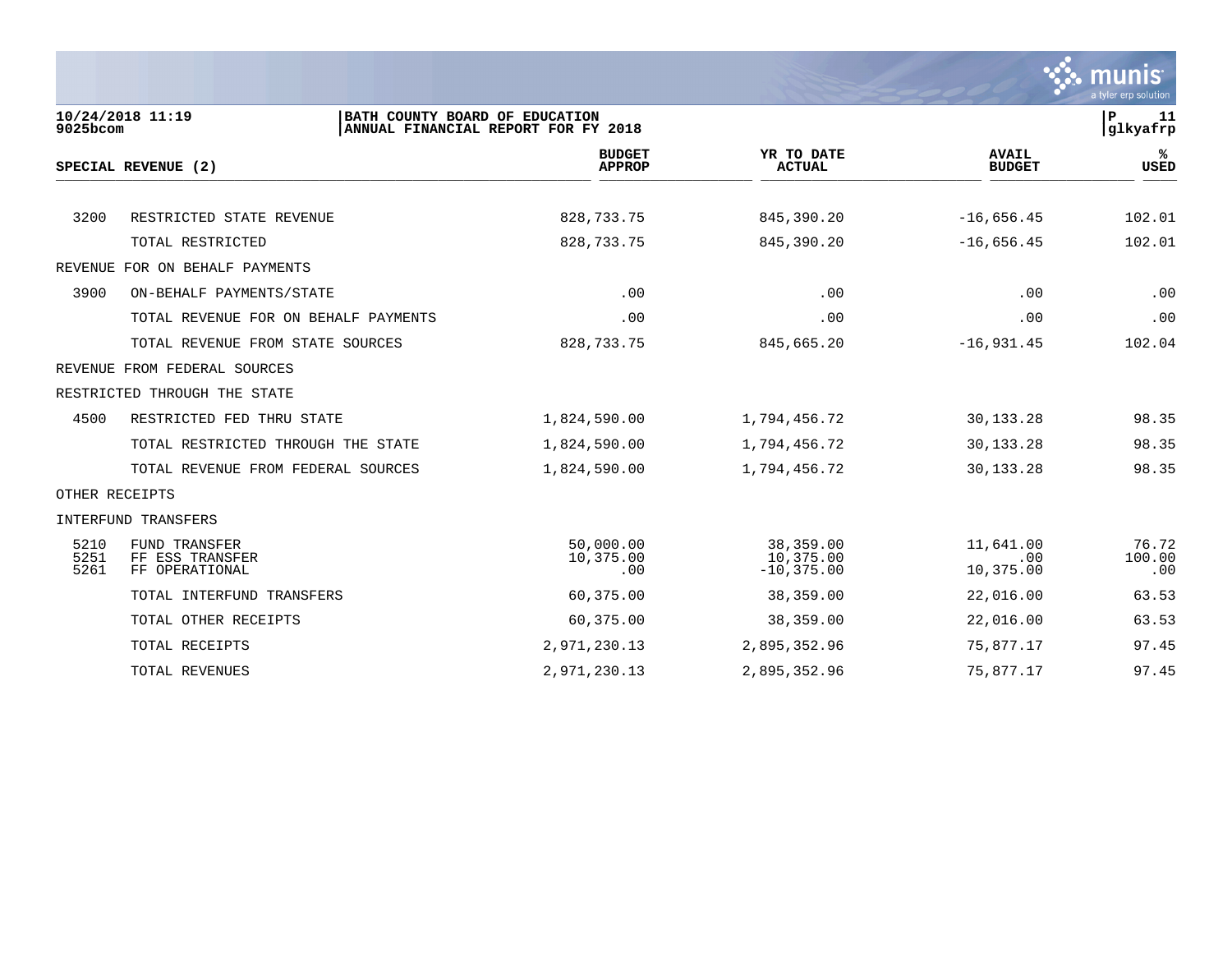

| 9025bcom             | 10/24/2018 11:19<br>BATH COUNTY BOARD OF EDUCATION        | ANNUAL FINANCIAL REPORT FOR FY 2018 |                                         |                               | $\mathbf P$<br>11<br>glkyafrp |
|----------------------|-----------------------------------------------------------|-------------------------------------|-----------------------------------------|-------------------------------|-------------------------------|
|                      | SPECIAL REVENUE (2)                                       | <b>BUDGET</b><br><b>APPROP</b>      | YR TO DATE<br><b>ACTUAL</b>             | <b>AVAIL</b><br><b>BUDGET</b> | %ะ<br><b>USED</b>             |
|                      |                                                           |                                     |                                         |                               |                               |
| 3200                 | RESTRICTED STATE REVENUE                                  | 828, 733. 75                        | 845,390.20                              | $-16,656.45$                  | 102.01                        |
|                      | TOTAL RESTRICTED                                          | 828,733.75                          | 845,390.20                              | $-16,656.45$                  | 102.01                        |
|                      | REVENUE FOR ON BEHALF PAYMENTS                            |                                     |                                         |                               |                               |
| 3900                 | ON-BEHALF PAYMENTS/STATE                                  | .00                                 | .00                                     | .00                           | .00                           |
|                      | TOTAL REVENUE FOR ON BEHALF PAYMENTS                      | .00                                 | .00                                     | .00                           | .00                           |
|                      | TOTAL REVENUE FROM STATE SOURCES                          | 828,733.75                          | 845,665.20                              | $-16,931.45$                  | 102.04                        |
|                      | REVENUE FROM FEDERAL SOURCES                              |                                     |                                         |                               |                               |
|                      | RESTRICTED THROUGH THE STATE                              |                                     |                                         |                               |                               |
| 4500                 | RESTRICTED FED THRU STATE                                 | 1,824,590.00                        | 1,794,456.72                            | 30,133.28                     | 98.35                         |
|                      | TOTAL RESTRICTED THROUGH THE STATE                        | 1,824,590.00                        | 1,794,456.72                            | 30,133.28                     | 98.35                         |
|                      | TOTAL REVENUE FROM FEDERAL SOURCES                        | 1,824,590.00                        | 1,794,456.72                            | 30,133.28                     | 98.35                         |
| OTHER RECEIPTS       |                                                           |                                     |                                         |                               |                               |
|                      | INTERFUND TRANSFERS                                       |                                     |                                         |                               |                               |
| 5210<br>5251<br>5261 | <b>FUND TRANSFER</b><br>FF ESS TRANSFER<br>FF OPERATIONAL | 50,000.00<br>10,375.00<br>.00       | 38,359.00<br>10,375.00<br>$-10, 375.00$ | 11,641.00<br>.00<br>10,375.00 | 76.72<br>100.00<br>.00        |
|                      | TOTAL INTERFUND TRANSFERS                                 | 60,375.00                           | 38,359.00                               | 22,016.00                     | 63.53                         |
|                      | TOTAL OTHER RECEIPTS                                      | 60,375.00                           | 38,359.00                               | 22,016.00                     | 63.53                         |
|                      | TOTAL RECEIPTS                                            | 2,971,230.13                        | 2,895,352.96                            | 75,877.17                     | 97.45                         |
|                      | TOTAL REVENUES                                            | 2,971,230.13                        | 2,895,352.96                            | 75,877.17                     | 97.45                         |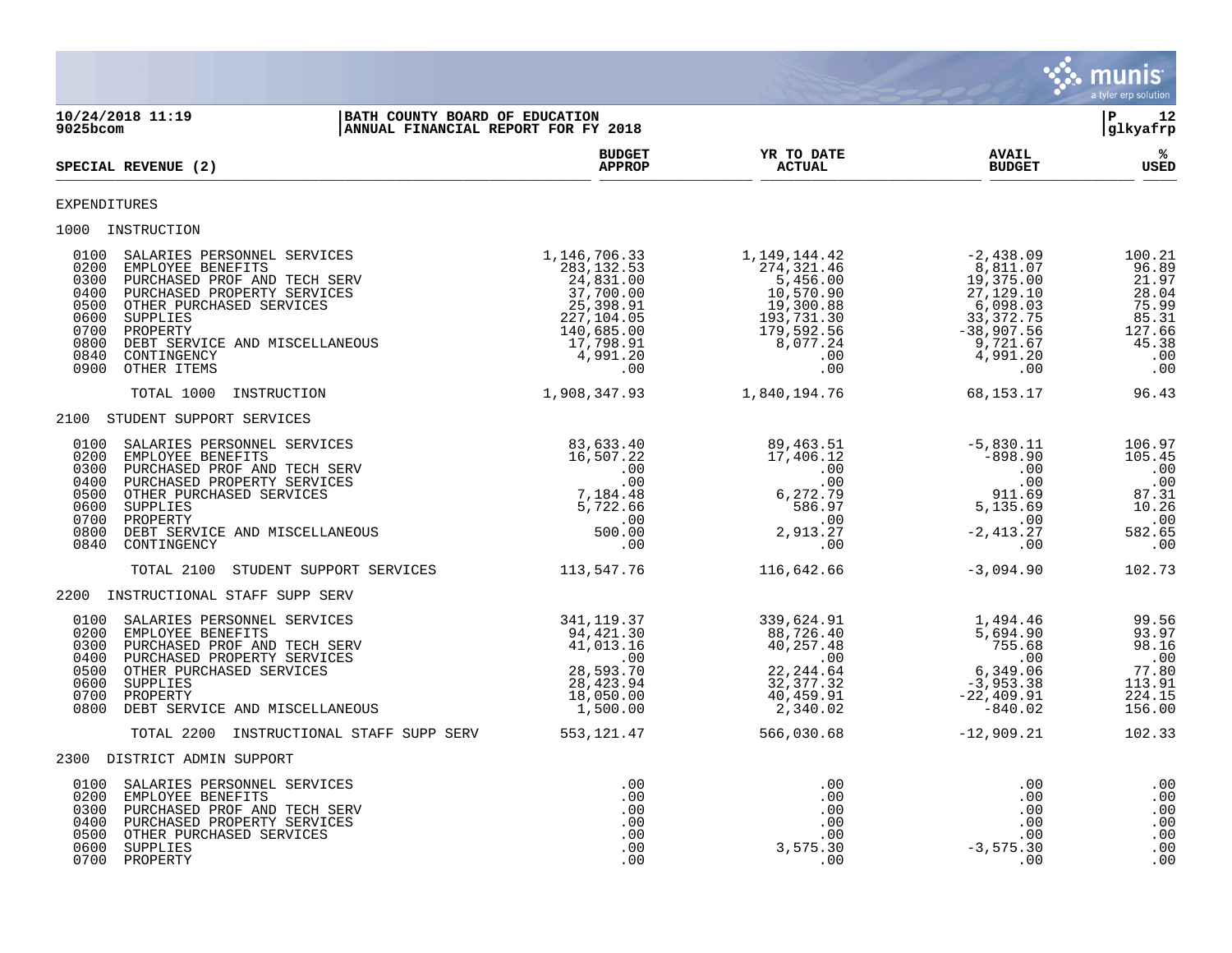

**10/24/2018 11:19 |BATH COUNTY BOARD OF EDUCATION |P 12 ANNUAL FINANCIAL REPORT FOR FY 2018 BUDGET YR TO DATE AVAIL %**  $\blacksquare$   $\blacksquare$   $\blacksquare$   $\blacksquare$   $\blacksquare$   $\blacksquare$   $\blacksquare$   $\blacksquare$   $\blacksquare$   $\blacksquare$   $\blacksquare$   $\blacksquare$   $\blacksquare$   $\blacksquare$   $\blacksquare$   $\blacksquare$   $\blacksquare$   $\blacksquare$   $\blacksquare$   $\blacksquare$   $\blacksquare$   $\blacksquare$   $\blacksquare$   $\blacksquare$   $\blacksquare$   $\blacksquare$   $\blacksquare$   $\blacksquare$   $\blacksquare$   $\blacksquare$   $\blacksquare$   $\blacksquare$  $\frac{\text{AFR} + \text{R}}{\text{AFR}}$ EXPENDITURES 1000 INSTRUCTION<br>
0100 SALARIES PERSONNEL SERVICES<br>
0200 EMPLOYEE BENEFITS<br>
0300 PURCHASED PROF AND TECH SERV<br>
0400 PURCHASED PROPERTY SERVICES<br>
0500 OTHER PURCHASED SERVICES 0100 SALARIES PERSONNEL SERVICES 1,146,706.33 1,149,144.42 -2,438.09 100.21 0200 EMPLOYEE BENEFITS 283,132.53 274,321.46 8,811.07 96.89 0300 PURCHASED PROF AND TECH SERV 24,831.00 5,456.00 19,375.00 21.97 0400 PURCHASED PROPERTY SERVICES 37,700.00 10,570.90 27,129.10 28.04 0500 OTHER PURCHASED SERVICES 25,398.91 19,300.88 6,098.03 75.99 0600 SUPPLIES 227,104.05 193,731.30 33,372.75 85.31 0700 PROPERTY 140,685.00 179,592.56 -38,907.56 127.66 0800 DEBT SERVICE AND MISCELLANEOUS **17,798.91** 8,077.24 9,721.67 9,721.67 45.38 0840 CONTINGENCY 4,991.20 .00 4,991.20 .00 0900 OTHER ITEMS .00 .00 .00 .00 TOTAL 1000 INSTRUCTION 1,908,347.93 1,840,194.76 68,153.17 96.43 2100 STUDENT SUPPORT SERVICES 0100 SALARIES PERSONNEL SERVICES 633.40 89,463.51 -5,830.11 106.97 0200 EMPLOYEE BENEFITS 16,507.22 17,406.12 -898.90 105.45 0300 PURCHASED PROF AND TECH SERV .00 .00 .00 .00 0400 PURCHASED PROPERTY SERVICES .00 .00 .00 .00 0500 OTHER PURCHASED SERVICES 7,184.48 6,272.79 911.69 87.31 0600 SUPPLIES 5,722.66 586.97 5,135.69 10.26 0700 PROPERTY .00 .00 .00 .00 0800 DEBT SERVICE AND MISCELLANEOUS 600.00 500.00 500.00 2,913.27 -2,413.27 582.65 0840 CONTINGENCY .00 .00 .00 .00 TOTAL 2100 STUDENT SUPPORT SERVICES 113,547.76 116,642.66 -3,094.90 -3,094.90 102.73 2200 INSTRUCTIONAL STAFF SUPP SERV 0100 SALARIES PERSONNEL SERVICES 69.56 341,119.37 339,624.91 339,624.91 0200 EMPLOYEE BENEFITS 94,421.30 88,726.40 5,694.90 93.97 0300 PURCHASED PROF AND TECH SERV 41,013.16 40,257.48 755.68 98.16 0400 PURCHASED PROPERTY SERVICES .00 .00 .00 .00 0500 OTHER PURCHASED SERVICES 28,593.70 22,244.64 6,349.06 77.80 0600 SUPPLIES 28,423.94 32,377.32 -3,953.38 113.91 0700 PROPERTY 18,050.00 40,459.91 -22,409.91 224.15 0800 DEBT SERVICE AND MISCELLANEOUS 1,500.00 2,340.02 -840.02 156.00 TOTAL 2200 INSTRUCTIONAL STAFF SUPP SERV 553,121.47 566,030.68 -12,909.21 102.33 2300 DISTRICT ADMIN SUPPORT 0100 SALARIES PERSONNEL SERVICES .00 .00 .00 .00 0200 EMPLOYEE BENEFITS .00 .00 .00 .00 0300 PURCHASED PROF AND TECH SERV .00 .00 .00 .00 0400 PURCHASED PROPERTY SERVICES .00 .00 .00 .00 0500 OTHER PURCHASED SERVICES .00 .00 .00 .00 0600 SUPPLIES .00 3,575.30 -3,575.30 .00 0700 PROPERTY .00 .00 .00 .00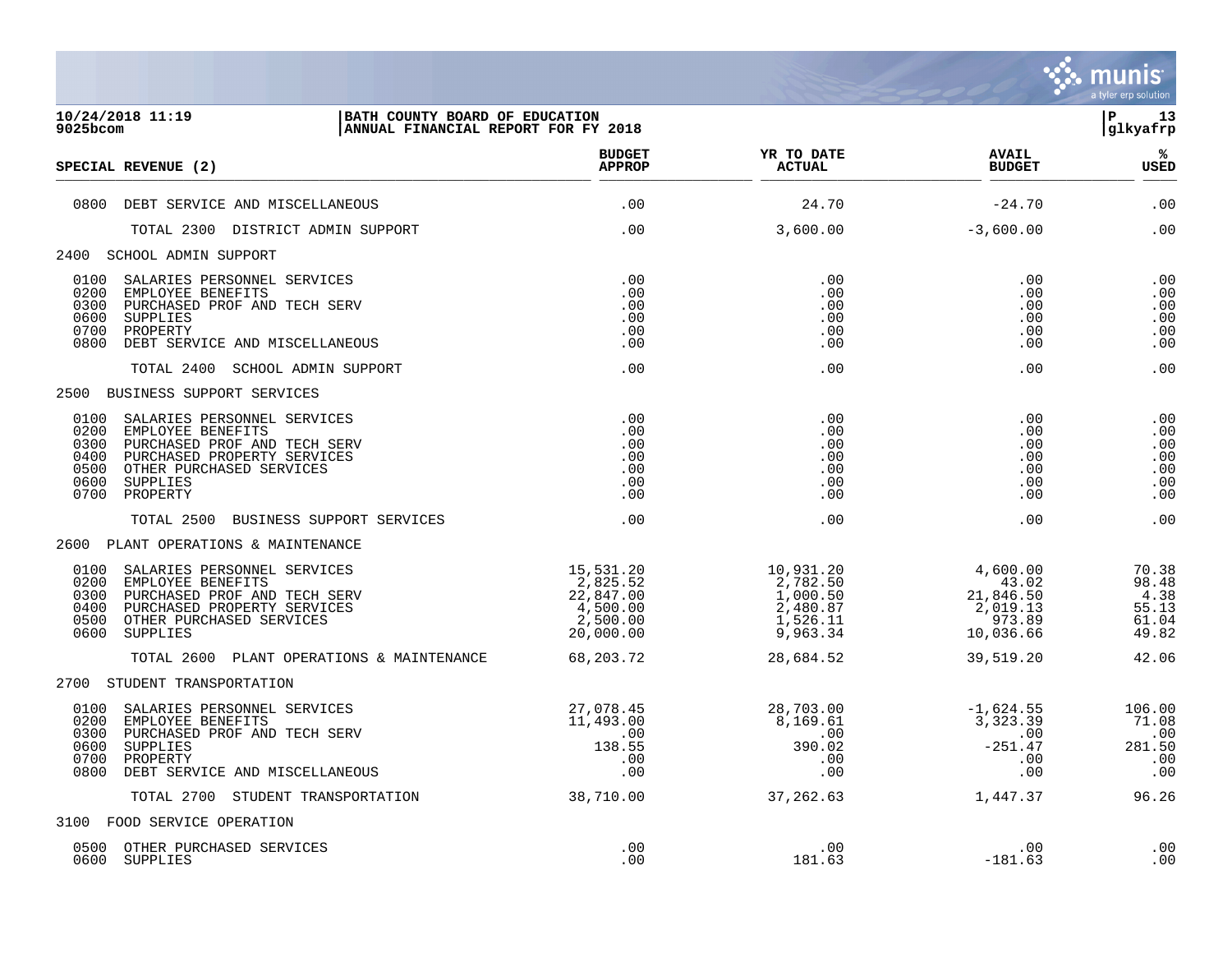

| $9025$ bcom                                          | 10/24/2018 11:19<br>BATH COUNTY BOARD OF EDUCATION<br>ANNUAL FINANCIAL REPORT FOR FY 2018                                                                           |                                                                         |                                                                                            |                                                                         | 13<br>ΙP<br>glkyafrp                              |
|------------------------------------------------------|---------------------------------------------------------------------------------------------------------------------------------------------------------------------|-------------------------------------------------------------------------|--------------------------------------------------------------------------------------------|-------------------------------------------------------------------------|---------------------------------------------------|
|                                                      | SPECIAL REVENUE (2)                                                                                                                                                 | <b>BUDGET</b><br><b>APPROP</b>                                          | YR TO DATE<br><b>ACTUAL</b>                                                                | <b>AVAIL</b><br><b>BUDGET</b>                                           | ℁<br><b>USED</b>                                  |
| 0800                                                 | DEBT SERVICE AND MISCELLANEOUS                                                                                                                                      | .00                                                                     | 24.70                                                                                      | $-24.70$                                                                | .00                                               |
|                                                      | TOTAL 2300 DISTRICT ADMIN SUPPORT                                                                                                                                   | .00                                                                     | 3,600.00                                                                                   | $-3,600.00$                                                             | .00                                               |
|                                                      | 2400 SCHOOL ADMIN SUPPORT                                                                                                                                           |                                                                         |                                                                                            |                                                                         |                                                   |
| 0100<br>0200<br>0300<br>0600<br>0700<br>0800         | SALARIES PERSONNEL SERVICES<br>EMPLOYEE BENEFITS<br>PURCHASED PROF AND TECH SERV<br>SUPPLIES<br>PROPERTY<br>DEBT SERVICE AND MISCELLANEOUS                          | .00<br>.00<br>$.00 \,$<br>.00<br>.00<br>.00                             | .00<br>.00<br>.00<br>.00<br>.00<br>.00                                                     | .00<br>.00<br>.00<br>.00<br>.00<br>.00                                  | .00<br>.00<br>.00<br>.00<br>.00<br>.00            |
|                                                      | TOTAL 2400 SCHOOL ADMIN SUPPORT                                                                                                                                     | .00                                                                     | .00                                                                                        | .00                                                                     | .00                                               |
|                                                      | 2500 BUSINESS SUPPORT SERVICES                                                                                                                                      |                                                                         |                                                                                            |                                                                         |                                                   |
| 0100<br>0200<br>0300<br>0400<br>0500<br>0600<br>0700 | SALARIES PERSONNEL SERVICES<br>EMPLOYEE BENEFITS<br>PURCHASED PROF AND TECH SERV<br>PURCHASED PROPERTY SERVICES<br>OTHER PURCHASED SERVICES<br>SUPPLIES<br>PROPERTY | .00<br>.00<br>.00<br>.00<br>.00<br>.00<br>.00                           | .00<br>.00<br>.00<br>.00<br>.00<br>.00<br>.00                                              | .00<br>.00<br>.00<br>.00<br>.00<br>.00<br>.00                           | .00<br>.00<br>.00<br>.00<br>.00<br>.00<br>.00     |
|                                                      | TOTAL 2500 BUSINESS SUPPORT SERVICES                                                                                                                                | .00                                                                     | .00                                                                                        | .00                                                                     | .00                                               |
|                                                      | 2600 PLANT OPERATIONS & MAINTENANCE                                                                                                                                 |                                                                         |                                                                                            |                                                                         |                                                   |
| 0100<br>0200<br>0300<br>0400<br>0500<br>0600         | SALARIES PERSONNEL SERVICES<br>EMPLOYEE BENEFITS<br>PURCHASED PROF AND TECH SERV<br>PURCHASED PROPERTY SERVICES<br>OTHER PURCHASED SERVICES<br>SUPPLIES             | 15,531.20<br>2,825.52<br>22,847.00<br>4,500.00<br>2,500.00<br>20,000.00 | 10,931.20<br>2,782.50<br>1,000.50<br>2,480.87<br>1,526.11<br>9,963.34                      | 4,600.00<br>43.02<br>21,846.50<br>2,019.13<br>973.89<br>10,036.66       | 70.38<br>98.48<br>4.38<br>55.13<br>61.04<br>49.82 |
|                                                      | TOTAL 2600 PLANT OPERATIONS & MAINTENANCE                                                                                                                           | 68,203.72                                                               | 28,684.52                                                                                  | 39,519.20                                                               | 42.06                                             |
|                                                      | 2700 STUDENT TRANSPORTATION                                                                                                                                         |                                                                         |                                                                                            |                                                                         |                                                   |
| 0100<br>0200<br>0300<br>0600<br>0700<br>0800         | SALARIES PERSONNEL SERVICES<br>EMPLOYEE BENEFITS<br>PURCHASED PROF AND TECH SERV<br>SUPPLIES<br>PROPERTY<br>DEBT SERVICE AND MISCELLANEOUS                          | 27,078.45<br>11,493.00<br>.00<br>138.55<br>.00<br>.00                   | 28,703.00<br>28,703.00<br>8,169.61<br>$\overline{\phantom{0}}$ .00<br>390.02<br>.00<br>.00 | $-1,624.55$<br>$\frac{1}{3}$ , 323.39<br>.00<br>$-251.47$<br>.00<br>.00 | 106.00<br>71.08<br>.00<br>281.50<br>.00<br>.00    |
|                                                      | TOTAL 2700 STUDENT TRANSPORTATION                                                                                                                                   | 38,710.00                                                               | 37,262.63                                                                                  | 1,447.37                                                                | 96.26                                             |
|                                                      | 3100 FOOD SERVICE OPERATION                                                                                                                                         |                                                                         |                                                                                            |                                                                         |                                                   |
|                                                      | 0500 OTHER PURCHASED SERVICES<br>0600 SUPPLIES                                                                                                                      | .00<br>.00                                                              | .00<br>181.63                                                                              | .00<br>$-181.63$                                                        | .00<br>.00                                        |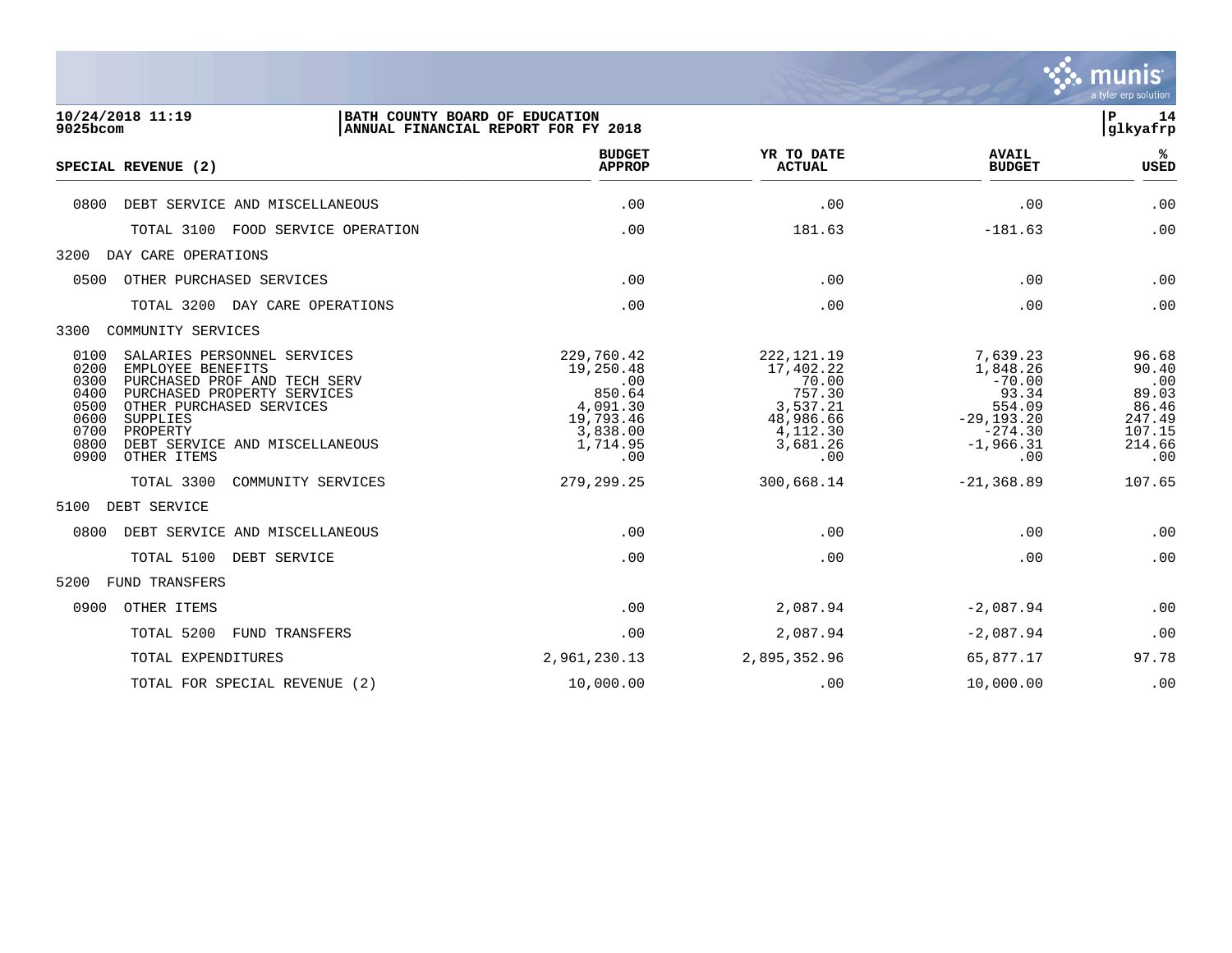

| 10/24/2018 11:19                                                                                                                                                                                                     |                                                                                                  |                                                                                                      |                                                                                                         | $\mathbf P$<br>14<br>glkyafrp                                                |
|----------------------------------------------------------------------------------------------------------------------------------------------------------------------------------------------------------------------|--------------------------------------------------------------------------------------------------|------------------------------------------------------------------------------------------------------|---------------------------------------------------------------------------------------------------------|------------------------------------------------------------------------------|
| SPECIAL REVENUE (2)                                                                                                                                                                                                  | <b>BUDGET</b><br><b>APPROP</b>                                                                   | YR TO DATE<br><b>ACTUAL</b>                                                                          | <b>AVAIL</b><br><b>BUDGET</b>                                                                           | %<br>USED                                                                    |
| DEBT SERVICE AND MISCELLANEOUS                                                                                                                                                                                       | .00                                                                                              | .00                                                                                                  | .00                                                                                                     | .00                                                                          |
| TOTAL 3100<br>FOOD SERVICE OPERATION                                                                                                                                                                                 | .00                                                                                              | 181.63                                                                                               | $-181.63$                                                                                               | .00                                                                          |
| DAY CARE OPERATIONS                                                                                                                                                                                                  |                                                                                                  |                                                                                                      |                                                                                                         |                                                                              |
| OTHER PURCHASED SERVICES                                                                                                                                                                                             | .00                                                                                              | .00                                                                                                  | .00                                                                                                     | .00                                                                          |
| TOTAL 3200<br>DAY CARE OPERATIONS                                                                                                                                                                                    | .00                                                                                              | .00                                                                                                  | .00                                                                                                     | .00                                                                          |
| COMMUNITY SERVICES                                                                                                                                                                                                   |                                                                                                  |                                                                                                      |                                                                                                         |                                                                              |
| SALARIES PERSONNEL SERVICES<br>EMPLOYEE BENEFITS<br>PURCHASED PROF AND TECH SERV<br>PURCHASED PROPERTY SERVICES<br>OTHER PURCHASED SERVICES<br>SUPPLIES<br>PROPERTY<br>DEBT SERVICE AND MISCELLANEOUS<br>OTHER ITEMS | 229,760.42<br>19,250.48<br>.00<br>850.64<br>4,091.30<br>19,793.46<br>3,838.00<br>1,714.95<br>.00 | 222, 121. 19<br>17,402.22<br>70.00<br>757.30<br>3,537.21<br>48,986.66<br>4,112.30<br>3,681.26<br>.00 | 7,639.23<br>1,848.26<br>$-70.00$<br>93.34<br>554.09<br>$-29, 193.20$<br>$-274.30$<br>$-1,966.31$<br>.00 | 96.68<br>90.40<br>.00<br>89.03<br>86.46<br>247.49<br>107.15<br>214.66<br>.00 |
| TOTAL 3300<br>COMMUNITY SERVICES                                                                                                                                                                                     | 279, 299. 25                                                                                     | 300,668.14                                                                                           | $-21, 368.89$                                                                                           | 107.65                                                                       |
| DEBT SERVICE                                                                                                                                                                                                         |                                                                                                  |                                                                                                      |                                                                                                         |                                                                              |
| DEBT SERVICE AND MISCELLANEOUS                                                                                                                                                                                       | .00                                                                                              | .00                                                                                                  | .00                                                                                                     | .00                                                                          |
| TOTAL 5100<br>DEBT SERVICE                                                                                                                                                                                           | .00                                                                                              | .00                                                                                                  | .00                                                                                                     | .00                                                                          |
| FUND TRANSFERS                                                                                                                                                                                                       |                                                                                                  |                                                                                                      |                                                                                                         |                                                                              |
| OTHER ITEMS                                                                                                                                                                                                          | .00                                                                                              | 2,087.94                                                                                             | $-2,087.94$                                                                                             | .00                                                                          |
| TOTAL 5200<br>FUND TRANSFERS                                                                                                                                                                                         | .00                                                                                              | 2,087.94                                                                                             | $-2,087.94$                                                                                             | .00                                                                          |
| TOTAL EXPENDITURES                                                                                                                                                                                                   | 2,961,230.13                                                                                     | 2,895,352.96                                                                                         | 65,877.17                                                                                               | 97.78                                                                        |
|                                                                                                                                                                                                                      |                                                                                                  | BATH COUNTY BOARD OF EDUCATION<br>ANNUAL FINANCIAL REPORT FOR FY 2018                                |                                                                                                         |                                                                              |

TOTAL FOR SPECIAL REVENUE (2)  $10,000.00$  .00 .00 .00  $10,000.00$  .00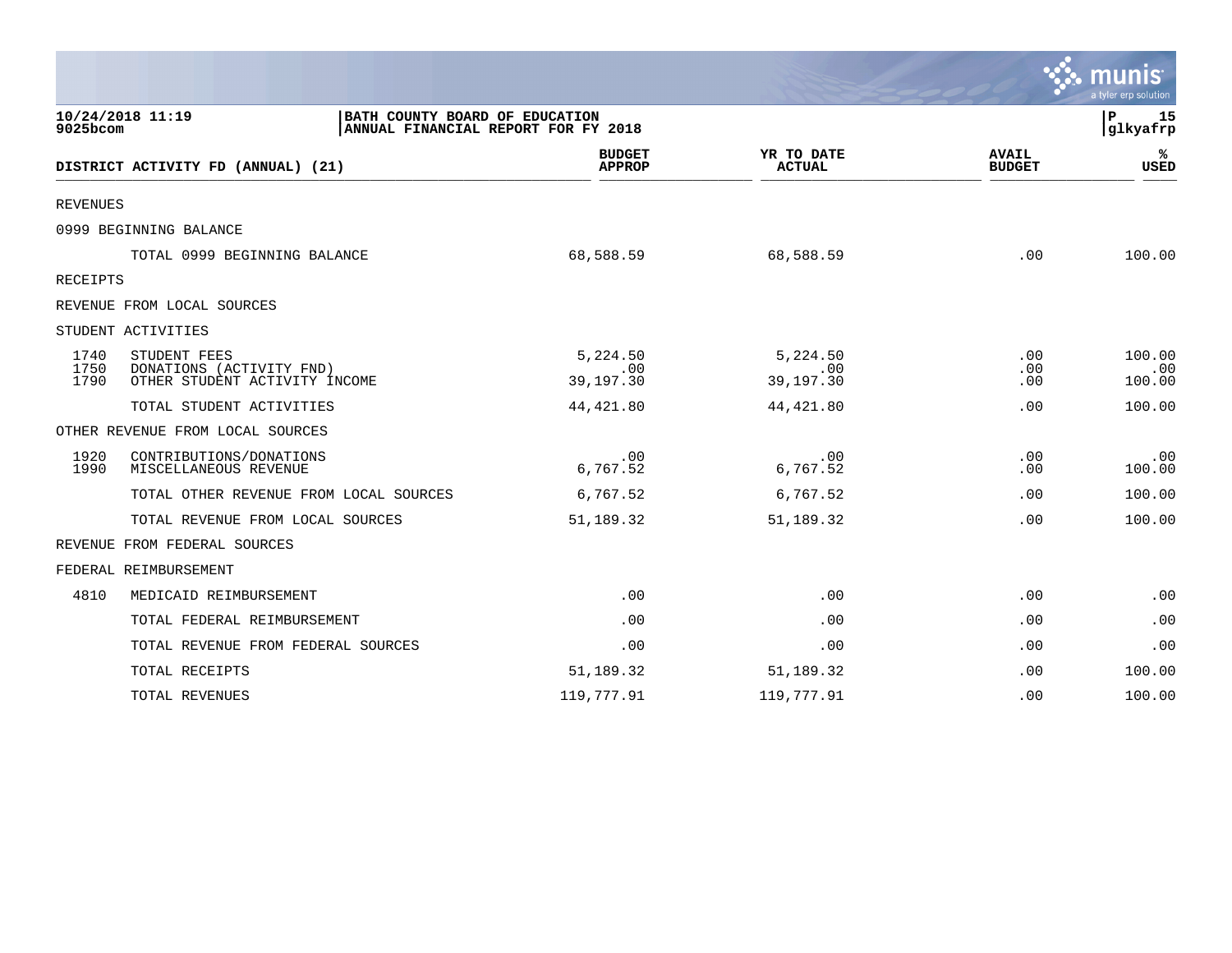|                      |                                                                                           |                                |                              |                               | a tyler erp solution    |
|----------------------|-------------------------------------------------------------------------------------------|--------------------------------|------------------------------|-------------------------------|-------------------------|
| 9025bcom             | 10/24/2018 11:19<br>BATH COUNTY BOARD OF EDUCATION<br>ANNUAL FINANCIAL REPORT FOR FY 2018 |                                |                              |                               | 15<br>P<br>glkyafrp     |
|                      | DISTRICT ACTIVITY FD (ANNUAL) (21)                                                        | <b>BUDGET</b><br><b>APPROP</b> | YR TO DATE<br><b>ACTUAL</b>  | <b>AVAIL</b><br><b>BUDGET</b> | %ะ<br><b>USED</b>       |
| <b>REVENUES</b>      |                                                                                           |                                |                              |                               |                         |
|                      | 0999 BEGINNING BALANCE                                                                    |                                |                              |                               |                         |
|                      | TOTAL 0999 BEGINNING BALANCE                                                              | 68,588.59                      | 68,588.59                    | .00                           | 100.00                  |
| RECEIPTS             |                                                                                           |                                |                              |                               |                         |
|                      | REVENUE FROM LOCAL SOURCES                                                                |                                |                              |                               |                         |
|                      | STUDENT ACTIVITIES                                                                        |                                |                              |                               |                         |
| 1740<br>1750<br>1790 | STUDENT FEES<br>DONATIONS (ACTIVITY FND)<br>OTHER STUDENT ACTIVITY INCOME                 | 5,224.50<br>.00<br>39,197.30   | 5,224.50<br>.00<br>39,197.30 | .00<br>.00<br>.00             | 100.00<br>.00<br>100.00 |
|                      | TOTAL STUDENT ACTIVITIES                                                                  | 44, 421.80                     | 44, 421.80                   | .00                           | 100.00                  |
|                      | OTHER REVENUE FROM LOCAL SOURCES                                                          |                                |                              |                               |                         |
| 1920<br>1990         | CONTRIBUTIONS/DONATIONS<br>MISCELLANEOUS REVENUE                                          | .00<br>6,767.52                | .00<br>6,767.52              | .00<br>.00                    | .00<br>100.00           |
|                      | TOTAL OTHER REVENUE FROM LOCAL SOURCES                                                    | 6,767.52                       | 6,767.52                     | .00                           | 100.00                  |
|                      | TOTAL REVENUE FROM LOCAL SOURCES                                                          | 51,189.32                      | 51,189.32                    | .00                           | 100.00                  |
|                      | REVENUE FROM FEDERAL SOURCES                                                              |                                |                              |                               |                         |
|                      | FEDERAL REIMBURSEMENT                                                                     |                                |                              |                               |                         |
| 4810                 | MEDICAID REIMBURSEMENT                                                                    | .00                            | .00                          | .00                           | .00                     |
|                      | TOTAL FEDERAL REIMBURSEMENT                                                               | .00                            | .00                          | .00                           | .00                     |
|                      | TOTAL REVENUE FROM FEDERAL SOURCES                                                        | .00                            | .00                          | .00                           | .00                     |
|                      | TOTAL RECEIPTS                                                                            | 51,189.32                      | 51,189.32                    | .00                           | 100.00                  |
|                      | TOTAL REVENUES                                                                            | 119,777.91                     | 119,777.91                   | .00                           | 100.00                  |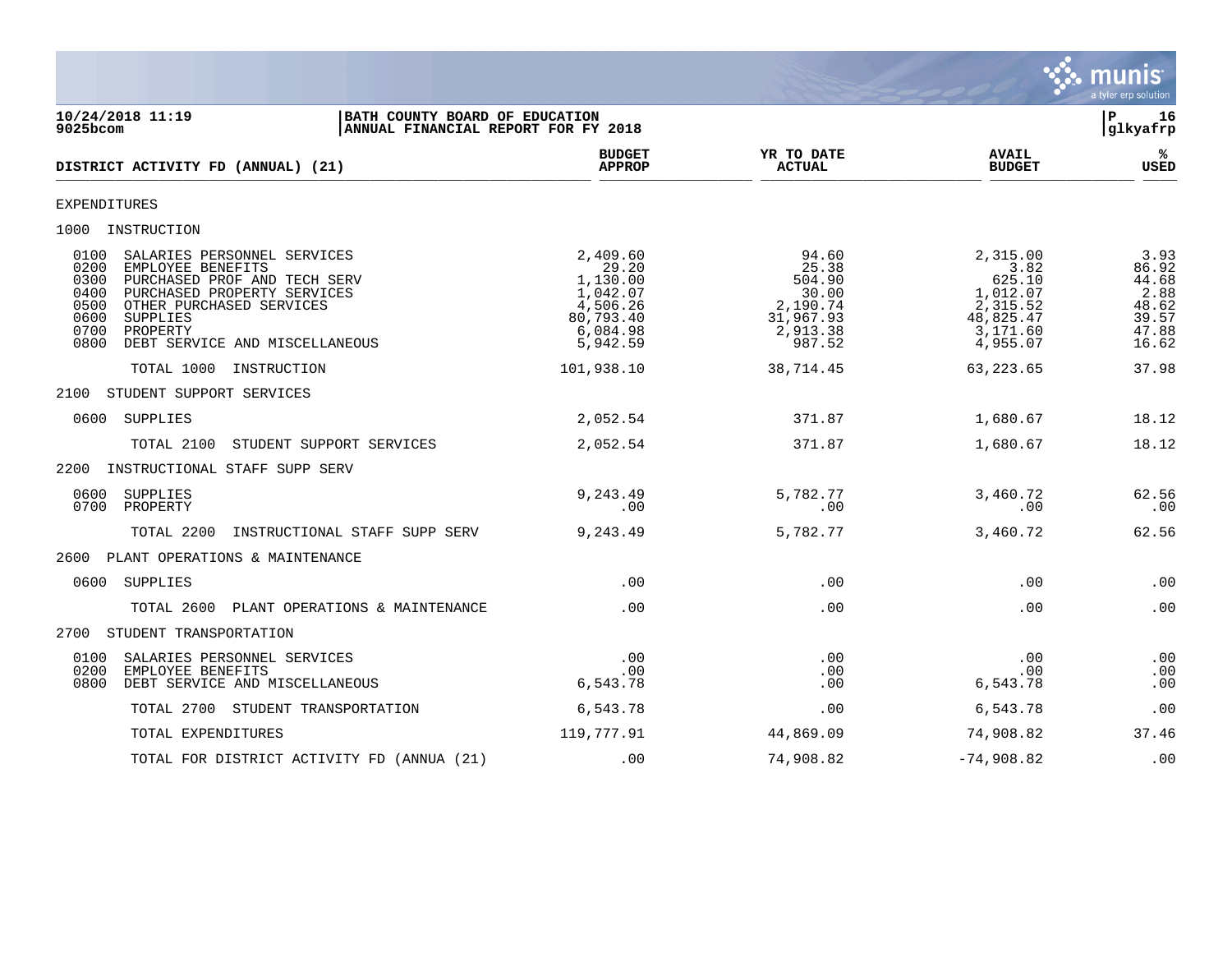

| 10/24/2018 11:19<br>BATH COUNTY BOARD OF EDUCATION<br>$9025$ bcom<br>ANNUAL FINANCIAL REPORT FOR FY 2018                                                                                                                                                              |                                                                                            |                                                                                  |                                                                                         | P.<br>16<br> glkyafrp                                              |
|-----------------------------------------------------------------------------------------------------------------------------------------------------------------------------------------------------------------------------------------------------------------------|--------------------------------------------------------------------------------------------|----------------------------------------------------------------------------------|-----------------------------------------------------------------------------------------|--------------------------------------------------------------------|
| DISTRICT ACTIVITY FD (ANNUAL) (21)                                                                                                                                                                                                                                    | <b>BUDGET</b><br><b>APPROP</b>                                                             | YR TO DATE<br><b>ACTUAL</b>                                                      | <b>AVAIL</b><br><b>BUDGET</b>                                                           | %ะ<br><b>USED</b>                                                  |
| EXPENDITURES                                                                                                                                                                                                                                                          |                                                                                            |                                                                                  |                                                                                         |                                                                    |
| 1000 INSTRUCTION                                                                                                                                                                                                                                                      |                                                                                            |                                                                                  |                                                                                         |                                                                    |
| 0100<br>SALARIES PERSONNEL SERVICES<br>0200<br>EMPLOYEE BENEFITS<br>0300<br>PURCHASED PROF AND TECH SERV<br>0400<br>PURCHASED PROPERTY SERVICES<br>0500<br>OTHER PURCHASED SERVICES<br>0600<br>SUPPLIES<br>0700<br>PROPERTY<br>DEBT SERVICE AND MISCELLANEOUS<br>0800 | 2,409.60<br>29.20<br>1,130.00<br>1,042.07<br>4,506.26<br>80,793.40<br>6,084.98<br>5,942.59 | 94.60<br>25.38<br>504.90<br>30.00<br>2,190.74<br>31,967.93<br>2,913.38<br>987.52 | 2,315.00<br>3.82<br>625.10<br>1,012.07<br>2,315.52<br>48,825.47<br>3,171.60<br>4,955.07 | 3.93<br>86.92<br>44.68<br>2.88<br>48.62<br>39.57<br>47.88<br>16.62 |
| TOTAL 1000 INSTRUCTION                                                                                                                                                                                                                                                | 101,938.10                                                                                 | 38,714.45                                                                        | 63,223.65                                                                               | 37.98                                                              |
| STUDENT SUPPORT SERVICES<br>2100                                                                                                                                                                                                                                      |                                                                                            |                                                                                  |                                                                                         |                                                                    |
| 0600<br>SUPPLIES                                                                                                                                                                                                                                                      | 2,052.54                                                                                   | 371.87                                                                           | 1,680.67                                                                                | 18.12                                                              |
| STUDENT SUPPORT SERVICES<br>TOTAL 2100                                                                                                                                                                                                                                | 2,052.54                                                                                   | 371.87                                                                           | 1,680.67                                                                                | 18.12                                                              |
| 2200<br>INSTRUCTIONAL STAFF SUPP SERV                                                                                                                                                                                                                                 |                                                                                            |                                                                                  |                                                                                         |                                                                    |
| 0600<br>SUPPLIES<br>0700<br>PROPERTY                                                                                                                                                                                                                                  | 9,243.49<br>.00                                                                            | 5,782.77<br>.00                                                                  | 3,460.72<br>.00                                                                         | 62.56<br>.00                                                       |
| TOTAL 2200<br>INSTRUCTIONAL STAFF SUPP SERV                                                                                                                                                                                                                           | 9,243.49                                                                                   | 5,782.77                                                                         | 3,460.72                                                                                | 62.56                                                              |
| 2600 PLANT OPERATIONS & MAINTENANCE                                                                                                                                                                                                                                   |                                                                                            |                                                                                  |                                                                                         |                                                                    |
| 0600 SUPPLIES                                                                                                                                                                                                                                                         | .00                                                                                        | .00                                                                              | .00                                                                                     | .00                                                                |
| PLANT OPERATIONS & MAINTENANCE<br>TOTAL 2600                                                                                                                                                                                                                          | .00                                                                                        | .00                                                                              | .00                                                                                     | .00                                                                |
| 2700 STUDENT TRANSPORTATION                                                                                                                                                                                                                                           |                                                                                            |                                                                                  |                                                                                         |                                                                    |
| 0100<br>SALARIES PERSONNEL SERVICES<br>0200<br>EMPLOYEE BENEFITS<br>0800<br>DEBT SERVICE AND MISCELLANEOUS                                                                                                                                                            | .00<br>.00<br>6,543.78                                                                     | .00<br>.00<br>.00                                                                | .00<br>.00.<br>6,543.78                                                                 | .00<br>.00<br>.00                                                  |
| TOTAL 2700 STUDENT TRANSPORTATION                                                                                                                                                                                                                                     | 6,543.78                                                                                   | .00                                                                              | 6,543.78                                                                                | .00                                                                |
| TOTAL EXPENDITURES                                                                                                                                                                                                                                                    | 119,777.91                                                                                 | 44,869.09                                                                        | 74,908.82                                                                               | 37.46                                                              |
| TOTAL FOR DISTRICT ACTIVITY FD (ANNUA (21)                                                                                                                                                                                                                            | .00                                                                                        | 74,908.82                                                                        | $-74,908.82$                                                                            | .00                                                                |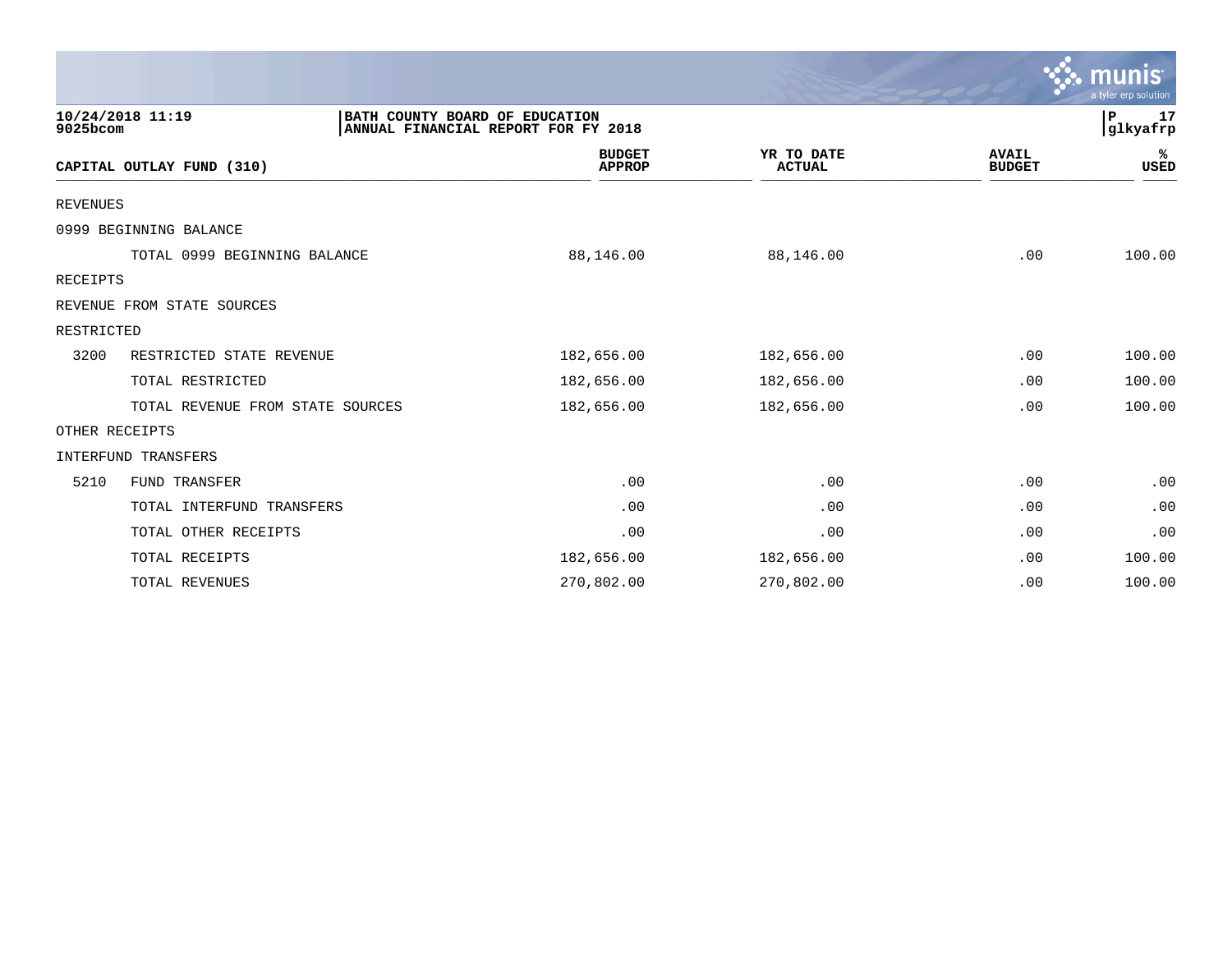|                 |                                  |                                                                       |                                |                             |                               | $\mathcal{C}$ munis<br>a tyler erp solution |
|-----------------|----------------------------------|-----------------------------------------------------------------------|--------------------------------|-----------------------------|-------------------------------|---------------------------------------------|
| 9025bcom        | 10/24/2018 11:19                 | BATH COUNTY BOARD OF EDUCATION<br>ANNUAL FINANCIAL REPORT FOR FY 2018 |                                |                             |                               | P<br>17<br>glkyafrp                         |
|                 | CAPITAL OUTLAY FUND (310)        |                                                                       | <b>BUDGET</b><br><b>APPROP</b> | YR TO DATE<br><b>ACTUAL</b> | <b>AVAIL</b><br><b>BUDGET</b> | ℁<br><b>USED</b>                            |
| <b>REVENUES</b> |                                  |                                                                       |                                |                             |                               |                                             |
|                 | 0999 BEGINNING BALANCE           |                                                                       |                                |                             |                               |                                             |
|                 | TOTAL 0999 BEGINNING BALANCE     |                                                                       | 88,146.00                      | 88,146.00                   | .00                           | 100.00                                      |
| RECEIPTS        |                                  |                                                                       |                                |                             |                               |                                             |
|                 | REVENUE FROM STATE SOURCES       |                                                                       |                                |                             |                               |                                             |
| RESTRICTED      |                                  |                                                                       |                                |                             |                               |                                             |
| 3200            | RESTRICTED STATE REVENUE         |                                                                       | 182,656.00                     | 182,656.00                  | .00                           | 100.00                                      |
|                 | TOTAL RESTRICTED                 |                                                                       | 182,656.00                     | 182,656.00                  | .00                           | 100.00                                      |
|                 | TOTAL REVENUE FROM STATE SOURCES |                                                                       | 182,656.00                     | 182,656.00                  | .00                           | 100.00                                      |
|                 | OTHER RECEIPTS                   |                                                                       |                                |                             |                               |                                             |
|                 | INTERFUND TRANSFERS              |                                                                       |                                |                             |                               |                                             |
| 5210            | <b>FUND TRANSFER</b>             |                                                                       | .00                            | .00                         | .00                           | .00                                         |
|                 | TOTAL INTERFUND TRANSFERS        |                                                                       | .00                            | .00                         | .00                           | .00                                         |
|                 | TOTAL OTHER RECEIPTS             |                                                                       | .00                            | .00                         | .00                           | .00                                         |
|                 | TOTAL RECEIPTS                   |                                                                       | 182,656.00                     | 182,656.00                  | .00                           | 100.00                                      |
|                 | <b>TOTAL REVENUES</b>            |                                                                       | 270,802.00                     | 270,802.00                  | .00                           | 100.00                                      |

 $\sim$   $\sim$   $\sim$   $\sim$   $\sim$   $\sim$   $\sim$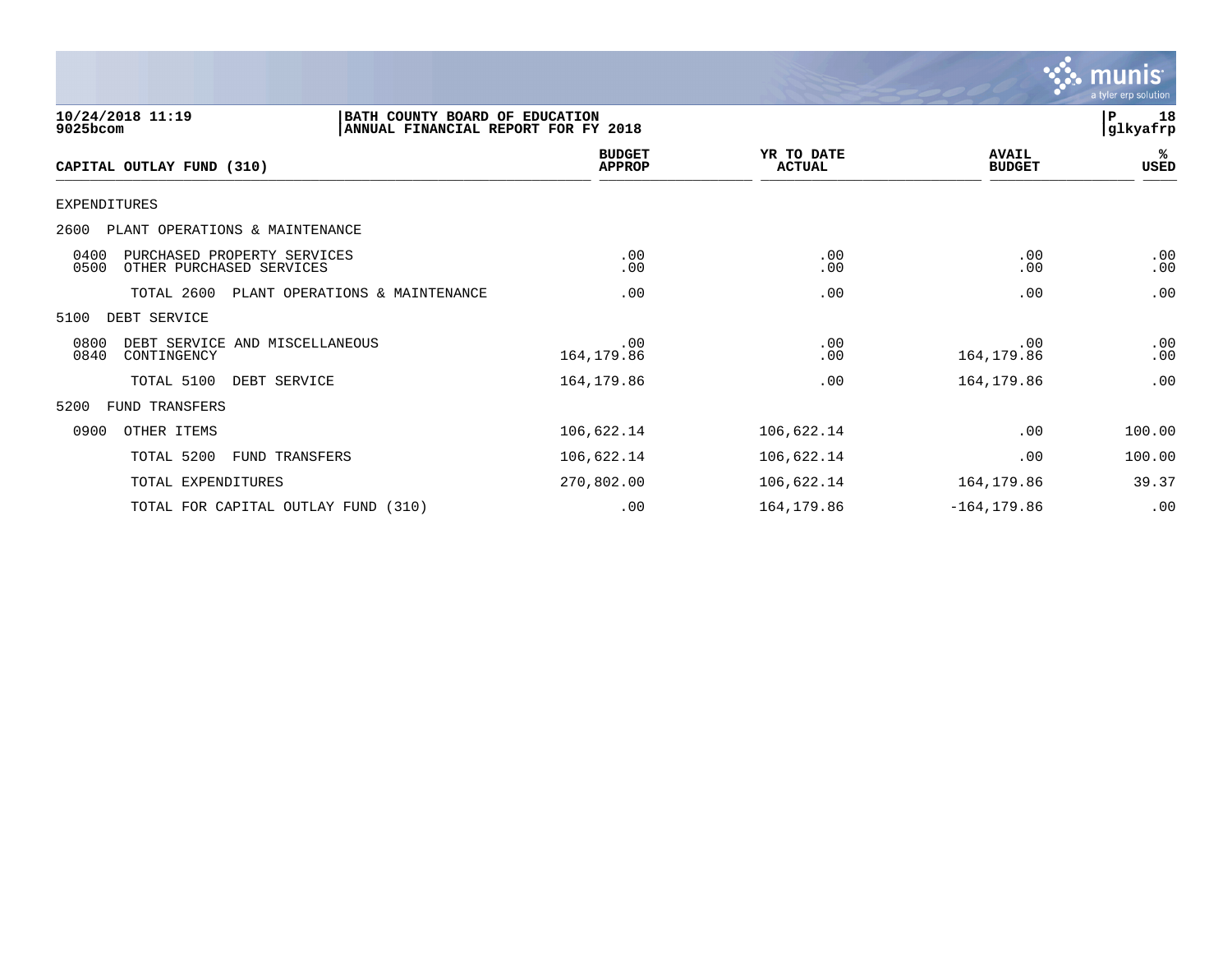

| 10/24/2018 11:19<br>9025bcom                                            | BATH COUNTY BOARD OF EDUCATION<br>ANNUAL FINANCIAL REPORT FOR FY 2018 |                                |                             |                               | 18<br>l P<br> glkyafrp |
|-------------------------------------------------------------------------|-----------------------------------------------------------------------|--------------------------------|-----------------------------|-------------------------------|------------------------|
| CAPITAL OUTLAY FUND (310)                                               |                                                                       | <b>BUDGET</b><br><b>APPROP</b> | YR TO DATE<br><b>ACTUAL</b> | <b>AVAIL</b><br><b>BUDGET</b> | %ะ<br>USED             |
| <b>EXPENDITURES</b>                                                     |                                                                       |                                |                             |                               |                        |
| 2600<br>PLANT OPERATIONS & MAINTENANCE                                  |                                                                       |                                |                             |                               |                        |
| 0400<br>PURCHASED PROPERTY SERVICES<br>0500<br>OTHER PURCHASED SERVICES |                                                                       | .00<br>.00                     | .00<br>.00                  | .00<br>.00                    | .00<br>.00             |
| TOTAL 2600                                                              | PLANT OPERATIONS & MAINTENANCE                                        | .00                            | .00                         | .00                           | .00                    |
| 5100<br>DEBT SERVICE                                                    |                                                                       |                                |                             |                               |                        |
| 0800<br>DEBT SERVICE AND MISCELLANEOUS<br>0840<br>CONTINGENCY           |                                                                       | .00<br>164, 179.86             | .00<br>.00                  | .00<br>164,179.86             | .00<br>.00             |
| TOTAL 5100                                                              | DEBT SERVICE                                                          | 164,179.86                     | .00                         | 164,179.86                    | .00                    |
| 5200<br>FUND TRANSFERS                                                  |                                                                       |                                |                             |                               |                        |
| 0900<br>OTHER ITEMS                                                     |                                                                       | 106,622.14                     | 106,622.14                  | .00                           | 100.00                 |
| TOTAL 5200                                                              | <b>FUND TRANSFERS</b>                                                 | 106,622.14                     | 106,622.14                  | .00                           | 100.00                 |
| TOTAL EXPENDITURES                                                      |                                                                       | 270,802.00                     | 106,622.14                  | 164,179.86                    | 39.37                  |
|                                                                         | TOTAL FOR CAPITAL OUTLAY FUND (310)                                   | .00                            | 164,179.86                  | $-164, 179.86$                | .00                    |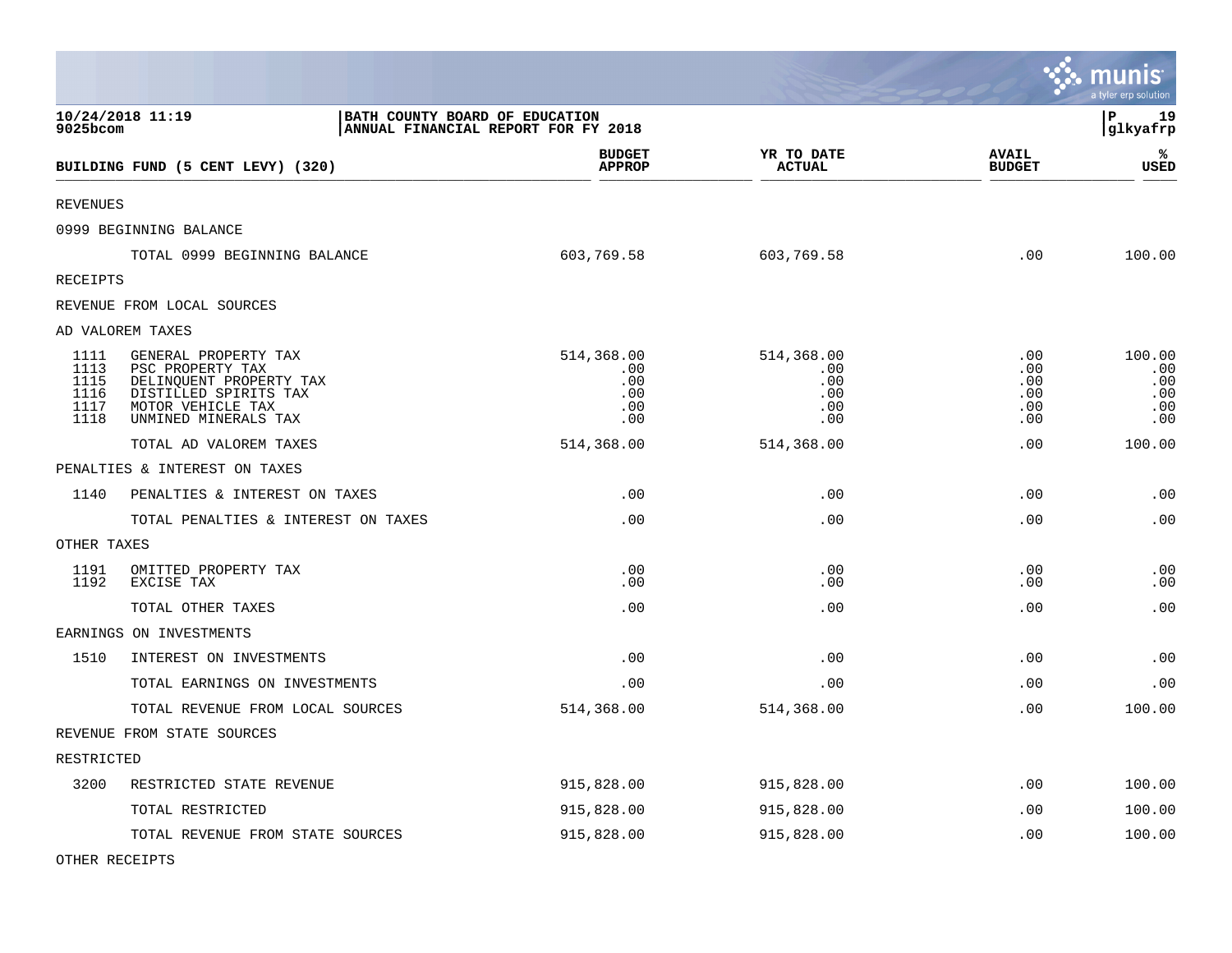|                                              |                                                                                                                                           |                                                                       |                                               |                                        | <b>nis</b><br>mu<br>a tyler erp solution  |
|----------------------------------------------|-------------------------------------------------------------------------------------------------------------------------------------------|-----------------------------------------------------------------------|-----------------------------------------------|----------------------------------------|-------------------------------------------|
| 9025bcom                                     | 10/24/2018 11:19                                                                                                                          | BATH COUNTY BOARD OF EDUCATION<br>ANNUAL FINANCIAL REPORT FOR FY 2018 |                                               |                                        | Þ<br>19<br> glkyafrp                      |
|                                              | BUILDING FUND (5 CENT LEVY) (320)                                                                                                         | <b>BUDGET</b><br><b>APPROP</b>                                        | YR TO DATE<br><b>ACTUAL</b>                   | <b>AVAIL</b><br><b>BUDGET</b>          | ℁<br><b>USED</b>                          |
| <b>REVENUES</b>                              |                                                                                                                                           |                                                                       |                                               |                                        |                                           |
|                                              | 0999 BEGINNING BALANCE                                                                                                                    |                                                                       |                                               |                                        |                                           |
|                                              | TOTAL 0999 BEGINNING BALANCE                                                                                                              | 603,769.58                                                            | 603,769.58                                    | .00                                    | 100.00                                    |
| RECEIPTS                                     |                                                                                                                                           |                                                                       |                                               |                                        |                                           |
|                                              | REVENUE FROM LOCAL SOURCES                                                                                                                |                                                                       |                                               |                                        |                                           |
|                                              | AD VALOREM TAXES                                                                                                                          |                                                                       |                                               |                                        |                                           |
| 1111<br>1113<br>1115<br>1116<br>1117<br>1118 | GENERAL PROPERTY TAX<br>PSC PROPERTY TAX<br>DELINQUENT PROPERTY TAX<br>DISTILLED SPIRITS TAX<br>MOTOR VEHICLE TAX<br>UNMINED MINERALS TAX | 514,368.00<br>.00<br>.00<br>.00<br>.00<br>.00                         | 514,368.00<br>.00<br>.00<br>.00<br>.00<br>.00 | .00<br>.00<br>.00<br>.00<br>.00<br>.00 | 100.00<br>.00<br>.00<br>.00<br>.00<br>.00 |
|                                              | TOTAL AD VALOREM TAXES                                                                                                                    | 514,368.00                                                            | 514,368.00                                    | .00                                    | 100.00                                    |
|                                              | PENALTIES & INTEREST ON TAXES                                                                                                             |                                                                       |                                               |                                        |                                           |
| 1140                                         | PENALTIES & INTEREST ON TAXES                                                                                                             | .00                                                                   | .00                                           | .00                                    | .00                                       |
|                                              | TOTAL PENALTIES & INTEREST ON TAXES                                                                                                       | .00                                                                   | .00                                           | .00                                    | .00                                       |
| OTHER TAXES                                  |                                                                                                                                           |                                                                       |                                               |                                        |                                           |
| 1191<br>1192                                 | OMITTED PROPERTY TAX<br>EXCISE TAX                                                                                                        | .00<br>.00                                                            | .00<br>.00                                    | .00<br>.00                             | .00<br>.00                                |
|                                              | TOTAL OTHER TAXES                                                                                                                         | .00                                                                   | .00                                           | .00                                    | .00                                       |
|                                              | EARNINGS ON INVESTMENTS                                                                                                                   |                                                                       |                                               |                                        |                                           |
| 1510                                         | INTEREST ON INVESTMENTS                                                                                                                   | .00                                                                   | .00                                           | .00                                    | .00                                       |
|                                              | TOTAL EARNINGS ON INVESTMENTS                                                                                                             | .00                                                                   | .00                                           | .00                                    | .00                                       |
|                                              | TOTAL REVENUE FROM LOCAL SOURCES                                                                                                          | 514,368.00                                                            | 514,368.00                                    | .00                                    | 100.00                                    |
|                                              | REVENUE FROM STATE SOURCES                                                                                                                |                                                                       |                                               |                                        |                                           |
| RESTRICTED                                   |                                                                                                                                           |                                                                       |                                               |                                        |                                           |
| 3200                                         | RESTRICTED STATE REVENUE                                                                                                                  | 915,828.00                                                            | 915,828.00                                    | .00                                    | 100.00                                    |
|                                              | TOTAL RESTRICTED                                                                                                                          | 915,828.00                                                            | 915,828.00                                    | .00                                    | 100.00                                    |
|                                              | TOTAL REVENUE FROM STATE SOURCES                                                                                                          | 915,828.00                                                            | 915,828.00                                    | .00                                    | 100.00                                    |

**Contract Contract Contract Contract** 

OTHER RECEIPTS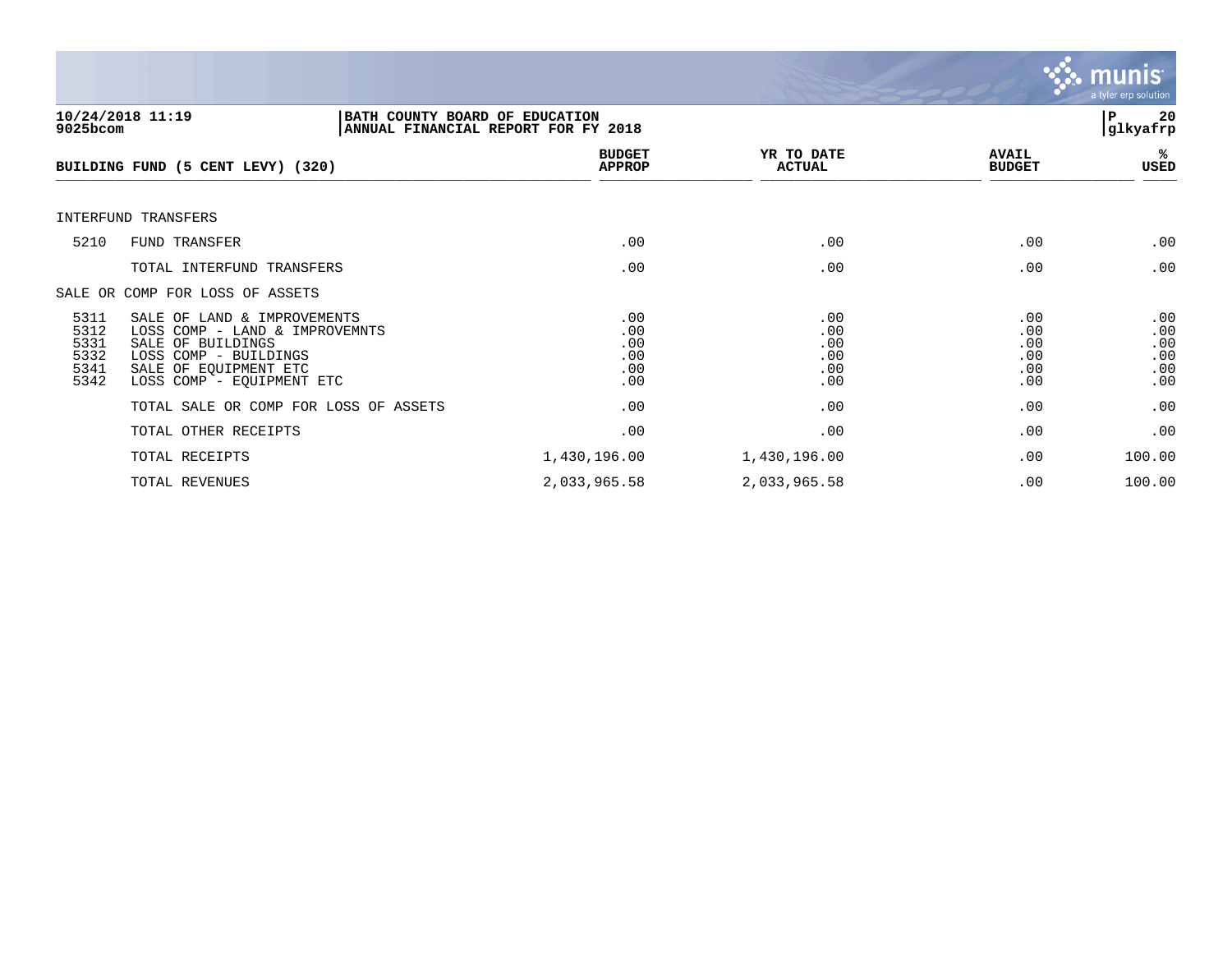

| 9025bcom                                     | 10/24/2018 11:19<br>BATH COUNTY BOARD OF EDUCATION<br>ANNUAL FINANCIAL REPORT FOR FY 2018                                                                         |                                        |                                        |                                        | 20<br>P<br> glkyafrp                   |
|----------------------------------------------|-------------------------------------------------------------------------------------------------------------------------------------------------------------------|----------------------------------------|----------------------------------------|----------------------------------------|----------------------------------------|
|                                              | BUILDING FUND (5 CENT LEVY) (320)                                                                                                                                 | <b>BUDGET</b><br><b>APPROP</b>         | YR TO DATE<br><b>ACTUAL</b>            | <b>AVAIL</b><br><b>BUDGET</b>          | %≽<br>USED                             |
|                                              | INTERFUND TRANSFERS                                                                                                                                               |                                        |                                        |                                        |                                        |
| 5210                                         | <b>FUND TRANSFER</b>                                                                                                                                              | .00                                    | .00                                    | .00                                    | .00                                    |
|                                              | TOTAL INTERFUND TRANSFERS                                                                                                                                         | .00                                    | .00                                    | .00                                    | .00                                    |
|                                              | SALE OR COMP FOR LOSS OF ASSETS                                                                                                                                   |                                        |                                        |                                        |                                        |
| 5311<br>5312<br>5331<br>5332<br>5341<br>5342 | SALE OF LAND & IMPROVEMENTS<br>LOSS COMP - LAND & IMPROVEMNTS<br>SALE OF BUILDINGS<br>LOSS COMP - BUILDINGS<br>SALE OF EQUIPMENT ETC<br>LOSS COMP - EOUIPMENT ETC | .00<br>.00<br>.00<br>.00<br>.00<br>.00 | .00<br>.00<br>.00<br>.00<br>.00<br>.00 | .00<br>.00<br>.00<br>.00<br>.00<br>.00 | .00<br>.00<br>.00<br>.00<br>.00<br>.00 |
|                                              | TOTAL SALE OR COMP FOR LOSS OF ASSETS                                                                                                                             | .00                                    | .00                                    | .00                                    | .00                                    |
|                                              | TOTAL OTHER RECEIPTS                                                                                                                                              | .00                                    | .00                                    | .00                                    | .00                                    |
|                                              | TOTAL RECEIPTS                                                                                                                                                    | 1,430,196.00                           | 1,430,196.00                           | .00                                    | 100.00                                 |
|                                              | TOTAL REVENUES                                                                                                                                                    | 2,033,965.58                           | 2,033,965.58                           | .00                                    | 100.00                                 |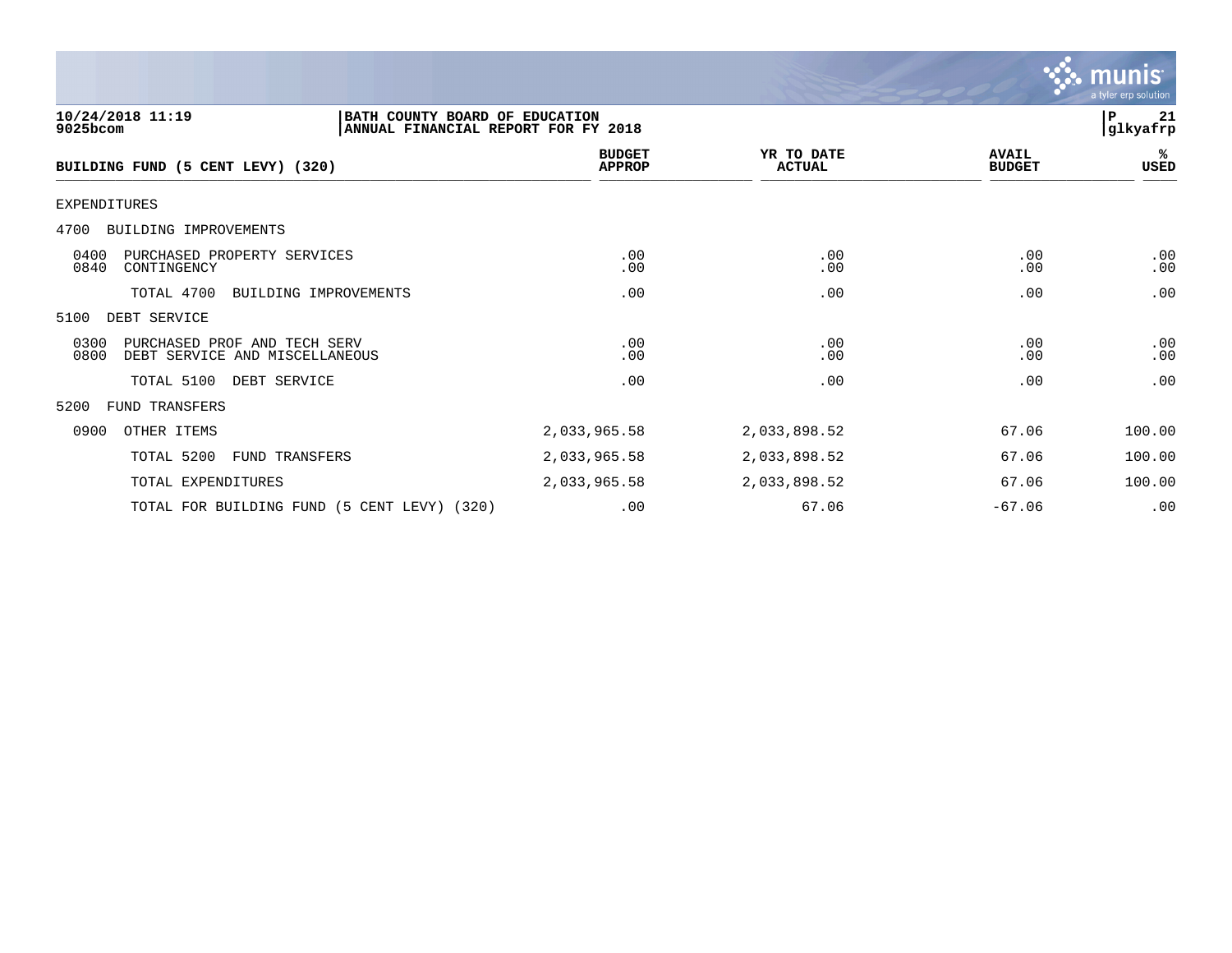

| 10/24/2018 11:19<br>BATH COUNTY BOARD OF EDUCATION<br>9025bcom<br>ANNUAL FINANCIAL REPORT FOR FY 2018 |                                |                             |                               | ΙP<br>21<br> glkyafrp |
|-------------------------------------------------------------------------------------------------------|--------------------------------|-----------------------------|-------------------------------|-----------------------|
| BUILDING FUND (5 CENT LEVY) (320)                                                                     | <b>BUDGET</b><br><b>APPROP</b> | YR TO DATE<br><b>ACTUAL</b> | <b>AVAIL</b><br><b>BUDGET</b> | %ร<br>USED            |
| <b>EXPENDITURES</b>                                                                                   |                                |                             |                               |                       |
| 4700<br>BUILDING IMPROVEMENTS                                                                         |                                |                             |                               |                       |
| 0400<br>PURCHASED PROPERTY SERVICES<br>0840<br>CONTINGENCY                                            | .00<br>.00                     | .00<br>.00                  | .00<br>.00                    | .00<br>.00            |
| TOTAL 4700<br>BUILDING IMPROVEMENTS                                                                   | .00                            | .00                         | .00                           | .00                   |
| 5100<br>DEBT SERVICE                                                                                  |                                |                             |                               |                       |
| 0300<br>PURCHASED PROF AND TECH SERV<br>0800<br>DEBT SERVICE AND MISCELLANEOUS                        | .00<br>.00                     | .00<br>.00                  | .00<br>$.00 \,$               | .00<br>.00            |
| TOTAL 5100<br>DEBT SERVICE                                                                            | .00                            | .00                         | .00                           | .00                   |
| 5200<br>FUND TRANSFERS                                                                                |                                |                             |                               |                       |
| 0900<br>OTHER ITEMS                                                                                   | 2,033,965.58                   | 2,033,898.52                | 67.06                         | 100.00                |
| TOTAL 5200<br>FUND TRANSFERS                                                                          | 2,033,965.58                   | 2,033,898.52                | 67.06                         | 100.00                |
| TOTAL EXPENDITURES                                                                                    | 2,033,965.58                   | 2,033,898.52                | 67.06                         | 100.00                |
| TOTAL FOR BUILDING FUND (5 CENT LEVY) (320)                                                           | .00                            | 67.06                       | $-67.06$                      | .00                   |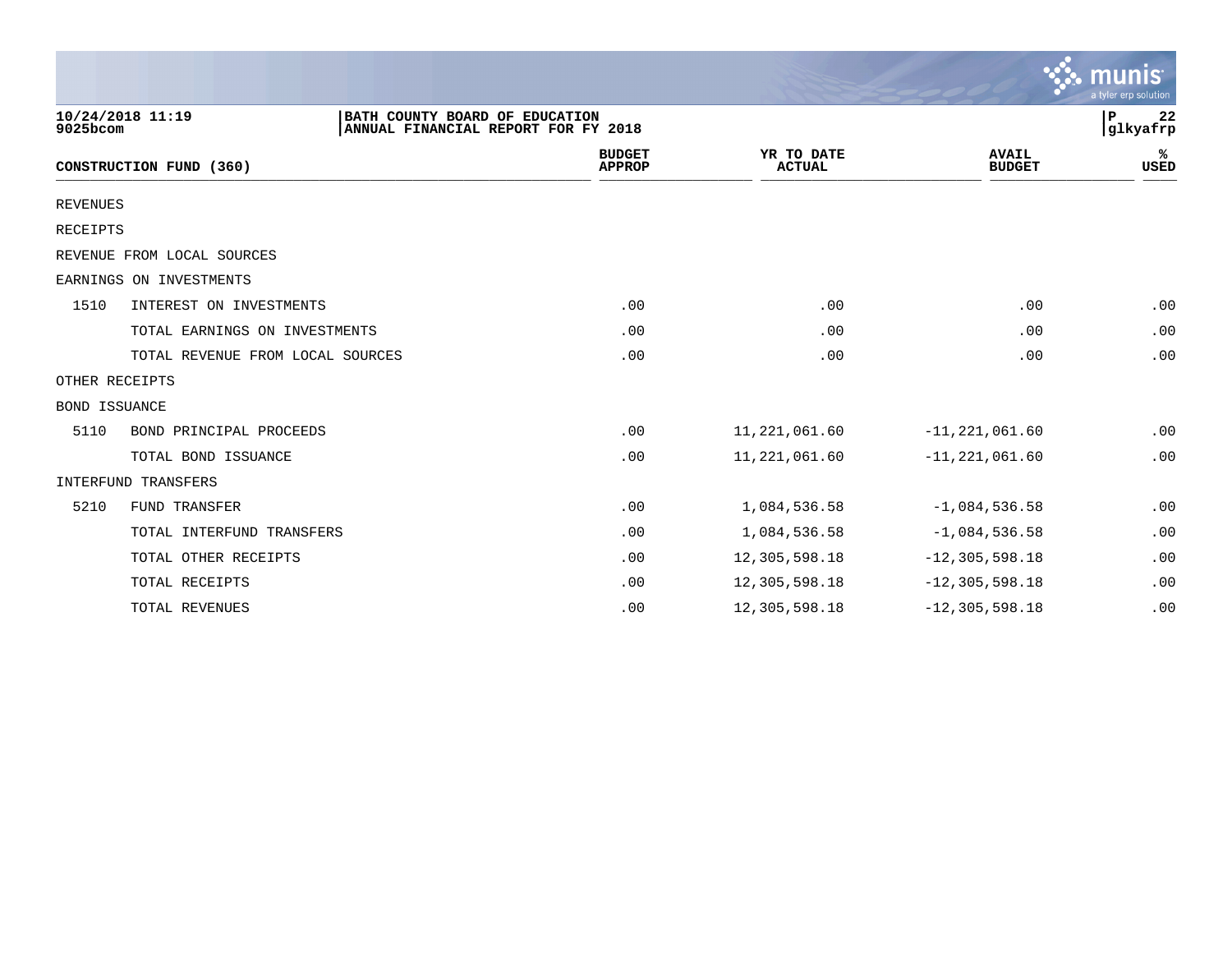|                 |                                  |                                                                       |                                |                             |                               | munis<br>a tyler erp solution |
|-----------------|----------------------------------|-----------------------------------------------------------------------|--------------------------------|-----------------------------|-------------------------------|-------------------------------|
| 9025bcom        | 10/24/2018 11:19                 | BATH COUNTY BOARD OF EDUCATION<br>ANNUAL FINANCIAL REPORT FOR FY 2018 |                                |                             |                               | 22<br>∣₽<br>glkyafrp          |
|                 | CONSTRUCTION FUND (360)          |                                                                       | <b>BUDGET</b><br><b>APPROP</b> | YR TO DATE<br><b>ACTUAL</b> | <b>AVAIL</b><br><b>BUDGET</b> | %ะ<br>USED                    |
| <b>REVENUES</b> |                                  |                                                                       |                                |                             |                               |                               |
| <b>RECEIPTS</b> |                                  |                                                                       |                                |                             |                               |                               |
|                 | REVENUE FROM LOCAL SOURCES       |                                                                       |                                |                             |                               |                               |
|                 | EARNINGS ON INVESTMENTS          |                                                                       |                                |                             |                               |                               |
| 1510            | INTEREST ON INVESTMENTS          |                                                                       | .00                            | .00                         | .00                           | .00                           |
|                 | TOTAL EARNINGS ON INVESTMENTS    |                                                                       | .00                            | .00                         | .00                           | .00                           |
|                 | TOTAL REVENUE FROM LOCAL SOURCES |                                                                       | .00                            | .00                         | .00                           | .00                           |
| OTHER RECEIPTS  |                                  |                                                                       |                                |                             |                               |                               |
| BOND ISSUANCE   |                                  |                                                                       |                                |                             |                               |                               |
| 5110            | BOND PRINCIPAL PROCEEDS          |                                                                       | .00                            | 11,221,061.60               | $-11, 221, 061.60$            | .00                           |
|                 | TOTAL BOND ISSUANCE              |                                                                       | .00                            | 11,221,061.60               | $-11, 221, 061.60$            | .00                           |
|                 | INTERFUND TRANSFERS              |                                                                       |                                |                             |                               |                               |
| 5210            | <b>FUND TRANSFER</b>             |                                                                       | .00                            | 1,084,536.58                | $-1,084,536.58$               | .00                           |
|                 | TOTAL INTERFUND TRANSFERS        |                                                                       | .00                            | 1,084,536.58                | $-1,084,536.58$               | .00                           |
|                 | TOTAL OTHER RECEIPTS             |                                                                       | .00                            | 12,305,598.18               | $-12, 305, 598.18$            | .00                           |
|                 | TOTAL RECEIPTS                   |                                                                       | .00                            | 12,305,598.18               | $-12, 305, 598.18$            | .00                           |
|                 | TOTAL REVENUES                   |                                                                       | .00                            | 12,305,598.18               | $-12, 305, 598.18$            | .00                           |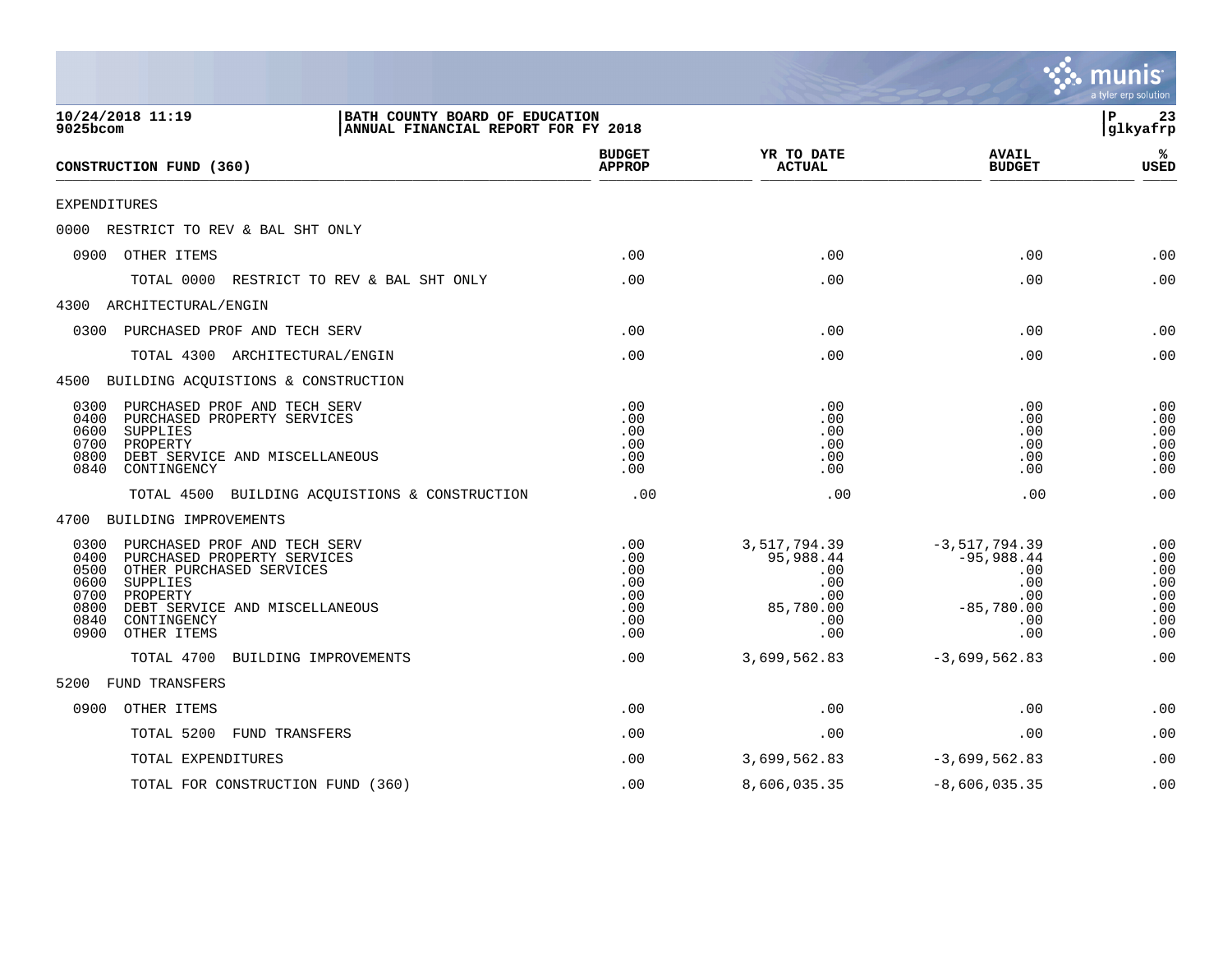|                                                                                                                                                                                                                                                 |                                                      |                                                                           |                                                                                    | a tyler erp solution                                 |
|-------------------------------------------------------------------------------------------------------------------------------------------------------------------------------------------------------------------------------------------------|------------------------------------------------------|---------------------------------------------------------------------------|------------------------------------------------------------------------------------|------------------------------------------------------|
| 10/24/2018 11:19<br>BATH COUNTY BOARD OF EDUCATION<br>9025bcom<br>ANNUAL FINANCIAL REPORT FOR FY 2018                                                                                                                                           |                                                      |                                                                           |                                                                                    | ΙP<br>23<br>glkyafrp                                 |
| CONSTRUCTION FUND (360)                                                                                                                                                                                                                         | <b>BUDGET</b><br><b>APPROP</b>                       | YR TO DATE<br><b>ACTUAL</b>                                               | <b>AVAIL</b><br><b>BUDGET</b>                                                      | ℁<br><b>USED</b>                                     |
| EXPENDITURES                                                                                                                                                                                                                                    |                                                      |                                                                           |                                                                                    |                                                      |
| 0000<br>RESTRICT TO REV & BAL SHT ONLY                                                                                                                                                                                                          |                                                      |                                                                           |                                                                                    |                                                      |
| 0900 OTHER ITEMS                                                                                                                                                                                                                                | .00                                                  | .00                                                                       | .00                                                                                | .00                                                  |
| TOTAL 0000<br>RESTRICT TO REV & BAL SHT ONLY                                                                                                                                                                                                    | .00                                                  | .00                                                                       | .00                                                                                | .00                                                  |
| 4300 ARCHITECTURAL/ENGIN                                                                                                                                                                                                                        |                                                      |                                                                           |                                                                                    |                                                      |
| PURCHASED PROF AND TECH SERV<br>0300                                                                                                                                                                                                            | .00                                                  | .00                                                                       | .00                                                                                | .00                                                  |
| TOTAL 4300 ARCHITECTURAL/ENGIN                                                                                                                                                                                                                  | .00                                                  | .00                                                                       | .00                                                                                | .00                                                  |
| 4500 BUILDING ACQUISTIONS & CONSTRUCTION                                                                                                                                                                                                        |                                                      |                                                                           |                                                                                    |                                                      |
| PURCHASED PROF AND TECH SERV<br>0300<br>0400<br>PURCHASED PROPERTY SERVICES<br>0600<br>SUPPLIES<br>0700<br>PROPERTY<br>0800<br>DEBT SERVICE AND MISCELLANEOUS<br>0840<br>CONTINGENCY                                                            | .00<br>.00<br>.00<br>.00<br>.00<br>.00               | .00<br>.00<br>.00<br>.00<br>.00<br>.00                                    | .00<br>.00<br>.00<br>.00<br>.00<br>.00                                             | .00<br>.00<br>.00<br>.00<br>.00<br>.00               |
| BUILDING ACQUISTIONS & CONSTRUCTION<br>TOTAL 4500                                                                                                                                                                                               | .00                                                  | .00                                                                       | .00                                                                                | .00                                                  |
| 4700 BUILDING IMPROVEMENTS                                                                                                                                                                                                                      |                                                      |                                                                           |                                                                                    |                                                      |
| 0300<br>PURCHASED PROF AND TECH SERV<br>0400<br>PURCHASED PROPERTY SERVICES<br>OTHER PURCHASED SERVICES<br>0500<br>0600<br>SUPPLIES<br>0700<br>PROPERTY<br>0800<br>DEBT SERVICE AND MISCELLANEOUS<br>0840<br>CONTINGENCY<br>OTHER ITEMS<br>0900 | .00<br>.00<br>.00<br>.00<br>.00<br>.00<br>.00<br>.00 | 3,517,794.39<br>95,988.44<br>.00<br>.00<br>.00<br>85,780.00<br>.00<br>.00 | $-3,517,794.39$<br>$-95,988.44$<br>.00<br>.00<br>.00<br>$-85,780.00$<br>.00<br>.00 | .00<br>.00<br>.00<br>.00<br>.00<br>.00<br>.00<br>.00 |
| TOTAL 4700<br>BUILDING IMPROVEMENTS                                                                                                                                                                                                             | .00                                                  | 3,699,562.83                                                              | $-3,699,562.83$                                                                    | .00                                                  |
| <b>FUND TRANSFERS</b><br>5200                                                                                                                                                                                                                   |                                                      |                                                                           |                                                                                    |                                                      |
| 0900<br>OTHER ITEMS                                                                                                                                                                                                                             | .00                                                  | .00                                                                       | .00                                                                                | .00                                                  |
| FUND TRANSFERS<br>TOTAL 5200                                                                                                                                                                                                                    | .00                                                  | .00                                                                       | .00                                                                                | .00                                                  |
| TOTAL EXPENDITURES                                                                                                                                                                                                                              | .00                                                  | 3,699,562.83                                                              | $-3,699,562.83$                                                                    | .00                                                  |
| TOTAL FOR CONSTRUCTION FUND (360)                                                                                                                                                                                                               | .00                                                  | 8,606,035.35                                                              | $-8,606,035.35$                                                                    | .00                                                  |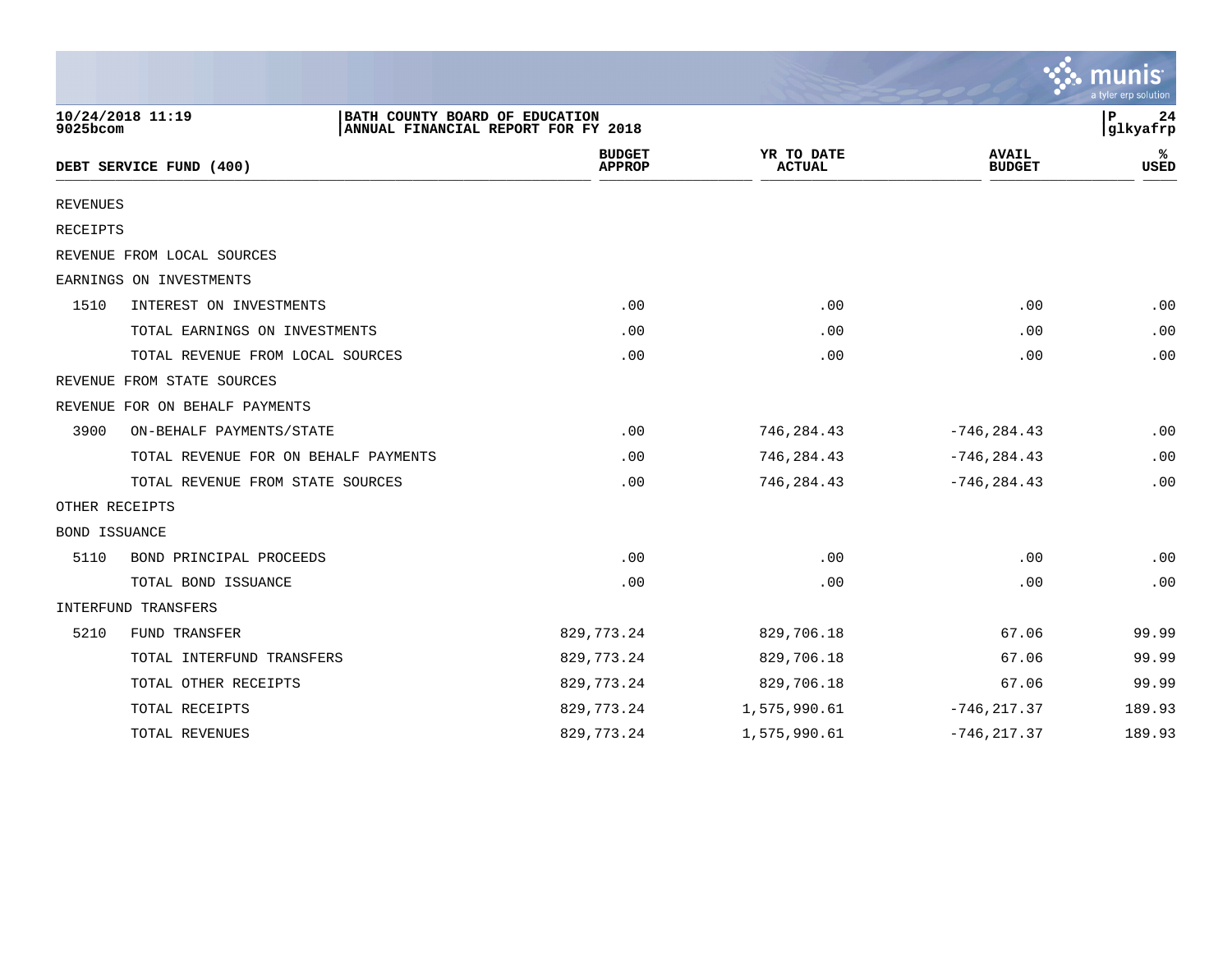|                 |                                                    |                                     |                             |                               | a tyler erp solution |
|-----------------|----------------------------------------------------|-------------------------------------|-----------------------------|-------------------------------|----------------------|
| 9025bcom        | 10/24/2018 11:19<br>BATH COUNTY BOARD OF EDUCATION | ANNUAL FINANCIAL REPORT FOR FY 2018 |                             |                               | P<br>24<br>glkyafrp  |
|                 | DEBT SERVICE FUND (400)                            | <b>BUDGET</b><br><b>APPROP</b>      | YR TO DATE<br><b>ACTUAL</b> | <b>AVAIL</b><br><b>BUDGET</b> | USED                 |
| <b>REVENUES</b> |                                                    |                                     |                             |                               |                      |
| <b>RECEIPTS</b> |                                                    |                                     |                             |                               |                      |
|                 | REVENUE FROM LOCAL SOURCES                         |                                     |                             |                               |                      |
|                 | EARNINGS ON INVESTMENTS                            |                                     |                             |                               |                      |
| 1510            | INTEREST ON INVESTMENTS                            | .00                                 | .00                         | .00                           | .00                  |
|                 | TOTAL EARNINGS ON INVESTMENTS                      | .00                                 | .00                         | .00                           | .00                  |
|                 | TOTAL REVENUE FROM LOCAL SOURCES                   | .00                                 | .00                         | .00                           | .00                  |
|                 | REVENUE FROM STATE SOURCES                         |                                     |                             |                               |                      |
|                 | REVENUE FOR ON BEHALF PAYMENTS                     |                                     |                             |                               |                      |
| 3900            | ON-BEHALF PAYMENTS/STATE                           | .00                                 | 746,284.43                  | $-746, 284.43$                | .00                  |
|                 | TOTAL REVENUE FOR ON BEHALF PAYMENTS               | .00                                 | 746,284.43                  | $-746, 284.43$                | .00                  |
|                 | TOTAL REVENUE FROM STATE SOURCES                   | .00                                 | 746,284.43                  | $-746, 284.43$                | .00                  |
| OTHER RECEIPTS  |                                                    |                                     |                             |                               |                      |
| BOND ISSUANCE   |                                                    |                                     |                             |                               |                      |
| 5110            | BOND PRINCIPAL PROCEEDS                            | .00                                 | .00                         | .00                           | .00                  |
|                 | TOTAL BOND ISSUANCE                                | .00                                 | .00                         | .00                           | .00                  |
|                 | INTERFUND TRANSFERS                                |                                     |                             |                               |                      |
| 5210            | FUND TRANSFER                                      | 829, 773. 24                        | 829,706.18                  | 67.06                         | 99.99                |
|                 | TOTAL INTERFUND TRANSFERS                          | 829, 773. 24                        | 829,706.18                  | 67.06                         | 99.99                |
|                 | TOTAL OTHER RECEIPTS                               | 829, 773. 24                        | 829,706.18                  | 67.06                         | 99.99                |
|                 | TOTAL RECEIPTS                                     | 829, 773. 24                        | 1,575,990.61                | $-746, 217.37$                | 189.93               |
|                 | TOTAL REVENUES                                     | 829, 773. 24                        | 1,575,990.61                | $-746, 217.37$                | 189.93               |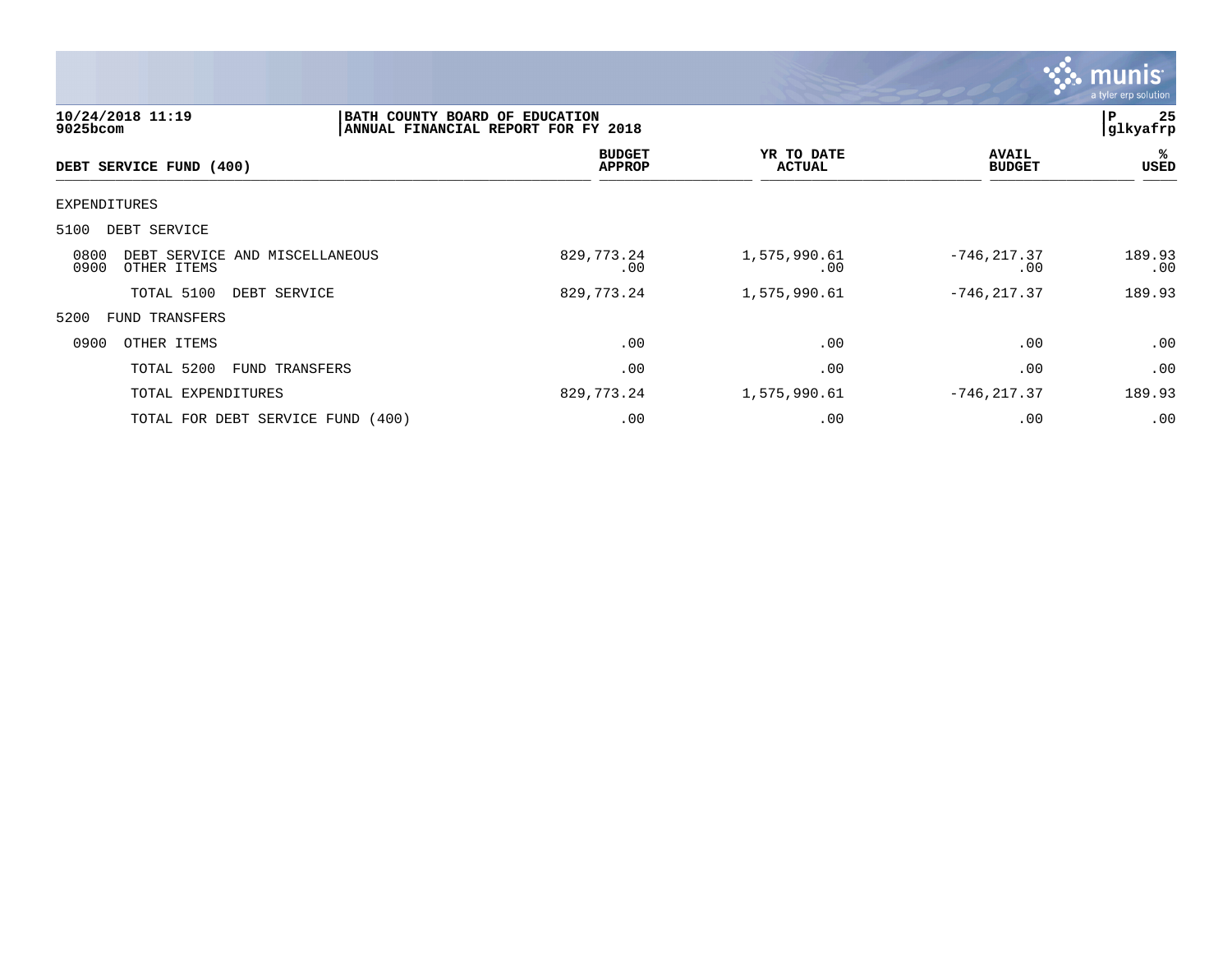

| $9025$ bcom  | 10/24/2018 11:19        |                                   | BATH COUNTY BOARD OF EDUCATION<br>ANNUAL FINANCIAL REPORT FOR FY 2018 |                             |                               |               |
|--------------|-------------------------|-----------------------------------|-----------------------------------------------------------------------|-----------------------------|-------------------------------|---------------|
|              | DEBT SERVICE FUND (400) |                                   | <b>BUDGET</b><br><b>APPROP</b>                                        | YR TO DATE<br><b>ACTUAL</b> | <b>AVAIL</b><br><b>BUDGET</b> | ℁<br>USED     |
| EXPENDITURES |                         |                                   |                                                                       |                             |                               |               |
| 5100         | DEBT SERVICE            |                                   |                                                                       |                             |                               |               |
| 0800<br>0900 | OTHER ITEMS             | DEBT SERVICE AND MISCELLANEOUS    | 829,773.24<br>$.00 \ \rm$                                             | 1,575,990.61<br>.00         | $-746, 217.37$<br>.00         | 189.93<br>.00 |
|              | TOTAL 5100              | DEBT SERVICE                      | 829,773.24                                                            | 1,575,990.61                | $-746, 217.37$                | 189.93        |
| 5200         | FUND TRANSFERS          |                                   |                                                                       |                             |                               |               |
| 0900         | OTHER ITEMS             |                                   | .00                                                                   | .00                         | .00                           | .00           |
|              | TOTAL 5200              | FUND TRANSFERS                    | .00                                                                   | .00                         | .00                           | .00           |
|              | TOTAL EXPENDITURES      |                                   | 829,773.24                                                            | 1,575,990.61                | $-746, 217.37$                | 189.93        |
|              |                         | TOTAL FOR DEBT SERVICE FUND (400) | .00                                                                   | .00                         | .00                           | .00           |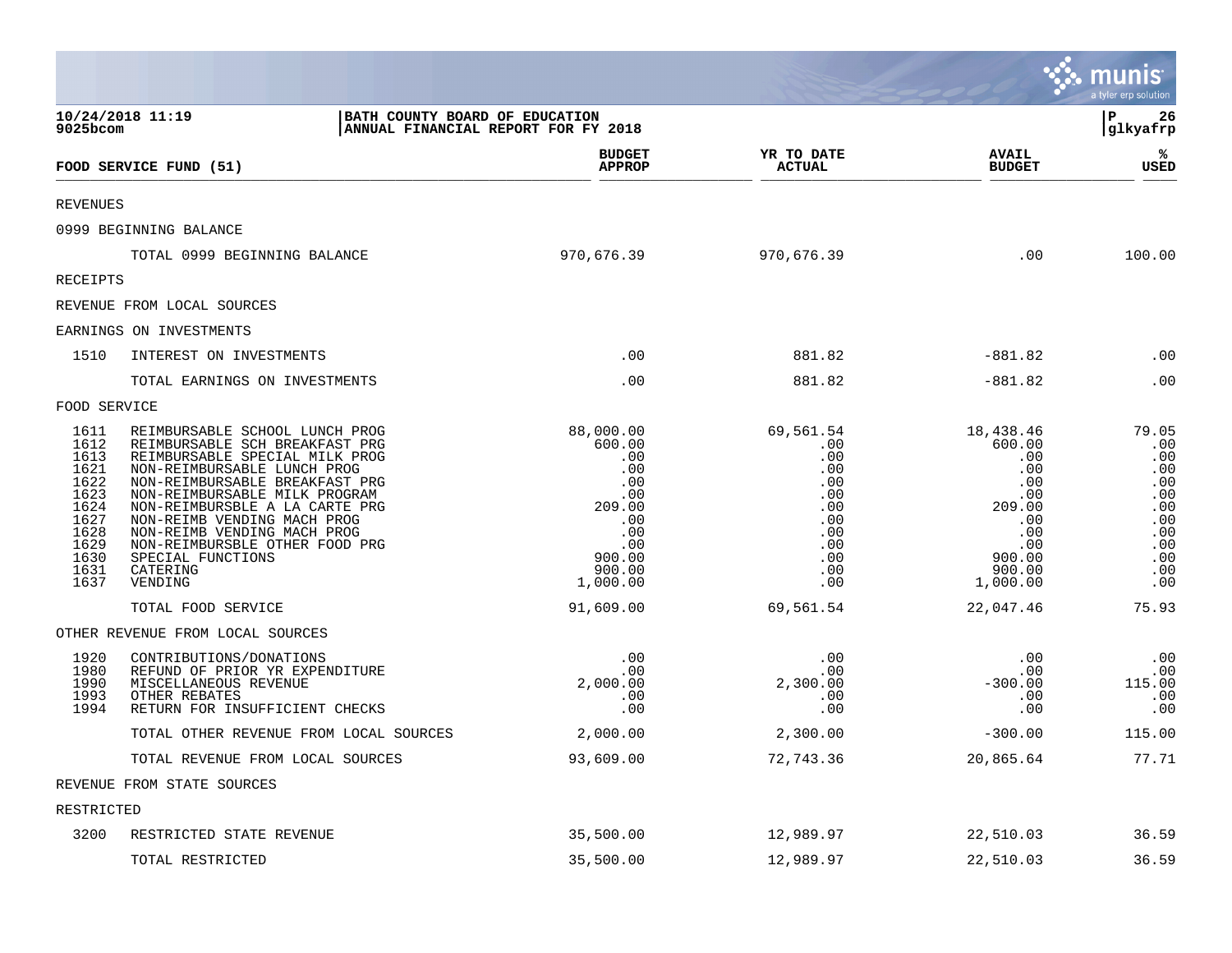|                                                                                                      |                                                                                                                                                                                                                                                                                                                                                                                    |                                                                                                                |                                                                                               |                                                                                                                       | <b>W. munis</b><br>a tyler erp solution                                                   |
|------------------------------------------------------------------------------------------------------|------------------------------------------------------------------------------------------------------------------------------------------------------------------------------------------------------------------------------------------------------------------------------------------------------------------------------------------------------------------------------------|----------------------------------------------------------------------------------------------------------------|-----------------------------------------------------------------------------------------------|-----------------------------------------------------------------------------------------------------------------------|-------------------------------------------------------------------------------------------|
| 9025bcom                                                                                             | 10/24/2018 11:19<br>BATH COUNTY BOARD OF EDUCATION<br>ANNUAL FINANCIAL REPORT FOR FY 2018                                                                                                                                                                                                                                                                                          |                                                                                                                |                                                                                               |                                                                                                                       | l P<br>26<br> glkyafrp                                                                    |
|                                                                                                      | FOOD SERVICE FUND (51)                                                                                                                                                                                                                                                                                                                                                             | <b>BUDGET</b><br><b>APPROP</b>                                                                                 | YR TO DATE<br><b>ACTUAL</b>                                                                   | <b>AVAIL</b><br><b>BUDGET</b>                                                                                         | ℁<br>USED                                                                                 |
| <b>REVENUES</b>                                                                                      |                                                                                                                                                                                                                                                                                                                                                                                    |                                                                                                                |                                                                                               |                                                                                                                       |                                                                                           |
|                                                                                                      | 0999 BEGINNING BALANCE                                                                                                                                                                                                                                                                                                                                                             |                                                                                                                |                                                                                               |                                                                                                                       |                                                                                           |
|                                                                                                      | TOTAL 0999 BEGINNING BALANCE                                                                                                                                                                                                                                                                                                                                                       | 970,676.39                                                                                                     | 970,676.39                                                                                    | .00                                                                                                                   | 100.00                                                                                    |
| <b>RECEIPTS</b>                                                                                      |                                                                                                                                                                                                                                                                                                                                                                                    |                                                                                                                |                                                                                               |                                                                                                                       |                                                                                           |
|                                                                                                      | REVENUE FROM LOCAL SOURCES                                                                                                                                                                                                                                                                                                                                                         |                                                                                                                |                                                                                               |                                                                                                                       |                                                                                           |
|                                                                                                      | EARNINGS ON INVESTMENTS                                                                                                                                                                                                                                                                                                                                                            |                                                                                                                |                                                                                               |                                                                                                                       |                                                                                           |
| 1510                                                                                                 | INTEREST ON INVESTMENTS                                                                                                                                                                                                                                                                                                                                                            | .00                                                                                                            | 881.82                                                                                        | $-881.82$                                                                                                             | .00                                                                                       |
|                                                                                                      | TOTAL EARNINGS ON INVESTMENTS                                                                                                                                                                                                                                                                                                                                                      | .00                                                                                                            | 881.82                                                                                        | $-881.82$                                                                                                             | .00                                                                                       |
| FOOD SERVICE                                                                                         |                                                                                                                                                                                                                                                                                                                                                                                    |                                                                                                                |                                                                                               |                                                                                                                       |                                                                                           |
| 1611<br>1612<br>1613<br>1621<br>1622<br>1623<br>1624<br>1627<br>1628<br>1629<br>1630<br>1631<br>1637 | REIMBURSABLE SCHOOL LUNCH PROG<br>REIMBURSABLE SCH BREAKFAST PRG<br>REIMBURSABLE SPECIAL MILK PROG<br>NON-REIMBURSABLE LUNCH PROG<br>NON-REIMBURSABLE BREAKFAST PRG<br>NON-REIMBURSABLE MILK PROGRAM<br>NON-REIMBURSBLE A LA CARTE PRG<br>NON-REIMB VENDING MACH PROG<br>NON-REIMB VENDING MACH PROG<br>NON-REIMBURSBLE OTHER FOOD PRG<br>SPECIAL FUNCTIONS<br>CATERING<br>VENDING | 88,000.00<br>600.00<br>.00<br>.00<br>.00<br>.00<br>209.00<br>.00<br>.00<br>.00<br>900.00<br>900.00<br>1,000.00 | 69,561.54<br>.00<br>.00<br>.00<br>.00<br>.00<br>.00<br>.00<br>.00<br>.00<br>.00<br>.00<br>.00 | 18,438.46<br>600.00<br>.00<br>.00<br>.00<br>.00<br>209.00<br>$\cdot$ 00<br>.00<br>.00<br>900.00<br>900.00<br>1,000.00 | 79.05<br>.00<br>.00<br>.00<br>.00<br>.00<br>.00<br>.00<br>.00<br>.00<br>.00<br>.00<br>.00 |
|                                                                                                      | TOTAL FOOD SERVICE                                                                                                                                                                                                                                                                                                                                                                 | 91,609.00                                                                                                      | 69,561.54                                                                                     | 22,047.46                                                                                                             | 75.93                                                                                     |
|                                                                                                      | OTHER REVENUE FROM LOCAL SOURCES                                                                                                                                                                                                                                                                                                                                                   |                                                                                                                |                                                                                               |                                                                                                                       |                                                                                           |
| 1920<br>1980<br>1990<br>1993<br>1994                                                                 | CONTRIBUTIONS/DONATIONS<br>REFUND OF PRIOR YR EXPENDITURE<br>MISCELLANEOUS REVENUE<br>OTHER REBATES<br>RETURN FOR INSUFFICIENT CHECKS                                                                                                                                                                                                                                              | .00<br>.00<br>2,000.00<br>.00<br>.00                                                                           | .00<br>.00<br>2,300.00<br>.00<br>.00                                                          | .00<br>.00<br>$-300.00$<br>.00<br>.00                                                                                 | .00<br>.00<br>115.00<br>.00<br>.00                                                        |
|                                                                                                      | TOTAL OTHER REVENUE FROM LOCAL SOURCES                                                                                                                                                                                                                                                                                                                                             | 2,000.00                                                                                                       | 2,300.00                                                                                      | $-300.00$                                                                                                             | 115.00                                                                                    |
|                                                                                                      | TOTAL REVENUE FROM LOCAL SOURCES                                                                                                                                                                                                                                                                                                                                                   | 93,609.00                                                                                                      | 72,743.36                                                                                     | 20,865.64                                                                                                             | 77.71                                                                                     |
|                                                                                                      | REVENUE FROM STATE SOURCES                                                                                                                                                                                                                                                                                                                                                         |                                                                                                                |                                                                                               |                                                                                                                       |                                                                                           |
| RESTRICTED                                                                                           |                                                                                                                                                                                                                                                                                                                                                                                    |                                                                                                                |                                                                                               |                                                                                                                       |                                                                                           |
| 3200                                                                                                 | RESTRICTED STATE REVENUE                                                                                                                                                                                                                                                                                                                                                           | 35,500.00                                                                                                      | 12,989.97                                                                                     | 22,510.03                                                                                                             | 36.59                                                                                     |
|                                                                                                      | TOTAL RESTRICTED                                                                                                                                                                                                                                                                                                                                                                   | 35,500.00                                                                                                      | 12,989.97                                                                                     | 22,510.03                                                                                                             | 36.59                                                                                     |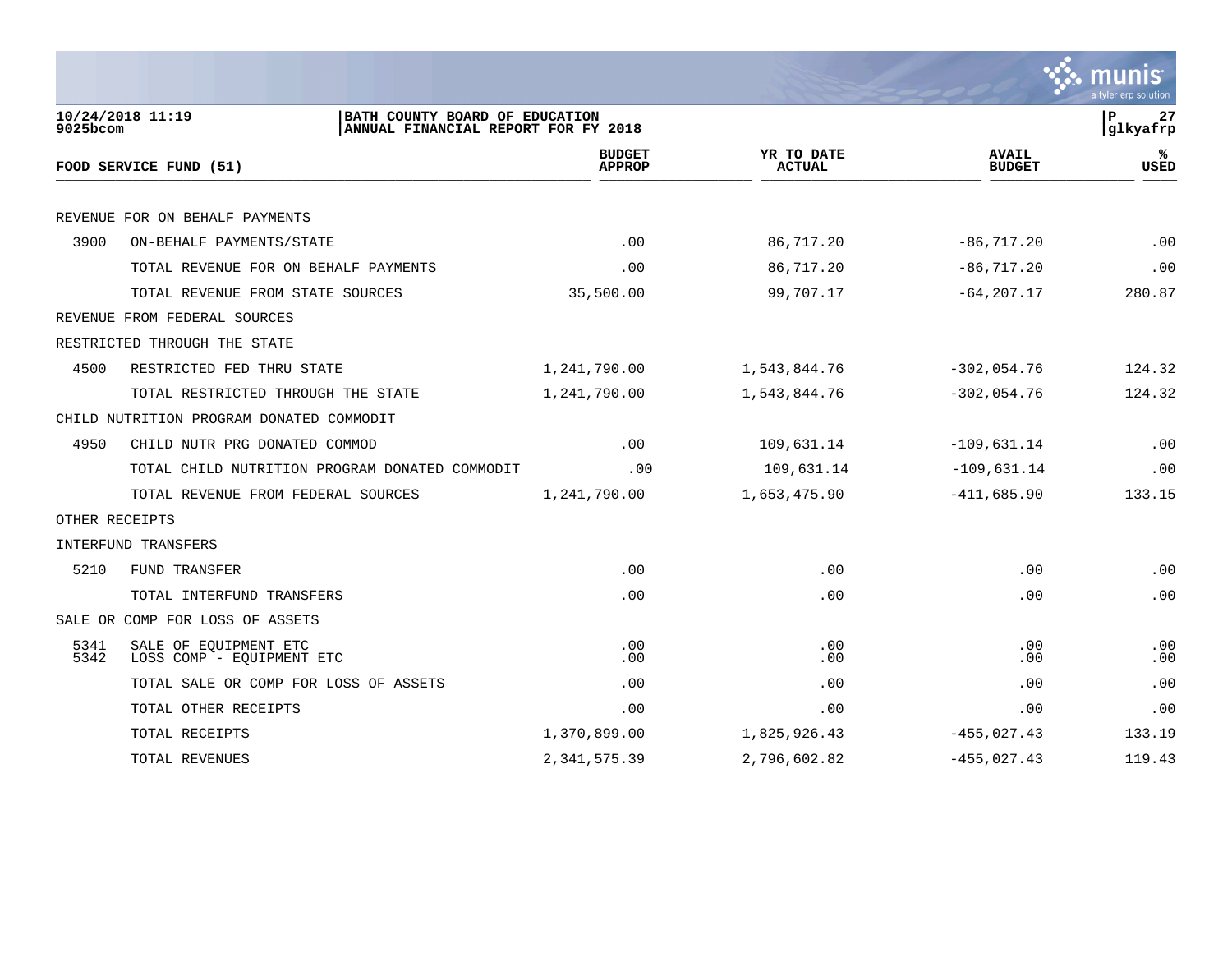

| $9025$ bcom            | 10/24/2018 11:19<br>BATH COUNTY BOARD OF EDUCATION<br>ANNUAL FINANCIAL REPORT FOR FY 2018 |                                |                             |                               | 27<br> P<br> glkyafrp |
|------------------------|-------------------------------------------------------------------------------------------|--------------------------------|-----------------------------|-------------------------------|-----------------------|
| FOOD SERVICE FUND (51) |                                                                                           | <b>BUDGET</b><br><b>APPROP</b> | YR TO DATE<br><b>ACTUAL</b> | <b>AVAIL</b><br><b>BUDGET</b> | ℁<br><b>USED</b>      |
|                        |                                                                                           |                                |                             |                               |                       |
|                        | REVENUE FOR ON BEHALF PAYMENTS                                                            |                                |                             |                               |                       |
| 3900                   | ON-BEHALF PAYMENTS/STATE                                                                  | .00                            | 86,717.20                   | $-86, 717.20$                 | .00                   |
|                        | TOTAL REVENUE FOR ON BEHALF PAYMENTS                                                      | .00                            | 86,717.20                   | $-86, 717.20$                 | .00                   |
|                        | TOTAL REVENUE FROM STATE SOURCES                                                          | 35,500.00                      | 99,707.17                   | $-64, 207.17$                 | 280.87                |
|                        | REVENUE FROM FEDERAL SOURCES                                                              |                                |                             |                               |                       |
|                        | RESTRICTED THROUGH THE STATE                                                              |                                |                             |                               |                       |
| 4500                   | RESTRICTED FED THRU STATE                                                                 | 1,241,790.00                   | 1,543,844.76                | $-302,054.76$                 | 124.32                |
|                        | TOTAL RESTRICTED THROUGH THE STATE                                                        | 1,241,790.00                   | 1,543,844.76                | $-302,054.76$                 | 124.32                |
|                        | CHILD NUTRITION PROGRAM DONATED COMMODIT                                                  |                                |                             |                               |                       |
| 4950                   | CHILD NUTR PRG DONATED COMMOD                                                             | .00                            | 109,631.14                  | $-109,631.14$                 | .00                   |
|                        | TOTAL CHILD NUTRITION PROGRAM DONATED COMMODIT                                            | .00                            | 109,631.14                  | $-109,631.14$                 | .00                   |
|                        | TOTAL REVENUE FROM FEDERAL SOURCES                                                        | 1,241,790.00                   | 1,653,475.90                | $-411,685.90$                 | 133.15                |
|                        | OTHER RECEIPTS                                                                            |                                |                             |                               |                       |
|                        | INTERFUND TRANSFERS                                                                       |                                |                             |                               |                       |
| 5210                   | FUND TRANSFER                                                                             | .00                            | .00                         | .00                           | .00                   |
|                        | TOTAL INTERFUND TRANSFERS                                                                 | .00                            | .00                         | .00                           | .00                   |
|                        | SALE OR COMP FOR LOSS OF ASSETS                                                           |                                |                             |                               |                       |
| 5341<br>5342           | SALE OF EOUIPMENT ETC<br>LOSS COMP - EOUIPMENT ETC                                        | .00<br>.00                     | .00<br>$.00 \,$             | .00<br>.00                    | .00<br>.00            |
|                        | TOTAL SALE OR COMP FOR LOSS OF ASSETS                                                     | .00                            | .00                         | .00                           | .00                   |
|                        | TOTAL OTHER RECEIPTS                                                                      | .00                            | .00                         | .00                           | .00                   |
|                        | TOTAL RECEIPTS                                                                            | 1,370,899.00                   | 1,825,926.43                | $-455,027.43$                 | 133.19                |
|                        | TOTAL REVENUES                                                                            | 2,341,575.39                   | 2,796,602.82                | $-455,027.43$                 | 119.43                |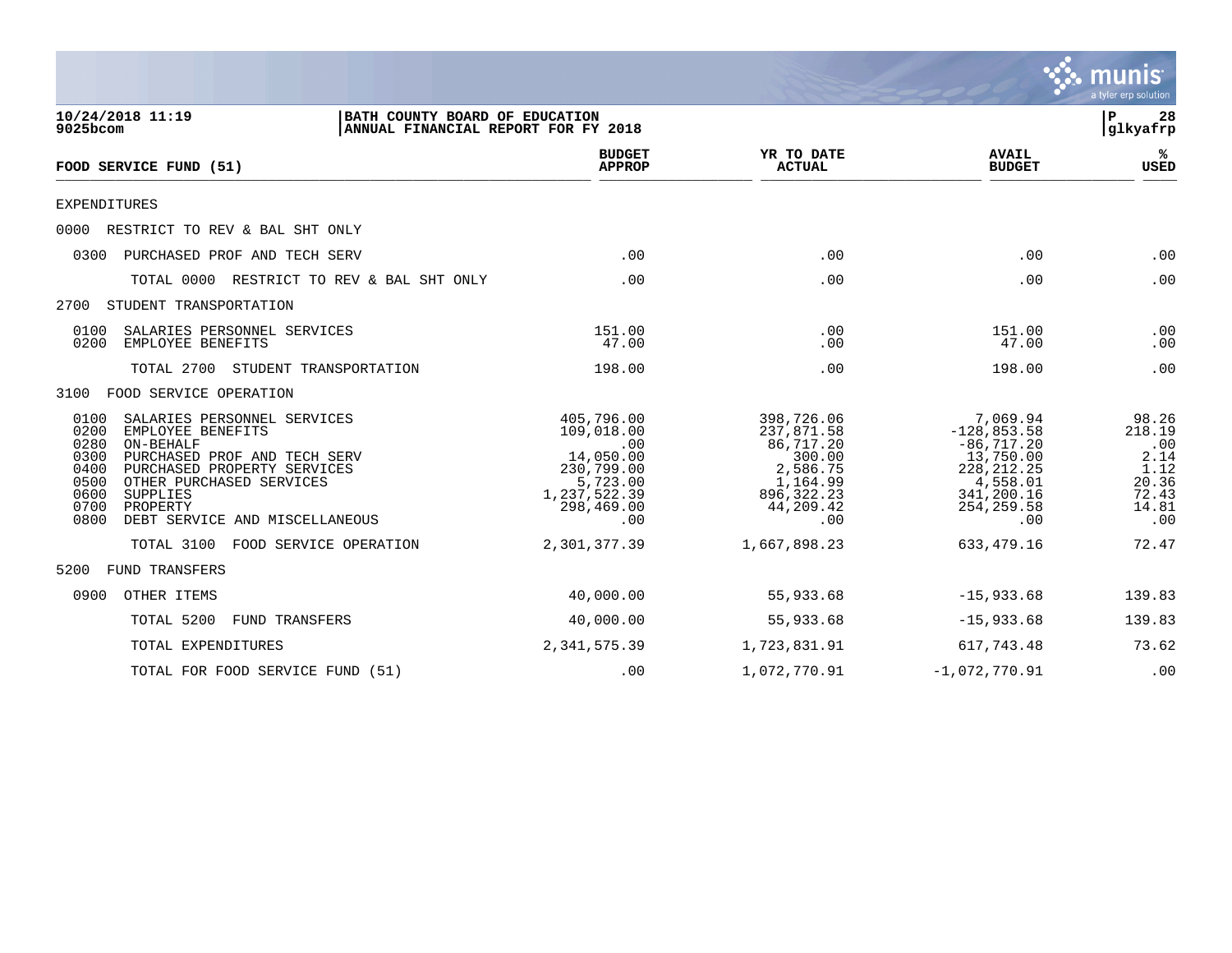

| 10/24/2018 11:19<br>9025bcom                                                                                                                                                                                                                                                               | BATH COUNTY BOARD OF EDUCATION<br>ANNUAL FINANCIAL REPORT FOR FY 2018                                       |                                                                                                             |                                                                                                                        | ΙP<br>28<br> glkyafrp                                                    |
|--------------------------------------------------------------------------------------------------------------------------------------------------------------------------------------------------------------------------------------------------------------------------------------------|-------------------------------------------------------------------------------------------------------------|-------------------------------------------------------------------------------------------------------------|------------------------------------------------------------------------------------------------------------------------|--------------------------------------------------------------------------|
| FOOD SERVICE FUND (51)                                                                                                                                                                                                                                                                     | <b>BUDGET</b><br><b>APPROP</b>                                                                              | YR TO DATE<br><b>ACTUAL</b>                                                                                 | <b>AVAIL</b><br><b>BUDGET</b>                                                                                          | ℁<br><b>USED</b>                                                         |
| <b>EXPENDITURES</b>                                                                                                                                                                                                                                                                        |                                                                                                             |                                                                                                             |                                                                                                                        |                                                                          |
| 0000<br>RESTRICT TO REV & BAL SHT ONLY                                                                                                                                                                                                                                                     |                                                                                                             |                                                                                                             |                                                                                                                        |                                                                          |
| PURCHASED PROF AND TECH SERV<br>0300                                                                                                                                                                                                                                                       | .00                                                                                                         | .00                                                                                                         | .00                                                                                                                    | .00                                                                      |
| TOTAL 0000<br>RESTRICT TO REV & BAL SHT ONLY                                                                                                                                                                                                                                               | .00                                                                                                         | .00                                                                                                         | .00                                                                                                                    | .00                                                                      |
| STUDENT TRANSPORTATION<br>2700                                                                                                                                                                                                                                                             |                                                                                                             |                                                                                                             |                                                                                                                        |                                                                          |
| 0100<br>SALARIES PERSONNEL SERVICES<br>0200<br>EMPLOYEE BENEFITS                                                                                                                                                                                                                           | 151.00<br>47.00                                                                                             | .00<br>.00                                                                                                  | 151.00<br>47.00                                                                                                        | .00<br>.00                                                               |
| TOTAL 2700 STUDENT TRANSPORTATION                                                                                                                                                                                                                                                          | 198.00                                                                                                      | .00                                                                                                         | 198.00                                                                                                                 | .00                                                                      |
| FOOD SERVICE OPERATION<br>3100                                                                                                                                                                                                                                                             |                                                                                                             |                                                                                                             |                                                                                                                        |                                                                          |
| 0100<br>SALARIES PERSONNEL SERVICES<br>0200<br>EMPLOYEE BENEFITS<br>0280<br>ON-BEHALF<br>0300<br>PURCHASED PROF AND TECH SERV<br>0400<br>PURCHASED PROPERTY SERVICES<br>0500<br>OTHER PURCHASED SERVICES<br>0600<br>SUPPLIES<br>0700<br>PROPERTY<br>0800<br>DEBT SERVICE AND MISCELLANEOUS | 405,796.00<br>109,018.00<br>.00<br>14,050.00<br>230,799.00<br>5,723.00<br>1,237,522.39<br>298,469.00<br>.00 | 398,726.06<br>237,871.58<br>86,717.20<br>300.00<br>2,586.75<br>1,164.99<br>896, 322. 23<br>44,209.42<br>.00 | 7,069.94<br>$-128,853.58$<br>$-86,717.20$<br>13,750.00<br>228, 212. 25<br>4,558.01<br>341,200.16<br>254, 259.58<br>.00 | 98.26<br>218.19<br>.00<br>2.14<br>1.12<br>20.36<br>72.43<br>14.81<br>.00 |
| FOOD SERVICE OPERATION<br>TOTAL 3100                                                                                                                                                                                                                                                       | 2,301,377.39                                                                                                | 1,667,898.23                                                                                                | 633,479.16                                                                                                             | 72.47                                                                    |
| FUND TRANSFERS<br>5200                                                                                                                                                                                                                                                                     |                                                                                                             |                                                                                                             |                                                                                                                        |                                                                          |
| 0900<br>OTHER ITEMS                                                                                                                                                                                                                                                                        | 40,000.00                                                                                                   | 55,933.68                                                                                                   | $-15,933.68$                                                                                                           | 139.83                                                                   |
| FUND TRANSFERS<br>TOTAL 5200                                                                                                                                                                                                                                                               | 40,000.00                                                                                                   | 55,933.68                                                                                                   | $-15,933.68$                                                                                                           | 139.83                                                                   |
| TOTAL EXPENDITURES                                                                                                                                                                                                                                                                         | 2,341,575.39                                                                                                | 1,723,831.91                                                                                                | 617,743.48                                                                                                             | 73.62                                                                    |
| TOTAL FOR FOOD SERVICE FUND (51)                                                                                                                                                                                                                                                           | .00                                                                                                         | 1,072,770.91                                                                                                | $-1,072,770.91$                                                                                                        | .00                                                                      |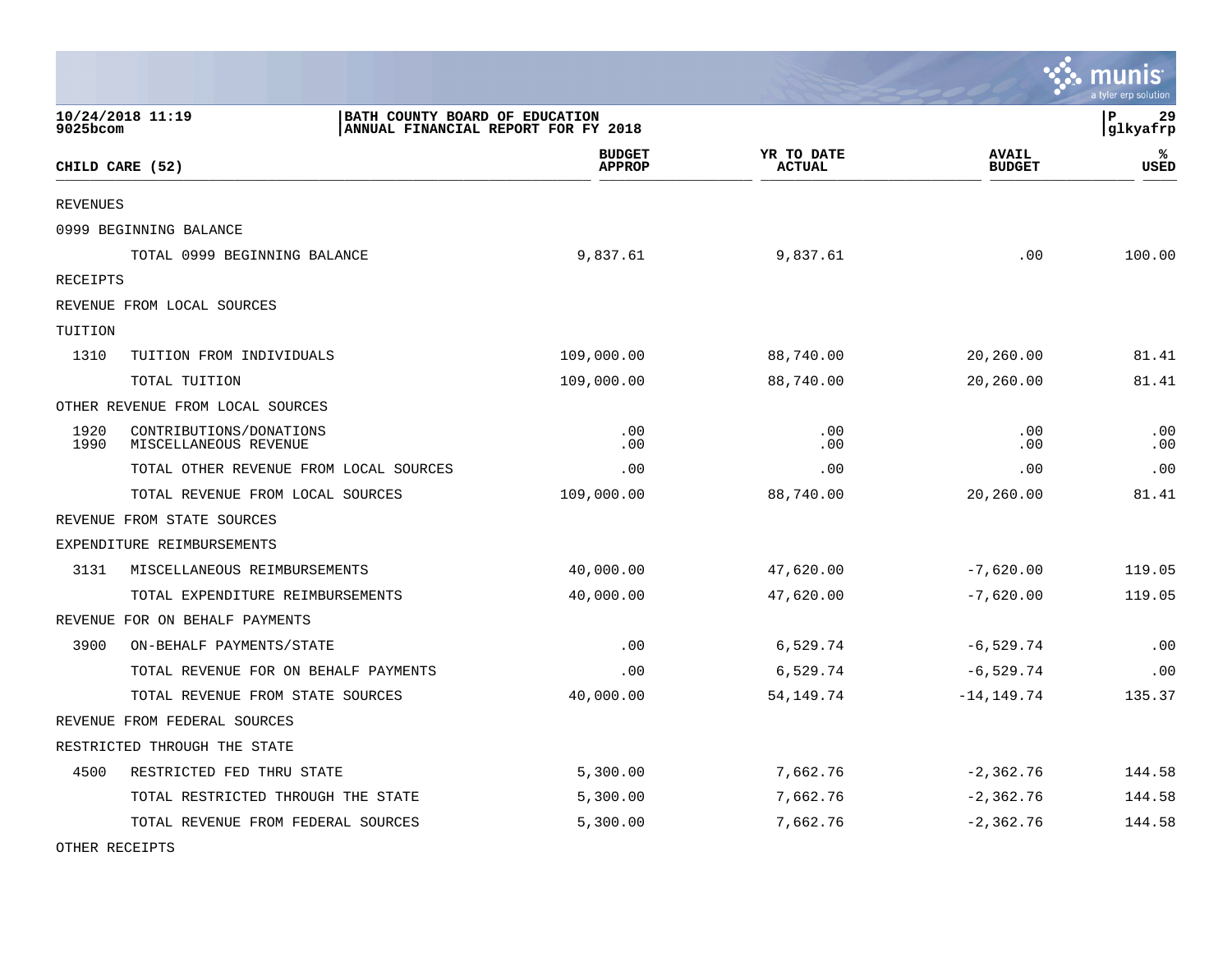|                 |                                                                                           |                                |                             |                               | munis<br>a tyler erp solution |
|-----------------|-------------------------------------------------------------------------------------------|--------------------------------|-----------------------------|-------------------------------|-------------------------------|
| 9025bcom        | 10/24/2018 11:19<br>BATH COUNTY BOARD OF EDUCATION<br>ANNUAL FINANCIAL REPORT FOR FY 2018 |                                |                             |                               | P<br>29<br> glkyafrp          |
|                 | CHILD CARE (52)                                                                           | <b>BUDGET</b><br><b>APPROP</b> | YR TO DATE<br><b>ACTUAL</b> | <b>AVAIL</b><br><b>BUDGET</b> | ℁<br>USED                     |
| <b>REVENUES</b> |                                                                                           |                                |                             |                               |                               |
|                 | 0999 BEGINNING BALANCE                                                                    |                                |                             |                               |                               |
|                 | TOTAL 0999 BEGINNING BALANCE                                                              | 9,837.61                       | 9,837.61                    | .00                           | 100.00                        |
| <b>RECEIPTS</b> |                                                                                           |                                |                             |                               |                               |
|                 | REVENUE FROM LOCAL SOURCES                                                                |                                |                             |                               |                               |
| TUITION         |                                                                                           |                                |                             |                               |                               |
| 1310            | TUITION FROM INDIVIDUALS                                                                  | 109,000.00                     | 88,740.00                   | 20,260.00                     | 81.41                         |
|                 | TOTAL TUITION                                                                             | 109,000.00                     | 88,740.00                   | 20,260.00                     | 81.41                         |
|                 | OTHER REVENUE FROM LOCAL SOURCES                                                          |                                |                             |                               |                               |
| 1920<br>1990    | CONTRIBUTIONS/DONATIONS<br>MISCELLANEOUS REVENUE                                          | .00<br>.00                     | .00<br>.00                  | .00<br>.00                    | .00<br>.00                    |
|                 | TOTAL OTHER REVENUE FROM LOCAL SOURCES                                                    | .00                            | .00                         | .00                           | .00                           |
|                 | TOTAL REVENUE FROM LOCAL SOURCES                                                          | 109,000.00                     | 88,740.00                   | 20,260.00                     | 81.41                         |
|                 | REVENUE FROM STATE SOURCES                                                                |                                |                             |                               |                               |
|                 | EXPENDITURE REIMBURSEMENTS                                                                |                                |                             |                               |                               |
| 3131            | MISCELLANEOUS REIMBURSEMENTS                                                              | 40,000.00                      | 47,620.00                   | $-7,620.00$                   | 119.05                        |
|                 | TOTAL EXPENDITURE REIMBURSEMENTS                                                          | 40,000.00                      | 47,620.00                   | $-7,620.00$                   | 119.05                        |
|                 | REVENUE FOR ON BEHALF PAYMENTS                                                            |                                |                             |                               |                               |
| 3900            | ON-BEHALF PAYMENTS/STATE                                                                  | .00                            | 6,529.74                    | $-6,529.74$                   | .00                           |
|                 | TOTAL REVENUE FOR ON BEHALF PAYMENTS                                                      | .00                            | 6,529.74                    | $-6,529.74$                   | .00                           |
|                 | TOTAL REVENUE FROM STATE SOURCES                                                          | 40,000.00                      | 54,149.74                   | $-14, 149.74$                 | 135.37                        |
|                 | REVENUE FROM FEDERAL SOURCES                                                              |                                |                             |                               |                               |
|                 | RESTRICTED THROUGH THE STATE                                                              |                                |                             |                               |                               |
| 4500            | RESTRICTED FED THRU STATE                                                                 | 5,300.00                       | 7,662.76                    | $-2,362.76$                   | 144.58                        |
|                 | TOTAL RESTRICTED THROUGH THE STATE                                                        | 5,300.00                       | 7,662.76                    | $-2,362.76$                   | 144.58                        |
|                 | TOTAL REVENUE FROM FEDERAL SOURCES                                                        | 5,300.00                       | 7,662.76                    | $-2, 362.76$                  | 144.58                        |

 $\mathcal{L}$ 

OTHER RECEIPTS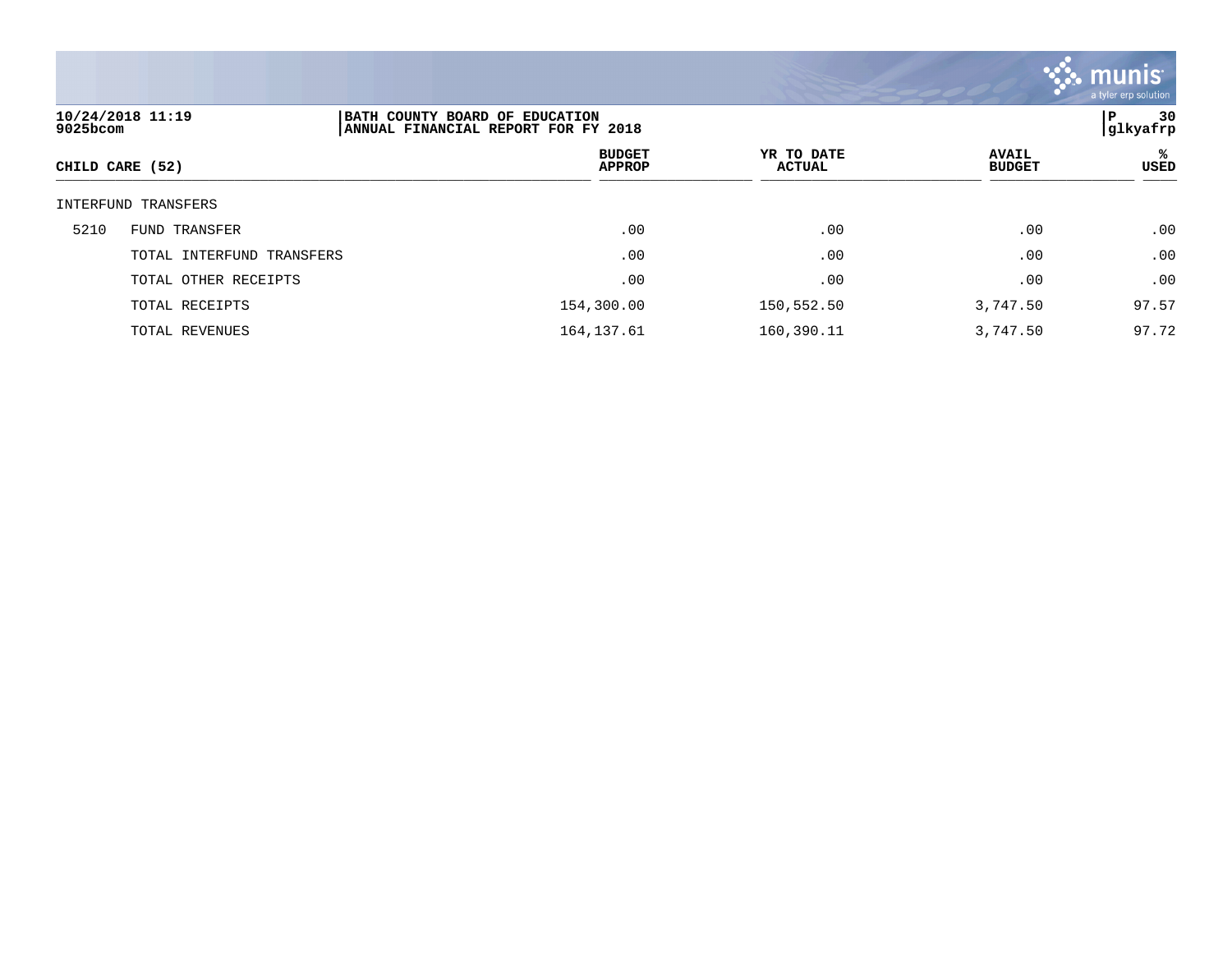

| 10/24/2018 11:19<br>9025bcom |                           | BATH COUNTY BOARD OF EDUCATION<br>ANNUAL FINANCIAL REPORT FOR FY 2018 |                             |                               |            |  |
|------------------------------|---------------------------|-----------------------------------------------------------------------|-----------------------------|-------------------------------|------------|--|
|                              | CHILD CARE (52)           | <b>BUDGET</b><br><b>APPROP</b>                                        | YR TO DATE<br><b>ACTUAL</b> | <b>AVAIL</b><br><b>BUDGET</b> | %ะ<br>USED |  |
|                              | INTERFUND TRANSFERS       |                                                                       |                             |                               |            |  |
| 5210                         | FUND TRANSFER             | .00                                                                   | .00                         | .00                           | .00        |  |
|                              | TOTAL INTERFUND TRANSFERS | .00                                                                   | .00                         | .00                           | .00        |  |
|                              | TOTAL OTHER RECEIPTS      | .00                                                                   | .00                         | .00                           | .00        |  |
|                              | TOTAL RECEIPTS            | 154,300.00                                                            | 150,552.50                  | 3,747.50                      | 97.57      |  |
|                              | TOTAL REVENUES            | 164, 137.61                                                           | 160,390.11                  | 3,747.50                      | 97.72      |  |
|                              |                           |                                                                       |                             |                               |            |  |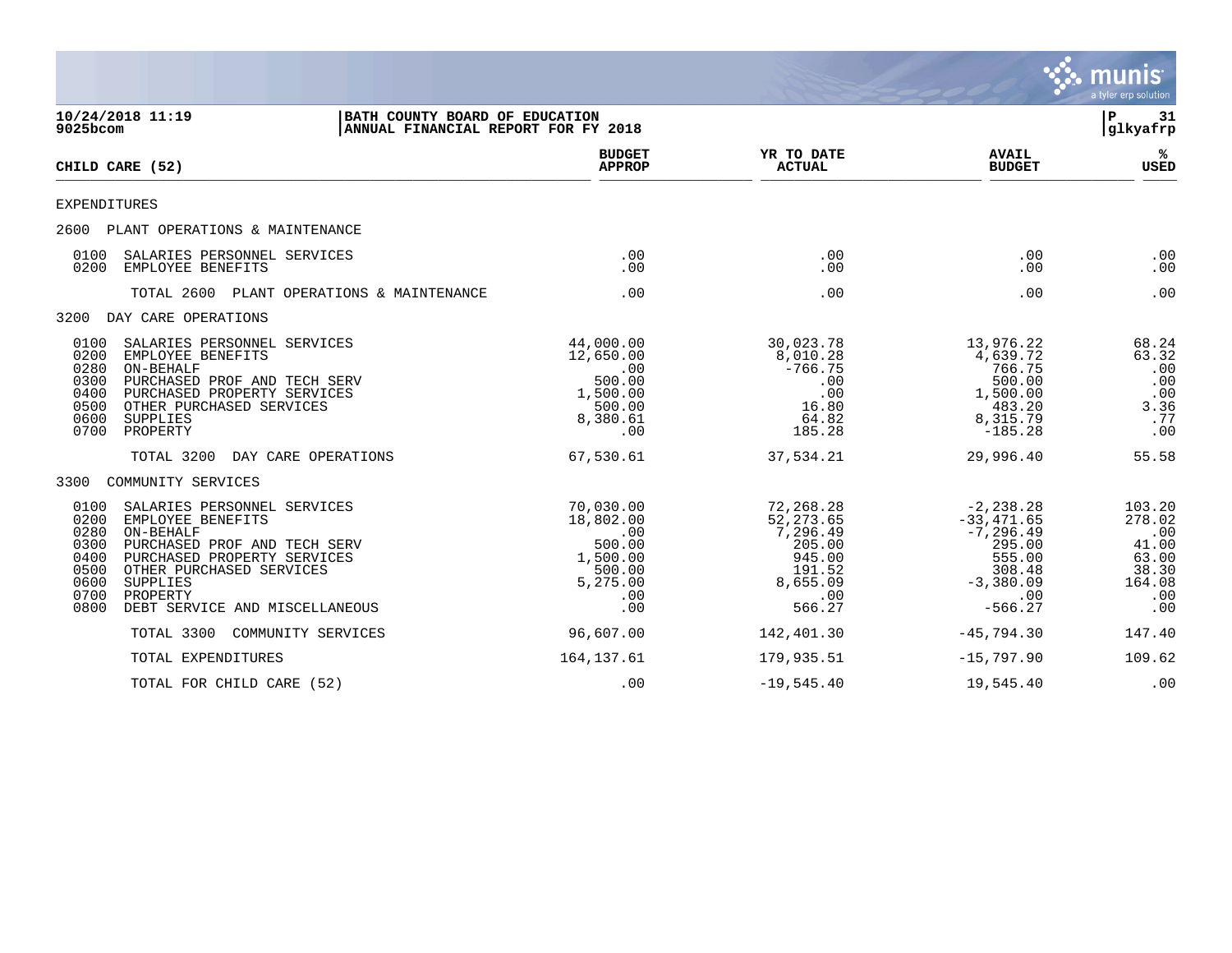|                                                                                                                                                                                                                                                                                                   |                                                                                         |                                                                                                |                                                                                                               | munis<br>a tyler erp solution                                              |
|---------------------------------------------------------------------------------------------------------------------------------------------------------------------------------------------------------------------------------------------------------------------------------------------------|-----------------------------------------------------------------------------------------|------------------------------------------------------------------------------------------------|---------------------------------------------------------------------------------------------------------------|----------------------------------------------------------------------------|
| 10/24/2018 11:19<br>9025bcom                                                                                                                                                                                                                                                                      | BATH COUNTY BOARD OF EDUCATION<br>ANNUAL FINANCIAL REPORT FOR FY 2018                   |                                                                                                |                                                                                                               | l P<br>31<br>glkyafrp                                                      |
| CHILD CARE (52)                                                                                                                                                                                                                                                                                   | <b>BUDGET</b><br><b>APPROP</b>                                                          | YR TO DATE<br><b>ACTUAL</b>                                                                    | <b>AVAIL</b><br><b>BUDGET</b>                                                                                 | ℁<br><b>USED</b>                                                           |
| <b>EXPENDITURES</b>                                                                                                                                                                                                                                                                               |                                                                                         |                                                                                                |                                                                                                               |                                                                            |
| 2600 PLANT OPERATIONS & MAINTENANCE                                                                                                                                                                                                                                                               |                                                                                         |                                                                                                |                                                                                                               |                                                                            |
| SALARIES PERSONNEL SERVICES<br>0100<br>0200<br>EMPLOYEE BENEFITS                                                                                                                                                                                                                                  | .00<br>.00.                                                                             | .00<br>.00                                                                                     | .00<br>.00                                                                                                    | .00<br>.00                                                                 |
| TOTAL 2600 PLANT OPERATIONS & MAINTENANCE                                                                                                                                                                                                                                                         | .00                                                                                     | .00                                                                                            | .00                                                                                                           | .00                                                                        |
| 3200 DAY CARE OPERATIONS                                                                                                                                                                                                                                                                          |                                                                                         |                                                                                                |                                                                                                               |                                                                            |
| 0100<br>SALARIES PERSONNEL SERVICES<br>0200<br>EMPLOYEE BENEFITS<br>0280<br>ON-BEHALF<br>0300<br>PURCHASED PROF AND TECH SERV<br>0400<br>PURCHASED PROPERTY SERVICES<br>0500<br>OTHER PURCHASED SERVICES<br>0600<br><b>SUPPLIES</b><br>0700<br>PROPERTY                                           | 44,000.00<br>12,650.00<br>.00<br>500.00<br>1,500.00<br>500.00<br>8,380.61<br>.00        | 30,023.78<br>8,010.28<br>$-766.75$<br>.00<br>.00<br>16.80<br>64.82<br>185.28                   | 13,976.22<br>4,639.72<br>766.75<br>500.00<br>1,500.00<br>483.20<br>8,315.79<br>$-185.28$                      | 68.24<br>63.32<br>.00<br>.00<br>.00<br>3.36<br>.77<br>.00                  |
| TOTAL 3200<br>DAY CARE OPERATIONS                                                                                                                                                                                                                                                                 | 67,530.61                                                                               | 37,534.21                                                                                      | 29,996.40                                                                                                     | 55.58                                                                      |
| 3300<br>COMMUNITY SERVICES                                                                                                                                                                                                                                                                        |                                                                                         |                                                                                                |                                                                                                               |                                                                            |
| 0100<br>SALARIES PERSONNEL SERVICES<br>0200<br>EMPLOYEE BENEFITS<br>0280<br>ON-BEHALF<br>0300<br>PURCHASED PROF AND TECH SERV<br>0400<br>PURCHASED PROPERTY SERVICES<br>0500<br>OTHER PURCHASED SERVICES<br>0600<br><b>SUPPLIES</b><br>0700<br>PROPERTY<br>DEBT SERVICE AND MISCELLANEOUS<br>0800 | 70,030.00<br>18,802.00<br>.00<br>500.00<br>1,500.00<br>500.00<br>5,275.00<br>.00<br>.00 | 72,268.28<br>52, 273.65<br>7,296.49<br>205.00<br>945.00<br>191.52<br>8,655.09<br>.00<br>566.27 | $-2, 238.28$<br>$-33,471.65$<br>$-7, 296.49$<br>295.00<br>555.00<br>308.48<br>$-3,380.09$<br>.00<br>$-566.27$ | 103.20<br>278.02<br>.00<br>41.00<br>63.00<br>38.30<br>164.08<br>.00<br>.00 |
| TOTAL 3300<br>COMMUNITY SERVICES                                                                                                                                                                                                                                                                  | 96,607.00                                                                               | 142,401.30                                                                                     | $-45,794.30$                                                                                                  | 147.40                                                                     |
| TOTAL EXPENDITURES                                                                                                                                                                                                                                                                                | 164, 137.61                                                                             | 179,935.51                                                                                     | $-15,797.90$                                                                                                  | 109.62                                                                     |
| TOTAL FOR CHILD CARE (52)                                                                                                                                                                                                                                                                         | .00                                                                                     | $-19,545.40$                                                                                   | 19,545.40                                                                                                     | .00                                                                        |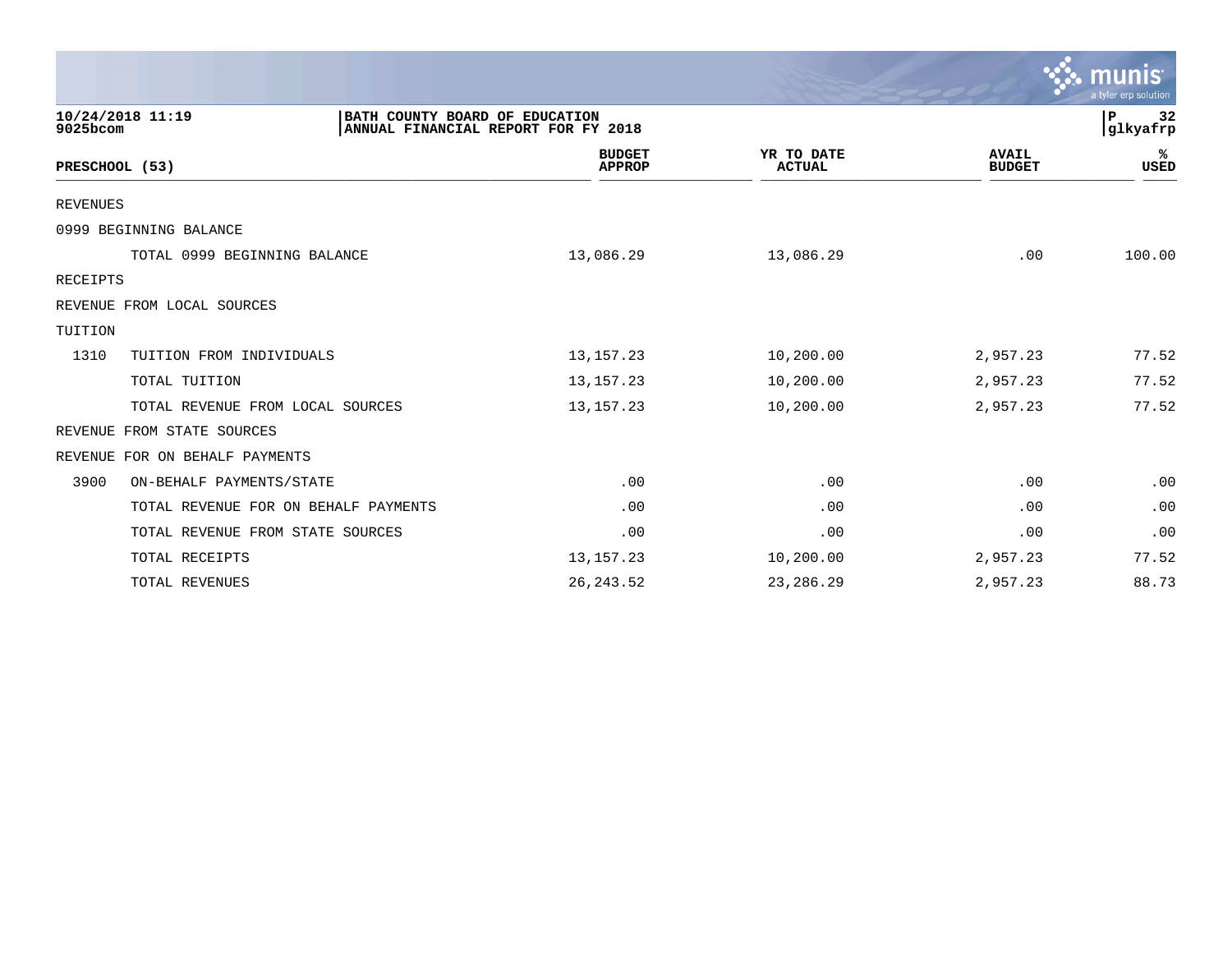|                                      |                                                                       |                             |                               | $\mathbf{\mathcal{C}}$ . munis<br>a tyler erp solution |
|--------------------------------------|-----------------------------------------------------------------------|-----------------------------|-------------------------------|--------------------------------------------------------|
| 10/24/2018 11:19<br>$9025$ bcom      | BATH COUNTY BOARD OF EDUCATION<br>ANNUAL FINANCIAL REPORT FOR FY 2018 |                             |                               | 32<br>$\mathbf P$<br>glkyafrp                          |
| PRESCHOOL (53)                       | <b>BUDGET</b><br><b>APPROP</b>                                        | YR TO DATE<br><b>ACTUAL</b> | <b>AVAIL</b><br><b>BUDGET</b> | ℁<br>USED                                              |
| <b>REVENUES</b>                      |                                                                       |                             |                               |                                                        |
| 0999 BEGINNING BALANCE               |                                                                       |                             |                               |                                                        |
| TOTAL 0999 BEGINNING BALANCE         | 13,086.29                                                             | 13,086.29                   | .00                           | 100.00                                                 |
| RECEIPTS                             |                                                                       |                             |                               |                                                        |
| REVENUE FROM LOCAL SOURCES           |                                                                       |                             |                               |                                                        |
| TUITION                              |                                                                       |                             |                               |                                                        |
| 1310<br>TUITION FROM INDIVIDUALS     | 13, 157. 23                                                           | 10,200.00                   | 2,957.23                      | 77.52                                                  |
| TOTAL TUITION                        | 13, 157. 23                                                           | 10,200.00                   | 2,957.23                      | 77.52                                                  |
| TOTAL REVENUE FROM LOCAL SOURCES     | 13, 157. 23                                                           | 10,200.00                   | 2,957.23                      | 77.52                                                  |
| FROM STATE SOURCES<br>REVENUE        |                                                                       |                             |                               |                                                        |
| REVENUE<br>FOR ON BEHALF PAYMENTS    |                                                                       |                             |                               |                                                        |
| 3900<br>ON-BEHALF PAYMENTS/STATE     | .00                                                                   | .00                         | .00                           | .00                                                    |
| TOTAL REVENUE FOR ON BEHALF PAYMENTS | .00                                                                   | .00                         | .00                           | .00                                                    |
| TOTAL REVENUE FROM STATE SOURCES     | .00                                                                   | .00                         | .00                           | .00                                                    |
| TOTAL RECEIPTS                       | 13, 157. 23                                                           | 10,200.00                   | 2,957.23                      | 77.52                                                  |
| TOTAL REVENUES                       | 26, 243.52                                                            | 23, 286. 29                 | 2,957.23                      | 88.73                                                  |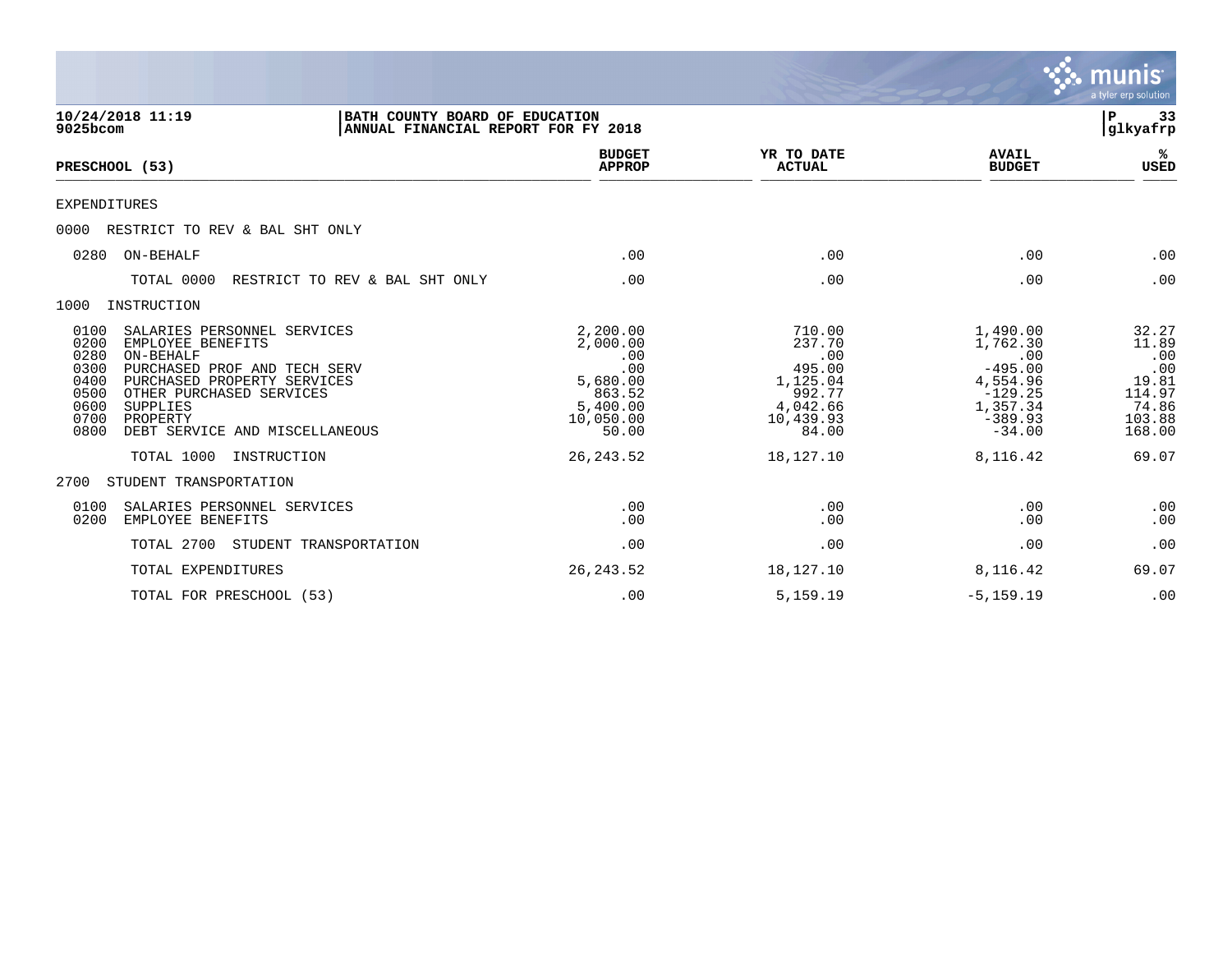|                                                                                                                                                                                                                                                                                            |                                                                                            |                                                                                           |                                                                                                        | <b>munis</b><br>a tyler erp solution                                         |
|--------------------------------------------------------------------------------------------------------------------------------------------------------------------------------------------------------------------------------------------------------------------------------------------|--------------------------------------------------------------------------------------------|-------------------------------------------------------------------------------------------|--------------------------------------------------------------------------------------------------------|------------------------------------------------------------------------------|
| 10/24/2018 11:19<br>BATH COUNTY BOARD OF EDUCATION<br>9025bcom<br>ANNUAL FINANCIAL REPORT FOR FY 2018                                                                                                                                                                                      |                                                                                            |                                                                                           |                                                                                                        | 33<br>P<br> glkyafrp                                                         |
| PRESCHOOL (53)                                                                                                                                                                                                                                                                             | <b>BUDGET</b><br><b>APPROP</b>                                                             | YR TO DATE<br><b>ACTUAL</b>                                                               | <b>AVAIL</b><br><b>BUDGET</b>                                                                          | ℁<br><b>USED</b>                                                             |
| <b>EXPENDITURES</b>                                                                                                                                                                                                                                                                        |                                                                                            |                                                                                           |                                                                                                        |                                                                              |
| 0000<br>RESTRICT TO REV & BAL SHT ONLY                                                                                                                                                                                                                                                     |                                                                                            |                                                                                           |                                                                                                        |                                                                              |
| ON-BEHALF<br>0280                                                                                                                                                                                                                                                                          | .00                                                                                        | .00                                                                                       | .00                                                                                                    | .00                                                                          |
| RESTRICT TO REV & BAL SHT ONLY<br>TOTAL 0000                                                                                                                                                                                                                                               | .00                                                                                        | .00                                                                                       | .00                                                                                                    | .00                                                                          |
| 1000<br>INSTRUCTION                                                                                                                                                                                                                                                                        |                                                                                            |                                                                                           |                                                                                                        |                                                                              |
| 0100<br>SALARIES PERSONNEL SERVICES<br>0200<br>EMPLOYEE BENEFITS<br>0280<br>ON-BEHALF<br>0300<br>PURCHASED PROF AND TECH SERV<br>0400<br>PURCHASED PROPERTY SERVICES<br>OTHER PURCHASED SERVICES<br>0500<br>0600<br>SUPPLIES<br>0700<br>PROPERTY<br>0800<br>DEBT SERVICE AND MISCELLANEOUS | 2,200.00<br>2,000.00<br>.00<br>.00<br>5,680.00<br>863.52<br>5,400.00<br>10,050.00<br>50.00 | 710.00<br>237.70<br>.00<br>495.00<br>1,125.04<br>992.77<br>4,042.66<br>10,439.93<br>84.00 | 1,490.00<br>1,762.30<br>.00<br>$-495.00$<br>4,554.96<br>$-129.25$<br>1,357.34<br>$-389.93$<br>$-34.00$ | 32.27<br>11.89<br>.00<br>.00<br>19.81<br>114.97<br>74.86<br>103.88<br>168.00 |
| TOTAL 1000<br>INSTRUCTION                                                                                                                                                                                                                                                                  | 26, 243.52                                                                                 | 18,127.10                                                                                 | 8,116.42                                                                                               | 69.07                                                                        |
| STUDENT TRANSPORTATION<br>2700                                                                                                                                                                                                                                                             |                                                                                            |                                                                                           |                                                                                                        |                                                                              |
| 0100<br>SALARIES PERSONNEL SERVICES<br>0200<br>EMPLOYEE BENEFITS                                                                                                                                                                                                                           | .00<br>.00                                                                                 | .00<br>.00                                                                                | .00<br>.00                                                                                             | .00<br>.00                                                                   |
| TOTAL 2700<br>STUDENT TRANSPORTATION                                                                                                                                                                                                                                                       | .00                                                                                        | .00                                                                                       | .00                                                                                                    | .00                                                                          |
| TOTAL EXPENDITURES                                                                                                                                                                                                                                                                         | 26, 243.52                                                                                 | 18,127.10                                                                                 | 8,116.42                                                                                               | 69.07                                                                        |
| TOTAL FOR PRESCHOOL (53)                                                                                                                                                                                                                                                                   | .00                                                                                        | 5,159.19                                                                                  | $-5, 159.19$                                                                                           | .00                                                                          |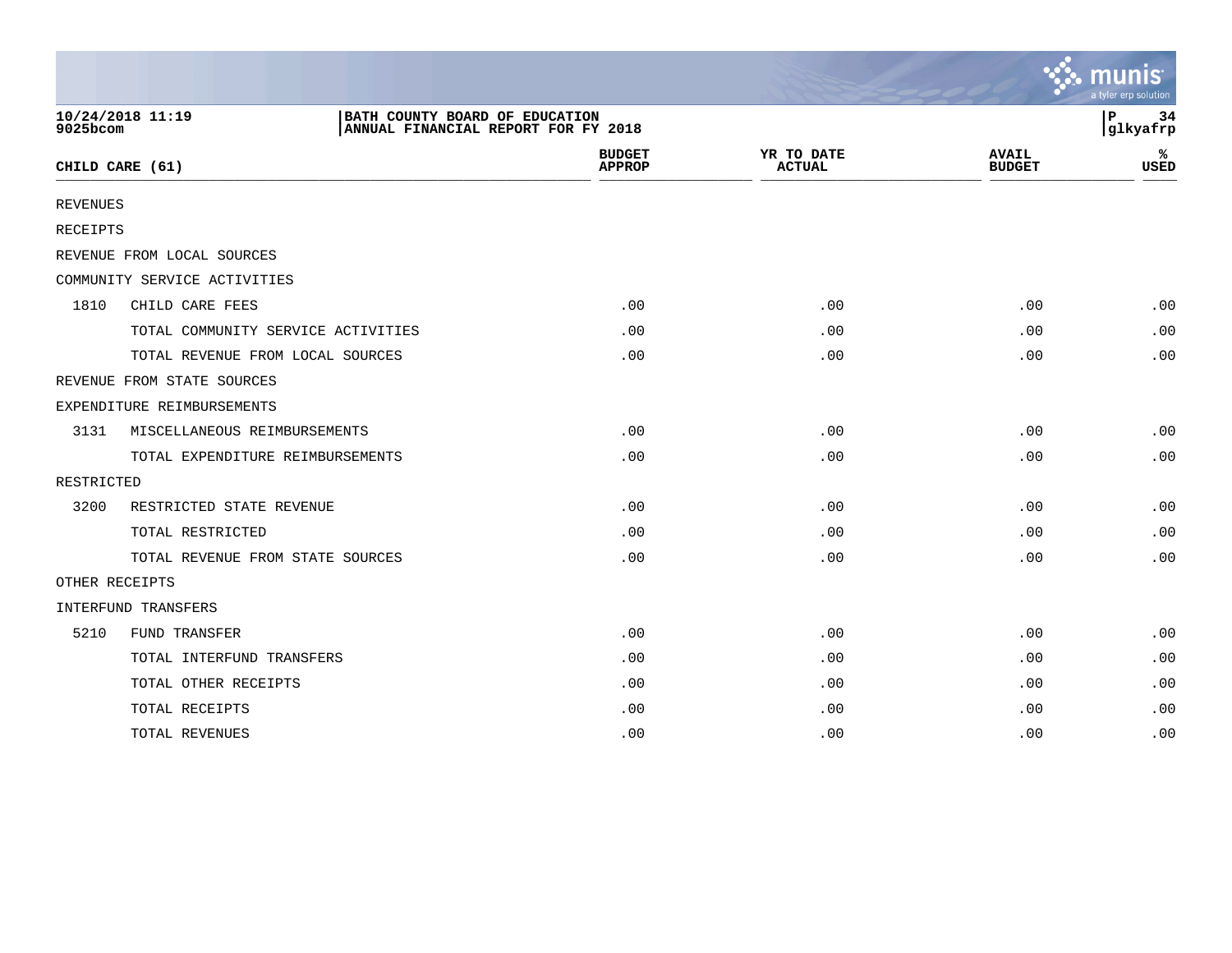|                 |                                                                                           |                                |                             |                               | $\mathbb{Z}$ munis<br>a tyler erp solution |
|-----------------|-------------------------------------------------------------------------------------------|--------------------------------|-----------------------------|-------------------------------|--------------------------------------------|
| 9025bcom        | 10/24/2018 11:19<br>BATH COUNTY BOARD OF EDUCATION<br>ANNUAL FINANCIAL REPORT FOR FY 2018 |                                |                             |                               | l P<br>34<br>glkyafrp                      |
|                 | CHILD CARE (61)                                                                           | <b>BUDGET</b><br><b>APPROP</b> | YR TO DATE<br><b>ACTUAL</b> | <b>AVAIL</b><br><b>BUDGET</b> | ℁<br><b>USED</b>                           |
| <b>REVENUES</b> |                                                                                           |                                |                             |                               |                                            |
| RECEIPTS        |                                                                                           |                                |                             |                               |                                            |
|                 | REVENUE FROM LOCAL SOURCES                                                                |                                |                             |                               |                                            |
|                 | COMMUNITY SERVICE ACTIVITIES                                                              |                                |                             |                               |                                            |
| 1810            | CHILD CARE FEES                                                                           | .00                            | .00                         | .00                           | .00                                        |
|                 | TOTAL COMMUNITY SERVICE ACTIVITIES                                                        | .00                            | .00                         | .00                           | .00                                        |
|                 | TOTAL REVENUE FROM LOCAL SOURCES                                                          | .00                            | .00                         | .00                           | .00                                        |
|                 | REVENUE FROM STATE SOURCES                                                                |                                |                             |                               |                                            |
|                 | EXPENDITURE REIMBURSEMENTS                                                                |                                |                             |                               |                                            |
| 3131            | MISCELLANEOUS REIMBURSEMENTS                                                              | .00                            | .00                         | .00                           | .00                                        |
|                 | TOTAL EXPENDITURE REIMBURSEMENTS                                                          | .00                            | .00                         | .00                           | .00                                        |
| RESTRICTED      |                                                                                           |                                |                             |                               |                                            |
| 3200            | RESTRICTED STATE REVENUE                                                                  | .00                            | .00                         | .00                           | .00                                        |
|                 | TOTAL RESTRICTED                                                                          | .00                            | .00                         | .00                           | .00                                        |
|                 | TOTAL REVENUE FROM STATE SOURCES                                                          | .00                            | .00                         | .00                           | .00                                        |
|                 | OTHER RECEIPTS                                                                            |                                |                             |                               |                                            |
|                 | INTERFUND TRANSFERS                                                                       |                                |                             |                               |                                            |
| 5210            | FUND TRANSFER                                                                             | .00                            | .00                         | .00                           | .00                                        |
|                 | TOTAL INTERFUND TRANSFERS                                                                 | .00                            | .00                         | .00                           | .00                                        |
|                 | TOTAL OTHER RECEIPTS                                                                      | .00                            | .00                         | .00                           | .00                                        |
|                 | TOTAL RECEIPTS                                                                            | .00                            | .00                         | .00                           | .00                                        |
|                 | TOTAL REVENUES                                                                            | .00                            | .00                         | .00                           | .00                                        |

the contract of the contract of the contract of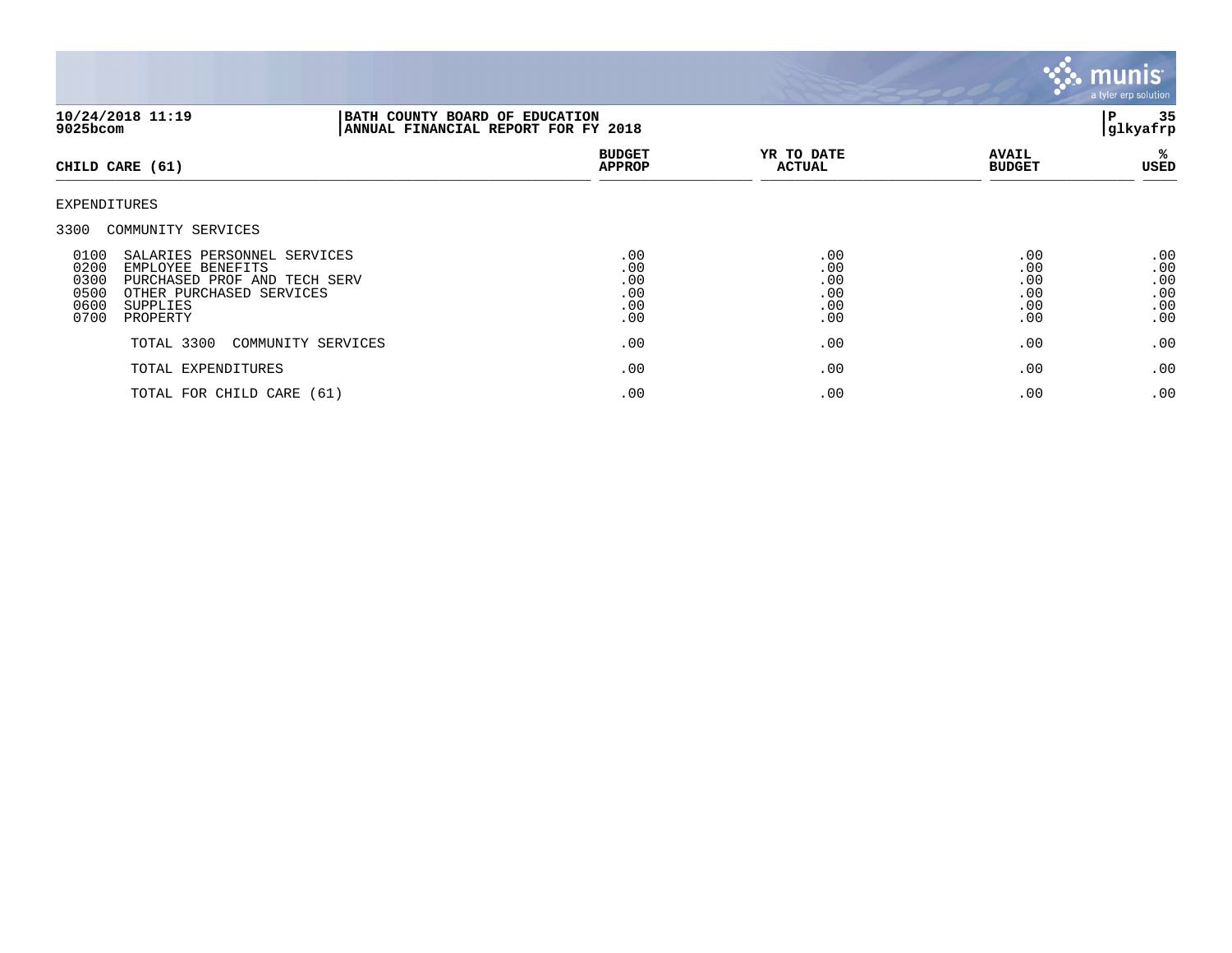

| 10/24/2018 11:19<br>9025bcom                 |                                                                                                                                      |                    | BATH COUNTY BOARD OF EDUCATION<br>ANNUAL FINANCIAL REPORT FOR FY 2018 |                                        |                                        |                                        |
|----------------------------------------------|--------------------------------------------------------------------------------------------------------------------------------------|--------------------|-----------------------------------------------------------------------|----------------------------------------|----------------------------------------|----------------------------------------|
|                                              | CHILD CARE (61)                                                                                                                      |                    | <b>BUDGET</b><br><b>APPROP</b>                                        | YR TO DATE<br><b>ACTUAL</b>            | <b>AVAIL</b><br><b>BUDGET</b>          | ℁<br>USED                              |
| EXPENDITURES                                 |                                                                                                                                      |                    |                                                                       |                                        |                                        |                                        |
| 3300                                         | COMMUNITY SERVICES                                                                                                                   |                    |                                                                       |                                        |                                        |                                        |
| 0100<br>0200<br>0300<br>0500<br>0600<br>0700 | SALARIES PERSONNEL SERVICES<br>EMPLOYEE BENEFITS<br>PURCHASED PROF AND TECH SERV<br>OTHER PURCHASED SERVICES<br>SUPPLIES<br>PROPERTY |                    | .00<br>.00<br>.00<br>.00<br>.00<br>.00                                | .00<br>.00<br>.00<br>.00<br>.00<br>.00 | .00<br>.00<br>.00<br>.00<br>.00<br>.00 | .00<br>.00<br>.00<br>.00<br>.00<br>.00 |
|                                              | TOTAL 3300                                                                                                                           | COMMUNITY SERVICES | .00                                                                   | .00                                    | .00                                    | .00                                    |
|                                              | TOTAL EXPENDITURES                                                                                                                   |                    | .00                                                                   | .00                                    | .00                                    | .00                                    |
|                                              | TOTAL FOR CHILD CARE (61)                                                                                                            |                    | .00                                                                   | .00                                    | .00                                    | .00                                    |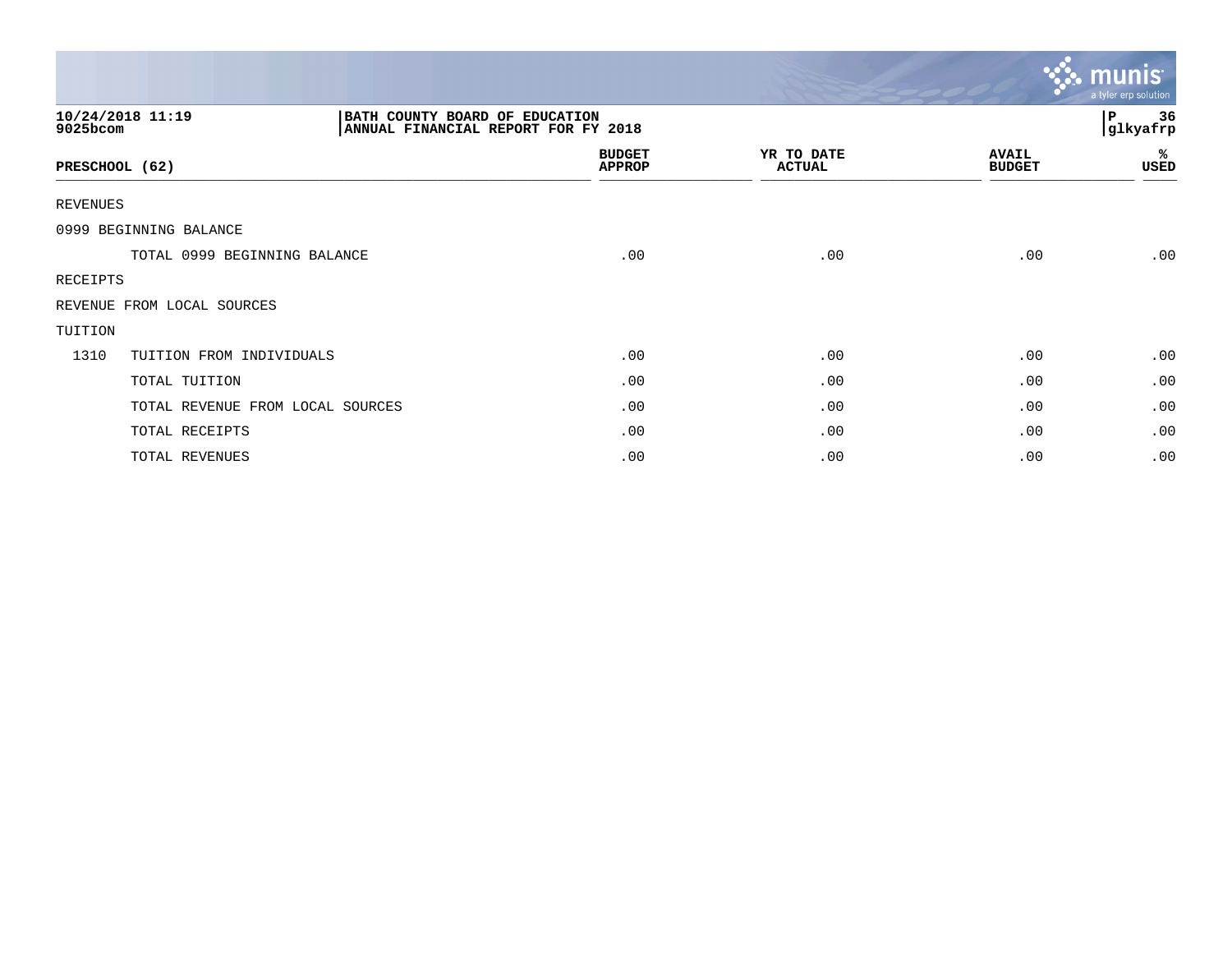|                 |                                                                                           |                                |                             |                               | $\sim$ munis<br>a tyler erp solution |
|-----------------|-------------------------------------------------------------------------------------------|--------------------------------|-----------------------------|-------------------------------|--------------------------------------|
| 9025bcom        | 10/24/2018 11:19<br>BATH COUNTY BOARD OF EDUCATION<br>ANNUAL FINANCIAL REPORT FOR FY 2018 |                                | 36<br>Р<br>glkyafrp         |                               |                                      |
| PRESCHOOL (62)  |                                                                                           | <b>BUDGET</b><br><b>APPROP</b> | YR TO DATE<br><b>ACTUAL</b> | <b>AVAIL</b><br><b>BUDGET</b> | %ะ<br>USED                           |
| <b>REVENUES</b> |                                                                                           |                                |                             |                               |                                      |
|                 | 0999 BEGINNING BALANCE                                                                    |                                |                             |                               |                                      |
|                 | TOTAL 0999 BEGINNING BALANCE                                                              | .00                            | .00                         | .00                           | .00                                  |
| RECEIPTS        |                                                                                           |                                |                             |                               |                                      |
|                 | REVENUE FROM LOCAL SOURCES                                                                |                                |                             |                               |                                      |
| TUITION         |                                                                                           |                                |                             |                               |                                      |
| 1310            | TUITION FROM INDIVIDUALS                                                                  | .00                            | .00                         | .00                           | .00                                  |
|                 | TOTAL TUITION                                                                             | .00                            | .00                         | .00                           | .00                                  |
|                 | TOTAL REVENUE FROM LOCAL SOURCES                                                          | .00                            | .00                         | .00                           | .00                                  |
|                 | TOTAL RECEIPTS                                                                            | .00                            | .00                         | .00                           | .00                                  |
|                 | TOTAL REVENUES                                                                            | .00                            | .00                         | .00                           | .00                                  |

the contract of the contract of the contract of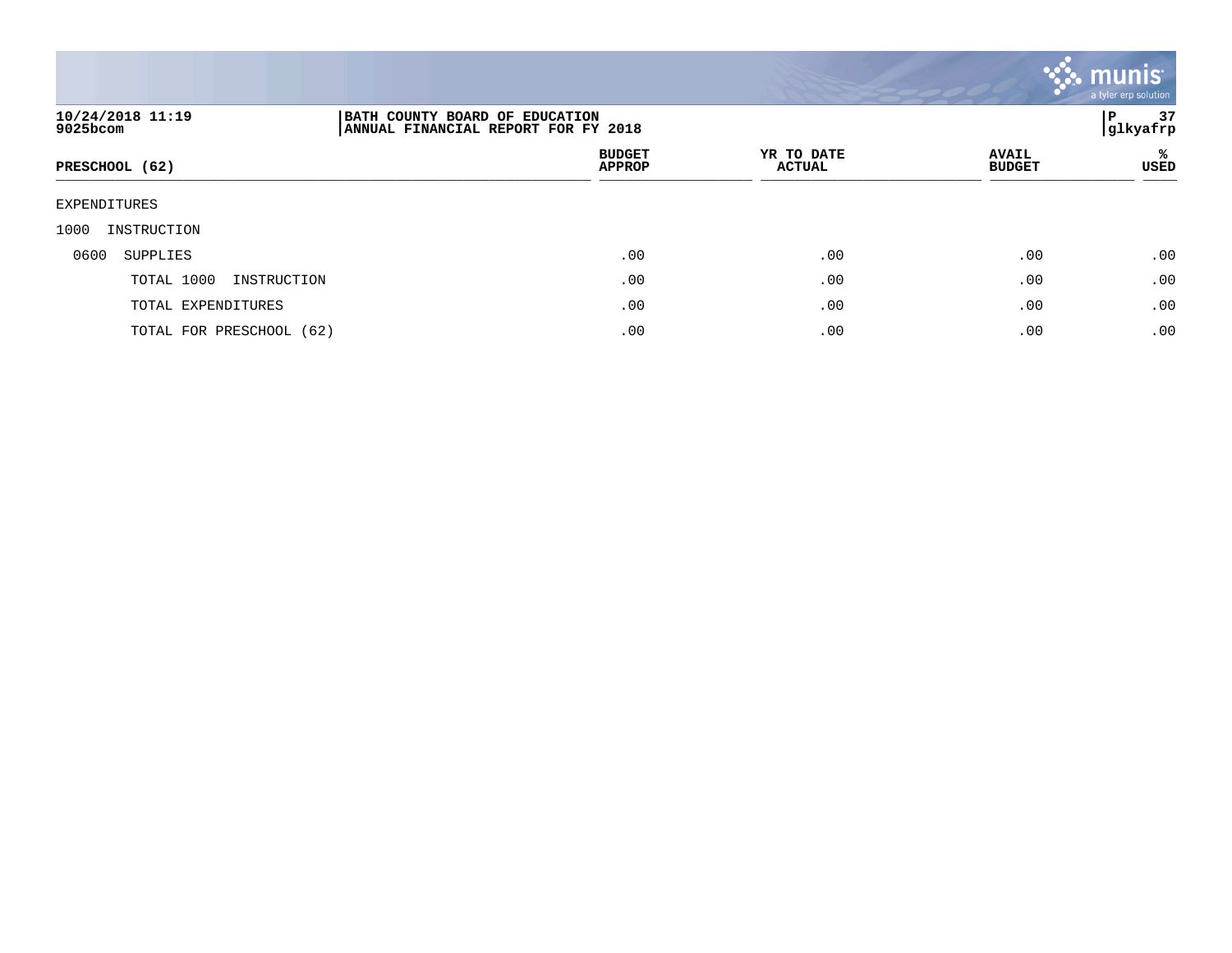

| 10/24/2018 11:19<br>9025bcom | BATH COUNTY BOARD OF EDUCATION<br>ANNUAL FINANCIAL REPORT FOR FY 2018 | 37<br>P<br> glkyafrp        |                               |           |
|------------------------------|-----------------------------------------------------------------------|-----------------------------|-------------------------------|-----------|
| PRESCHOOL (62)               | <b>BUDGET</b><br><b>APPROP</b>                                        | YR TO DATE<br><b>ACTUAL</b> | <b>AVAIL</b><br><b>BUDGET</b> | ℁<br>USED |
| EXPENDITURES                 |                                                                       |                             |                               |           |
| 1000<br>INSTRUCTION          |                                                                       |                             |                               |           |
| 0600<br>SUPPLIES             | .00                                                                   | .00                         | .00                           | .00       |
| TOTAL 1000<br>INSTRUCTION    | .00                                                                   | .00                         | .00                           | .00       |
| TOTAL EXPENDITURES           | .00                                                                   | .00                         | .00                           | .00       |
| TOTAL FOR PRESCHOOL (62)     | .00                                                                   | .00                         | .00                           | .00       |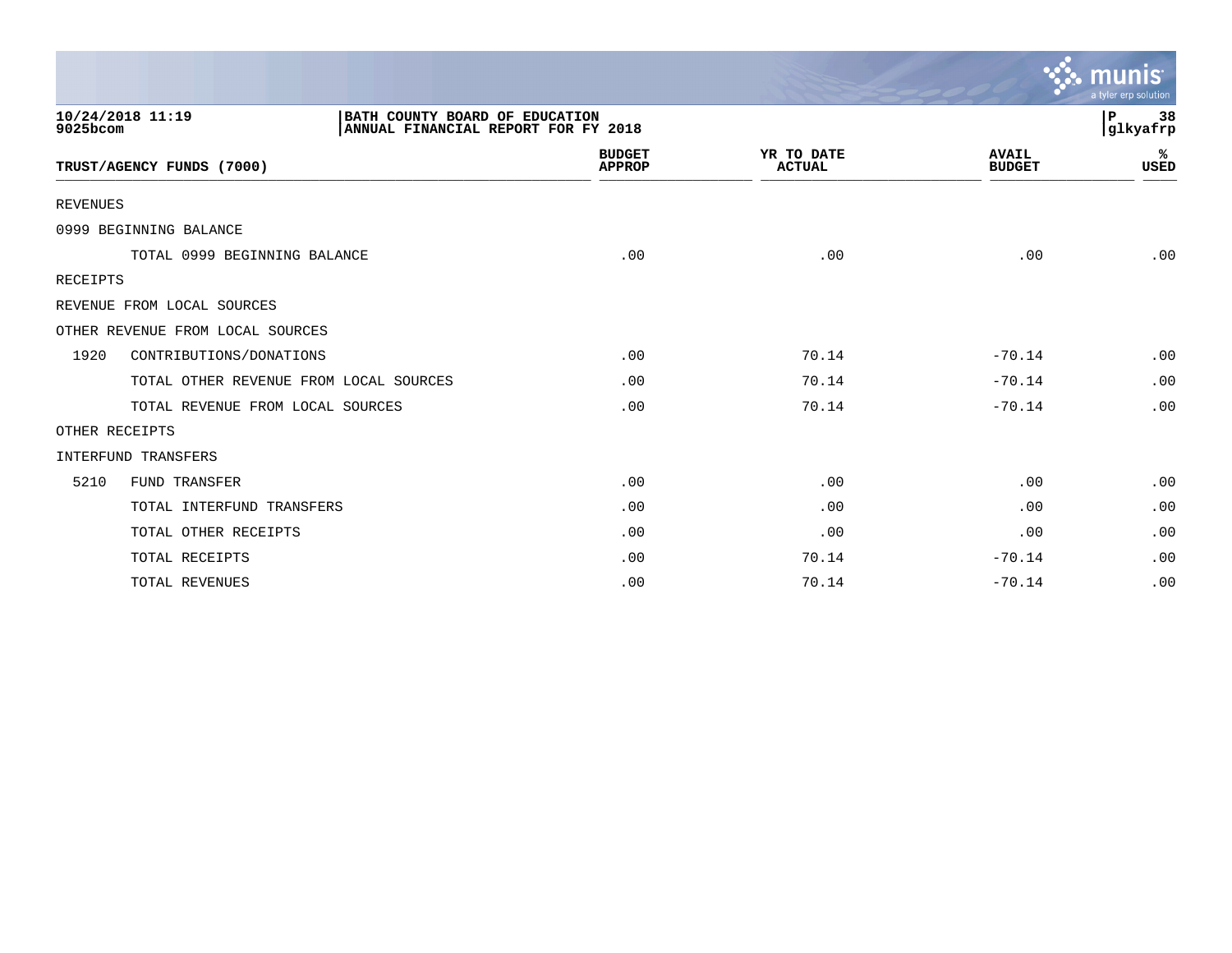|                 |                                                                                           |                                |                             |                               | mun<br>a tyler erp solution |
|-----------------|-------------------------------------------------------------------------------------------|--------------------------------|-----------------------------|-------------------------------|-----------------------------|
| 9025bcom        | 10/24/2018 11:19<br>BATH COUNTY BOARD OF EDUCATION<br>ANNUAL FINANCIAL REPORT FOR FY 2018 |                                |                             |                               | P<br>38<br>glkyafrp         |
|                 | TRUST/AGENCY FUNDS (7000)                                                                 | <b>BUDGET</b><br><b>APPROP</b> | YR TO DATE<br><b>ACTUAL</b> | <b>AVAIL</b><br><b>BUDGET</b> | ℁<br><b>USED</b>            |
| <b>REVENUES</b> |                                                                                           |                                |                             |                               |                             |
|                 | 0999 BEGINNING BALANCE                                                                    |                                |                             |                               |                             |
|                 | TOTAL 0999 BEGINNING BALANCE                                                              | .00                            | .00                         | .00                           | .00                         |
| RECEIPTS        |                                                                                           |                                |                             |                               |                             |
|                 | REVENUE FROM LOCAL SOURCES                                                                |                                |                             |                               |                             |
|                 | OTHER REVENUE FROM LOCAL SOURCES                                                          |                                |                             |                               |                             |
| 1920            | CONTRIBUTIONS/DONATIONS                                                                   | .00                            | 70.14                       | $-70.14$                      | .00                         |
|                 | TOTAL OTHER REVENUE FROM LOCAL SOURCES                                                    | .00                            | 70.14                       | $-70.14$                      | .00                         |
|                 | TOTAL REVENUE FROM LOCAL SOURCES                                                          | .00                            | 70.14                       | $-70.14$                      | .00                         |
|                 | OTHER RECEIPTS                                                                            |                                |                             |                               |                             |
|                 | <b>INTERFUND TRANSFERS</b>                                                                |                                |                             |                               |                             |
| 5210            | <b>FUND TRANSFER</b>                                                                      | .00                            | .00                         | .00                           | .00                         |
|                 | TOTAL INTERFUND TRANSFERS                                                                 | .00                            | .00                         | .00                           | .00                         |
|                 | TOTAL OTHER RECEIPTS                                                                      | .00                            | .00                         | .00                           | .00                         |
|                 | TOTAL RECEIPTS                                                                            | .00                            | 70.14                       | $-70.14$                      | .00                         |
|                 | TOTAL REVENUES                                                                            | .00                            | 70.14                       | $-70.14$                      | .00                         |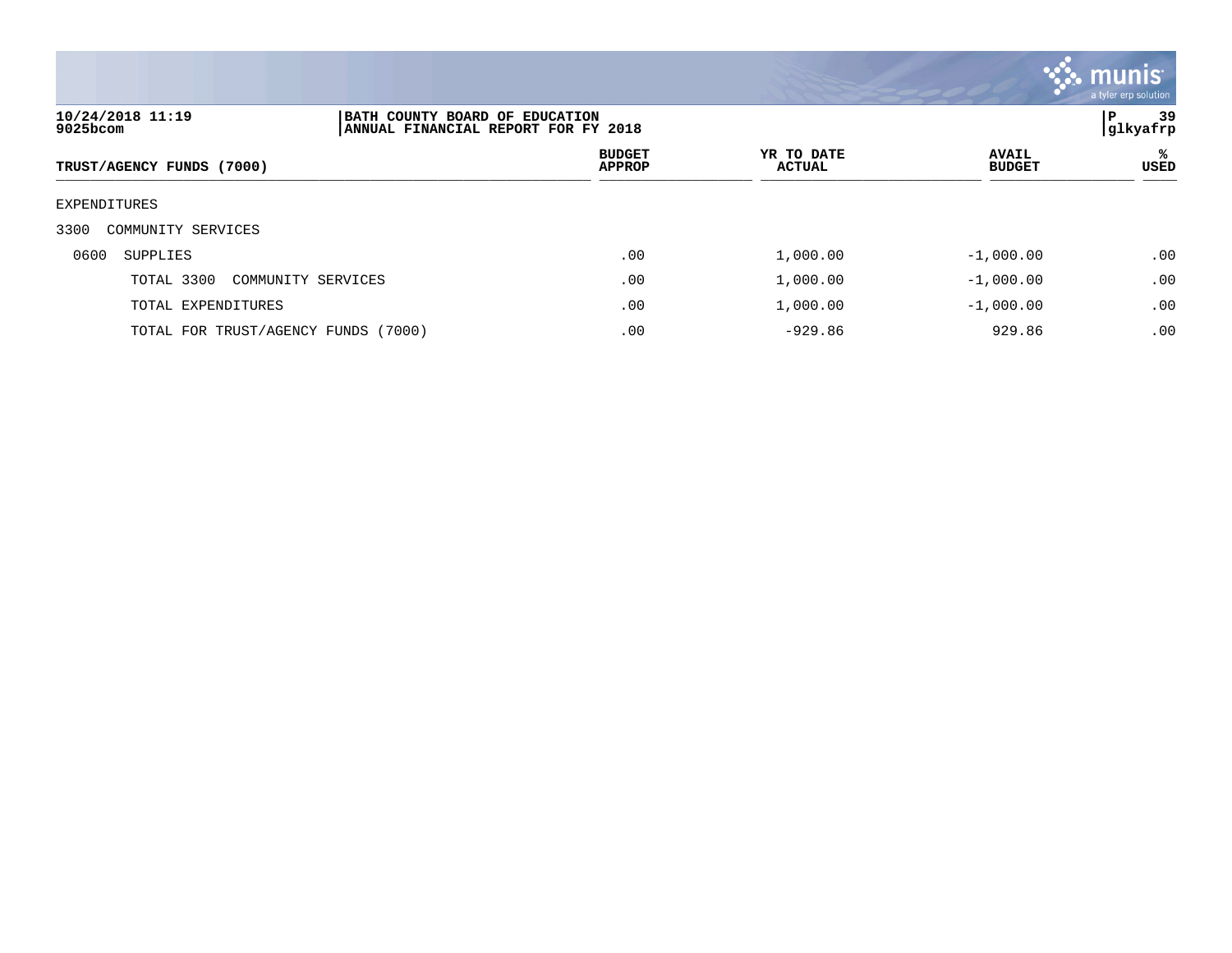

| 10/24/2018 11:19<br>9025bcom        | BATH COUNTY BOARD OF EDUCATION<br>ANNUAL FINANCIAL REPORT FOR FY 2018 |                                |                             |                               | 39<br>P<br> glkyafrp |  |
|-------------------------------------|-----------------------------------------------------------------------|--------------------------------|-----------------------------|-------------------------------|----------------------|--|
| TRUST/AGENCY FUNDS (7000)           |                                                                       | <b>BUDGET</b><br><b>APPROP</b> | YR TO DATE<br><b>ACTUAL</b> | <b>AVAIL</b><br><b>BUDGET</b> | %ะ<br>USED           |  |
| EXPENDITURES                        |                                                                       |                                |                             |                               |                      |  |
| 3300<br>COMMUNITY SERVICES          |                                                                       |                                |                             |                               |                      |  |
| 0600<br>SUPPLIES                    |                                                                       | .00                            | 1,000.00                    | $-1,000.00$                   | .00                  |  |
| TOTAL 3300<br>COMMUNITY SERVICES    |                                                                       | .00                            | 1,000.00                    | $-1,000.00$                   | .00                  |  |
| TOTAL EXPENDITURES                  |                                                                       | .00                            | 1,000.00                    | $-1,000.00$                   | .00                  |  |
| TOTAL FOR TRUST/AGENCY FUNDS (7000) |                                                                       | .00                            | $-929.86$                   | 929.86                        | .00                  |  |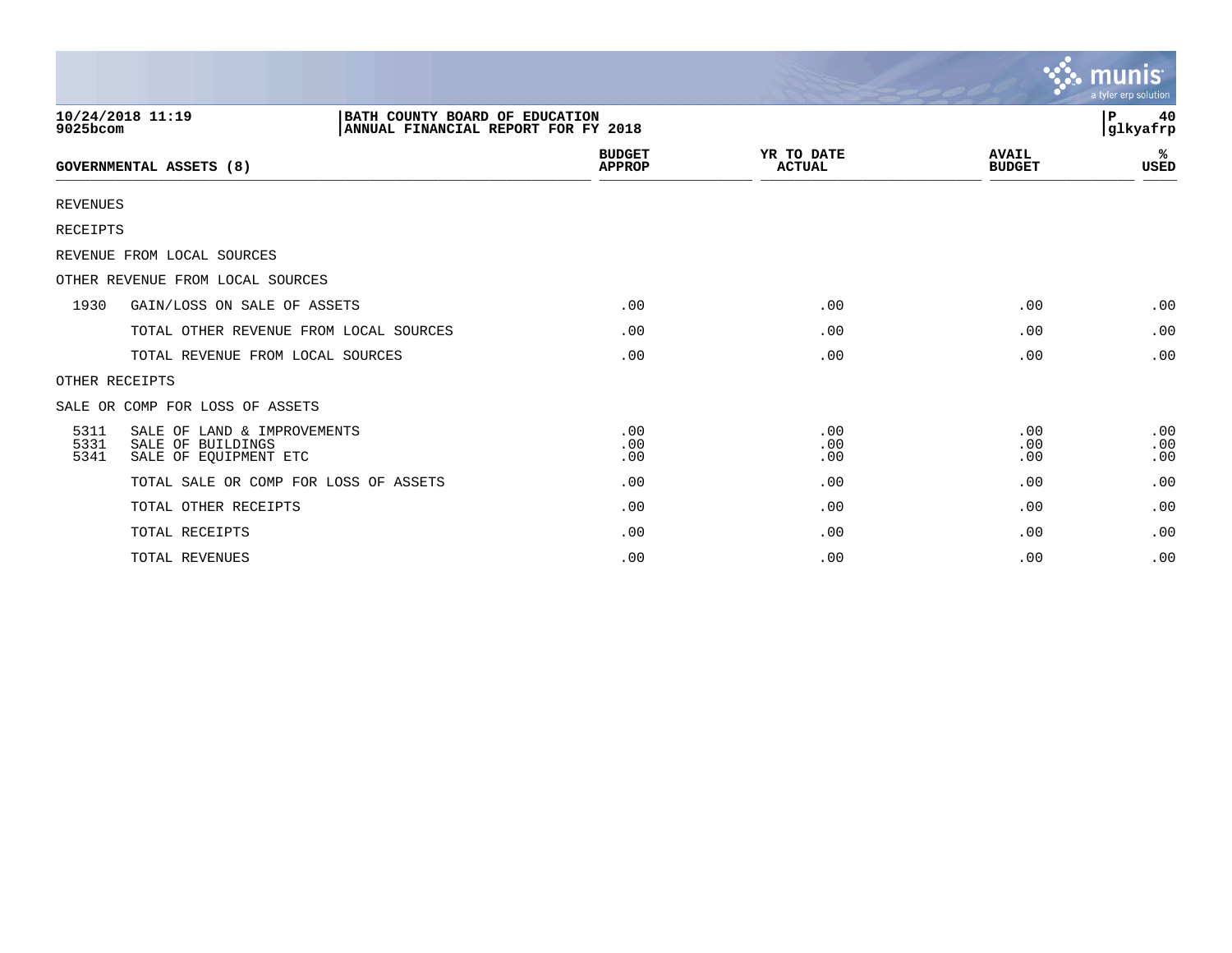|                      |                                                                                           |                                |                             |                               | $\sim$ munis<br>a tyler erp solution |
|----------------------|-------------------------------------------------------------------------------------------|--------------------------------|-----------------------------|-------------------------------|--------------------------------------|
| 9025bcom             | 10/24/2018 11:19<br>BATH COUNTY BOARD OF EDUCATION<br>ANNUAL FINANCIAL REPORT FOR FY 2018 |                                |                             |                               | l P<br>40<br>glkyafrp                |
|                      | GOVERNMENTAL ASSETS (8)                                                                   | <b>BUDGET</b><br><b>APPROP</b> | YR TO DATE<br><b>ACTUAL</b> | <b>AVAIL</b><br><b>BUDGET</b> | ℁<br><b>USED</b>                     |
| <b>REVENUES</b>      |                                                                                           |                                |                             |                               |                                      |
| RECEIPTS             |                                                                                           |                                |                             |                               |                                      |
|                      | REVENUE FROM LOCAL SOURCES                                                                |                                |                             |                               |                                      |
|                      | OTHER REVENUE FROM LOCAL SOURCES                                                          |                                |                             |                               |                                      |
| 1930                 | GAIN/LOSS ON SALE OF ASSETS                                                               | .00                            | .00                         | .00                           | .00                                  |
|                      | TOTAL OTHER REVENUE FROM LOCAL SOURCES                                                    | .00                            | .00                         | .00                           | .00                                  |
|                      | TOTAL REVENUE FROM LOCAL SOURCES                                                          | .00                            | .00                         | .00                           | .00                                  |
|                      | OTHER RECEIPTS                                                                            |                                |                             |                               |                                      |
|                      | SALE OR COMP FOR LOSS OF ASSETS                                                           |                                |                             |                               |                                      |
| 5311<br>5331<br>5341 | SALE OF LAND & IMPROVEMENTS<br>SALE OF BUILDINGS<br>SALE OF EOUIPMENT ETC                 | .00<br>.00<br>.00              | .00<br>.00<br>.00           | .00<br>.00<br>.00             | .00<br>.00<br>.00                    |
|                      | TOTAL SALE OR COMP FOR LOSS OF ASSETS                                                     | .00                            | .00                         | .00                           | .00                                  |
|                      | TOTAL OTHER RECEIPTS                                                                      | .00                            | .00                         | .00                           | .00                                  |
|                      | TOTAL RECEIPTS                                                                            | .00                            | .00                         | .00                           | .00                                  |
|                      | TOTAL REVENUES                                                                            | .00                            | .00                         | .00                           | .00                                  |

 $\sim$   $\sim$   $\sim$   $\sim$   $\sim$   $\sim$   $\sim$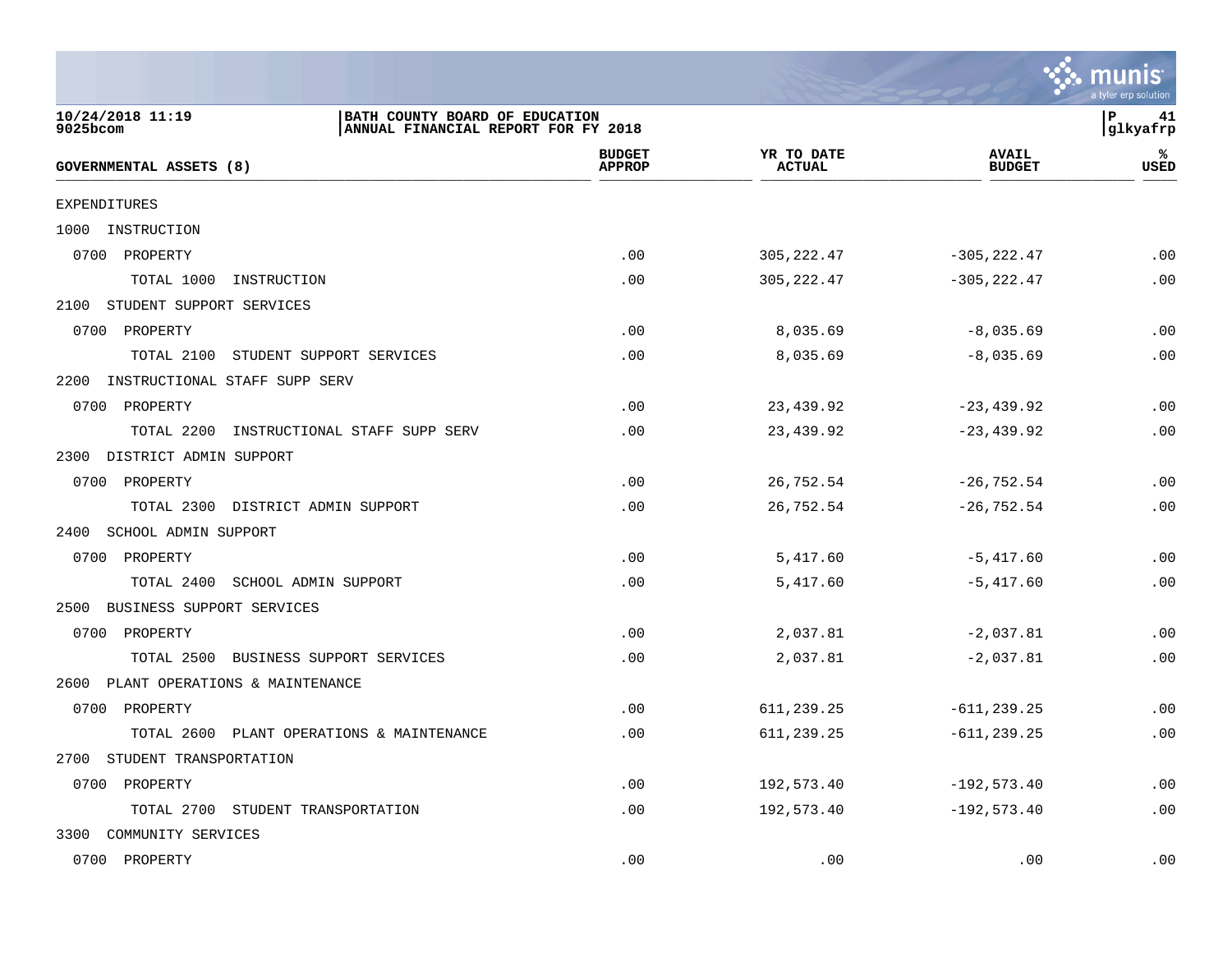

| 10/24/2018 11:19<br>$9025$ bcom       | BATH COUNTY BOARD OF EDUCATION<br>ANNUAL FINANCIAL REPORT FOR FY 2018 |                                |                             |                               | ∣P<br>41<br> glkyafrp |
|---------------------------------------|-----------------------------------------------------------------------|--------------------------------|-----------------------------|-------------------------------|-----------------------|
| <b>GOVERNMENTAL ASSETS (8)</b>        |                                                                       | <b>BUDGET</b><br><b>APPROP</b> | YR TO DATE<br><b>ACTUAL</b> | <b>AVAIL</b><br><b>BUDGET</b> | ℁<br>USED             |
| <b>EXPENDITURES</b>                   |                                                                       |                                |                             |                               |                       |
| 1000 INSTRUCTION                      |                                                                       |                                |                             |                               |                       |
| 0700 PROPERTY                         |                                                                       | .00                            | 305, 222.47                 | $-305, 222.47$                | .00                   |
| TOTAL 1000<br>INSTRUCTION             |                                                                       | .00                            | 305, 222.47                 | $-305, 222.47$                | .00                   |
| 2100 STUDENT SUPPORT SERVICES         |                                                                       |                                |                             |                               |                       |
| 0700 PROPERTY                         |                                                                       | .00                            | 8,035.69                    | $-8,035.69$                   | .00                   |
| TOTAL 2100                            | STUDENT SUPPORT SERVICES                                              | .00                            | 8,035.69                    | $-8,035.69$                   | .00                   |
| 2200<br>INSTRUCTIONAL STAFF SUPP SERV |                                                                       |                                |                             |                               |                       |
| 0700 PROPERTY                         |                                                                       | .00                            | 23,439.92                   | $-23, 439.92$                 | .00                   |
| TOTAL 2200                            | INSTRUCTIONAL STAFF SUPP SERV                                         | .00                            | 23,439.92                   | $-23, 439.92$                 | .00                   |
| 2300 DISTRICT ADMIN SUPPORT           |                                                                       |                                |                             |                               |                       |
| 0700 PROPERTY                         |                                                                       | .00                            | 26,752.54                   | $-26,752.54$                  | .00                   |
| TOTAL 2300 DISTRICT ADMIN SUPPORT     |                                                                       | .00                            | 26,752.54                   | $-26,752.54$                  | .00                   |
| 2400 SCHOOL ADMIN SUPPORT             |                                                                       |                                |                             |                               |                       |
| 0700 PROPERTY                         |                                                                       | .00                            | 5,417.60                    | $-5,417.60$                   | .00                   |
| TOTAL 2400 SCHOOL ADMIN SUPPORT       |                                                                       | .00                            | 5,417.60                    | $-5,417.60$                   | .00                   |
| 2500 BUSINESS SUPPORT SERVICES        |                                                                       |                                |                             |                               |                       |
| 0700 PROPERTY                         |                                                                       | .00                            | 2,037.81                    | $-2,037.81$                   | .00                   |
|                                       | TOTAL 2500 BUSINESS SUPPORT SERVICES                                  | .00                            | 2,037.81                    | $-2,037.81$                   | .00                   |
| 2600 PLANT OPERATIONS & MAINTENANCE   |                                                                       |                                |                             |                               |                       |
| 0700 PROPERTY                         |                                                                       | .00                            | 611,239.25                  | $-611, 239.25$                | .00                   |
|                                       | TOTAL 2600 PLANT OPERATIONS & MAINTENANCE                             | .00                            | 611,239.25                  | $-611, 239.25$                | .00                   |
| STUDENT TRANSPORTATION<br>2700        |                                                                       |                                |                             |                               |                       |
| 0700 PROPERTY                         |                                                                       | .00                            | 192,573.40                  | $-192, 573.40$                | .00                   |
| TOTAL 2700 STUDENT TRANSPORTATION     |                                                                       | .00                            | 192,573.40                  | $-192, 573.40$                | .00                   |
| 3300 COMMUNITY SERVICES               |                                                                       |                                |                             |                               |                       |
| 0700 PROPERTY                         |                                                                       | .00                            | .00                         | .00                           | .00                   |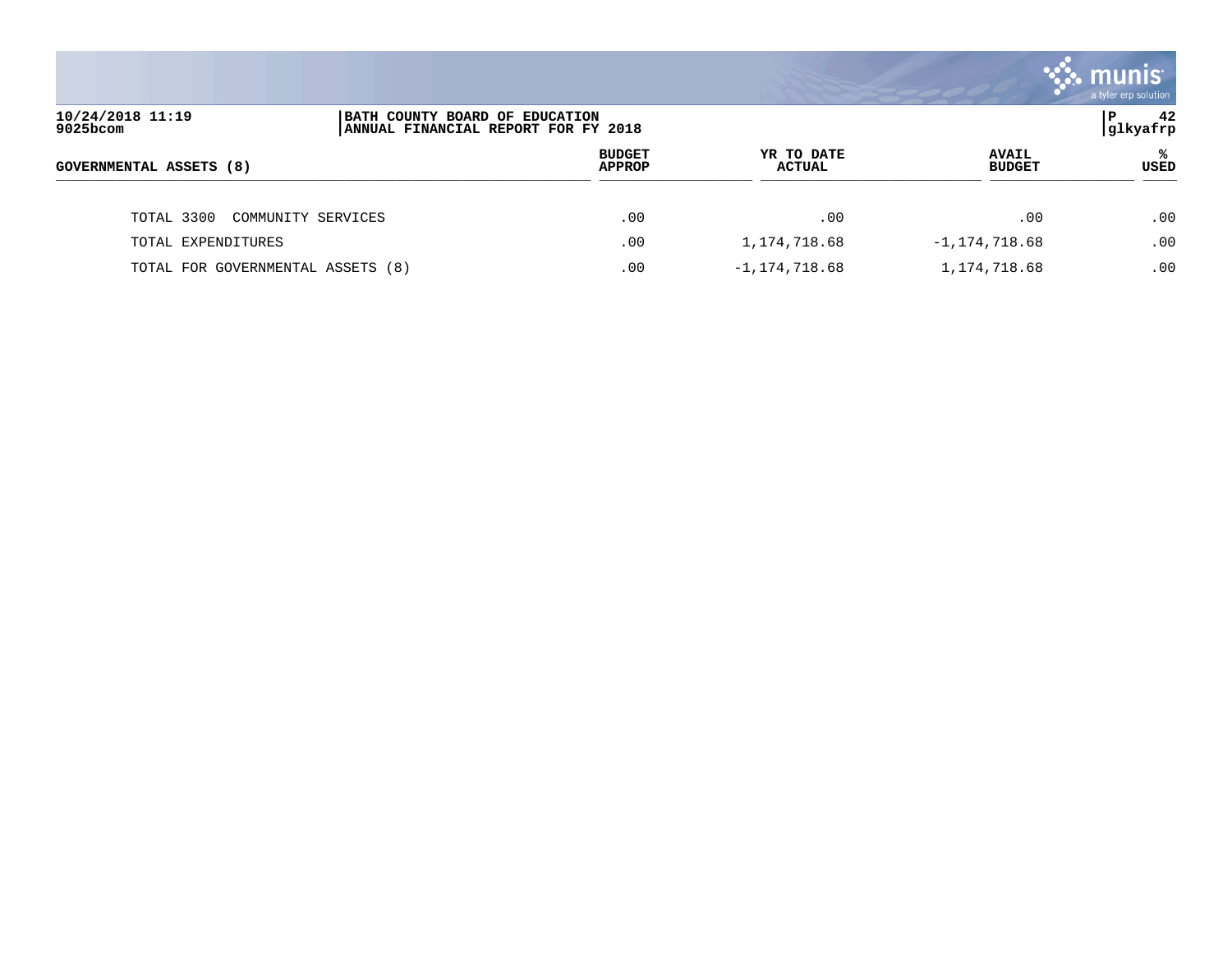|                                   |                                                                       |                                |                      |                               | a tyler erp solution |
|-----------------------------------|-----------------------------------------------------------------------|--------------------------------|----------------------|-------------------------------|----------------------|
| 10/24/2018 11:19<br>9025bcom      | BATH COUNTY BOARD OF EDUCATION<br>ANNUAL FINANCIAL REPORT FOR FY 2018 |                                |                      |                               | 42<br>P<br> glkyafrp |
| GOVERNMENTAL ASSETS (8)           |                                                                       | <b>BUDGET</b><br><b>APPROP</b> | YR TO DATE<br>ACTUAL | <b>AVAIL</b><br><b>BUDGET</b> | ℁<br>USED            |
| TOTAL 3300<br>COMMUNITY SERVICES  |                                                                       | .00                            | .00                  | .00                           | .00                  |
| TOTAL EXPENDITURES                |                                                                       | .00                            | 1,174,718.68         | $-1, 174, 718.68$             | .00                  |
| TOTAL FOR GOVERNMENTAL ASSETS (8) |                                                                       | .00                            | $-1, 174, 718.68$    | 1,174,718.68                  | .00                  |

and the contract of the contract of the contract of the contract of the contract of the contract of the contract of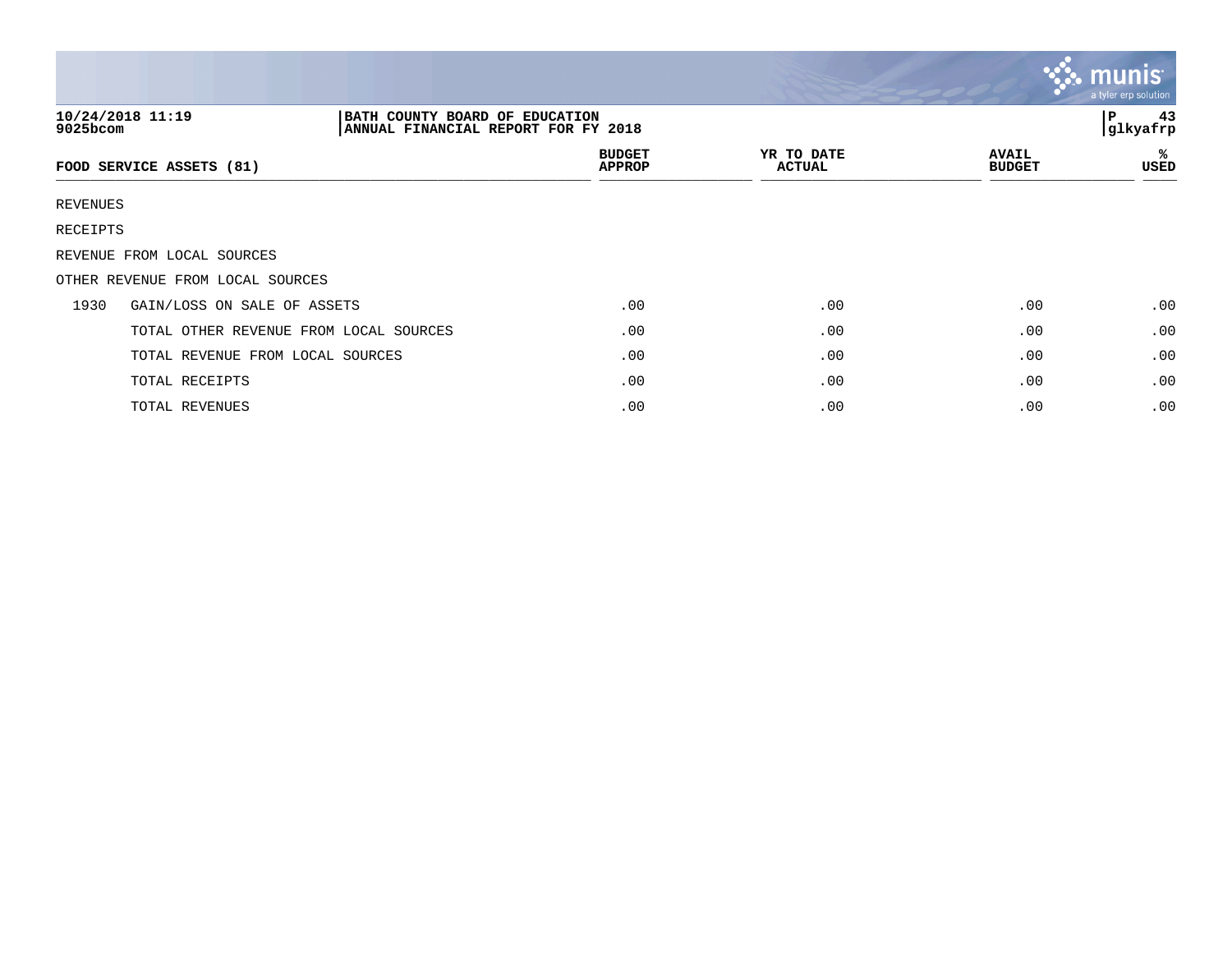|          |                                                                                           |                                |                             |                               | $\mathbf{\ddot{\cdot}}\mathbf{\ddot{\cdot}}\mathbf{m}$ unis $\mathbf{\ddot{\cdot}}$<br>a tyler erp solution |
|----------|-------------------------------------------------------------------------------------------|--------------------------------|-----------------------------|-------------------------------|-------------------------------------------------------------------------------------------------------------|
| 9025bcom | 10/24/2018 11:19<br>BATH COUNTY BOARD OF EDUCATION<br>ANNUAL FINANCIAL REPORT FOR FY 2018 |                                |                             |                               | 43<br>P<br>glkyafrp                                                                                         |
|          | FOOD SERVICE ASSETS (81)                                                                  | <b>BUDGET</b><br><b>APPROP</b> | YR TO DATE<br><b>ACTUAL</b> | <b>AVAIL</b><br><b>BUDGET</b> | ℁<br>USED                                                                                                   |
| REVENUES |                                                                                           |                                |                             |                               |                                                                                                             |
| RECEIPTS |                                                                                           |                                |                             |                               |                                                                                                             |
|          | REVENUE FROM LOCAL SOURCES                                                                |                                |                             |                               |                                                                                                             |
|          | OTHER REVENUE FROM LOCAL SOURCES                                                          |                                |                             |                               |                                                                                                             |
| 1930     | GAIN/LOSS ON SALE OF ASSETS                                                               | .00                            | .00                         | .00                           | .00                                                                                                         |
|          | TOTAL OTHER REVENUE FROM LOCAL SOURCES                                                    | .00                            | .00                         | .00                           | .00                                                                                                         |
|          | TOTAL REVENUE FROM LOCAL SOURCES                                                          | .00                            | .00                         | .00                           | .00                                                                                                         |
|          | TOTAL RECEIPTS                                                                            | .00                            | .00                         | .00                           | .00                                                                                                         |
|          | TOTAL REVENUES                                                                            | .00                            | .00                         | .00                           | .00                                                                                                         |

and the contract of the contract of the contract of the contract of the contract of the contract of the contract of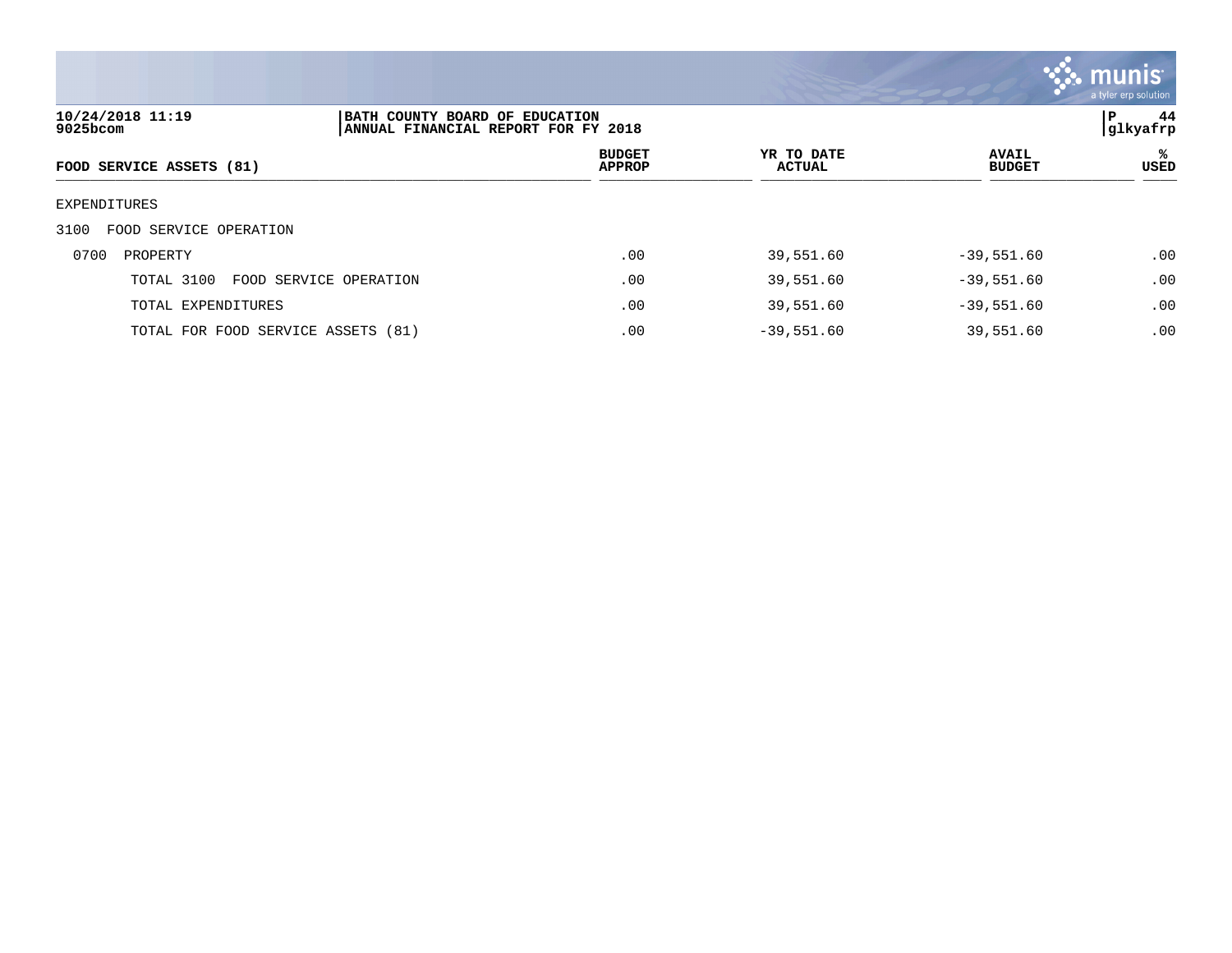

| 10/24/2018 11:19<br>9025bcom         | BATH COUNTY BOARD OF EDUCATION<br>ANNUAL FINANCIAL REPORT FOR FY 2018 |                                |                             |                               | 44<br>P<br> glkyafrp |
|--------------------------------------|-----------------------------------------------------------------------|--------------------------------|-----------------------------|-------------------------------|----------------------|
| FOOD SERVICE ASSETS (81)             |                                                                       | <b>BUDGET</b><br><b>APPROP</b> | YR TO DATE<br><b>ACTUAL</b> | <b>AVAIL</b><br><b>BUDGET</b> | ℁<br><b>USED</b>     |
| EXPENDITURES                         |                                                                       |                                |                             |                               |                      |
| 3100<br>FOOD SERVICE OPERATION       |                                                                       |                                |                             |                               |                      |
| 0700<br>PROPERTY                     |                                                                       | .00                            | 39,551.60                   | $-39,551.60$                  | .00                  |
| TOTAL 3100<br>FOOD SERVICE OPERATION |                                                                       | .00                            | 39,551.60                   | $-39,551.60$                  | .00                  |
| TOTAL EXPENDITURES                   |                                                                       | .00                            | 39,551.60                   | $-39,551.60$                  | .00                  |
| TOTAL FOR FOOD SERVICE ASSETS (81)   |                                                                       | .00                            | $-39,551.60$                | 39,551.60                     | .00                  |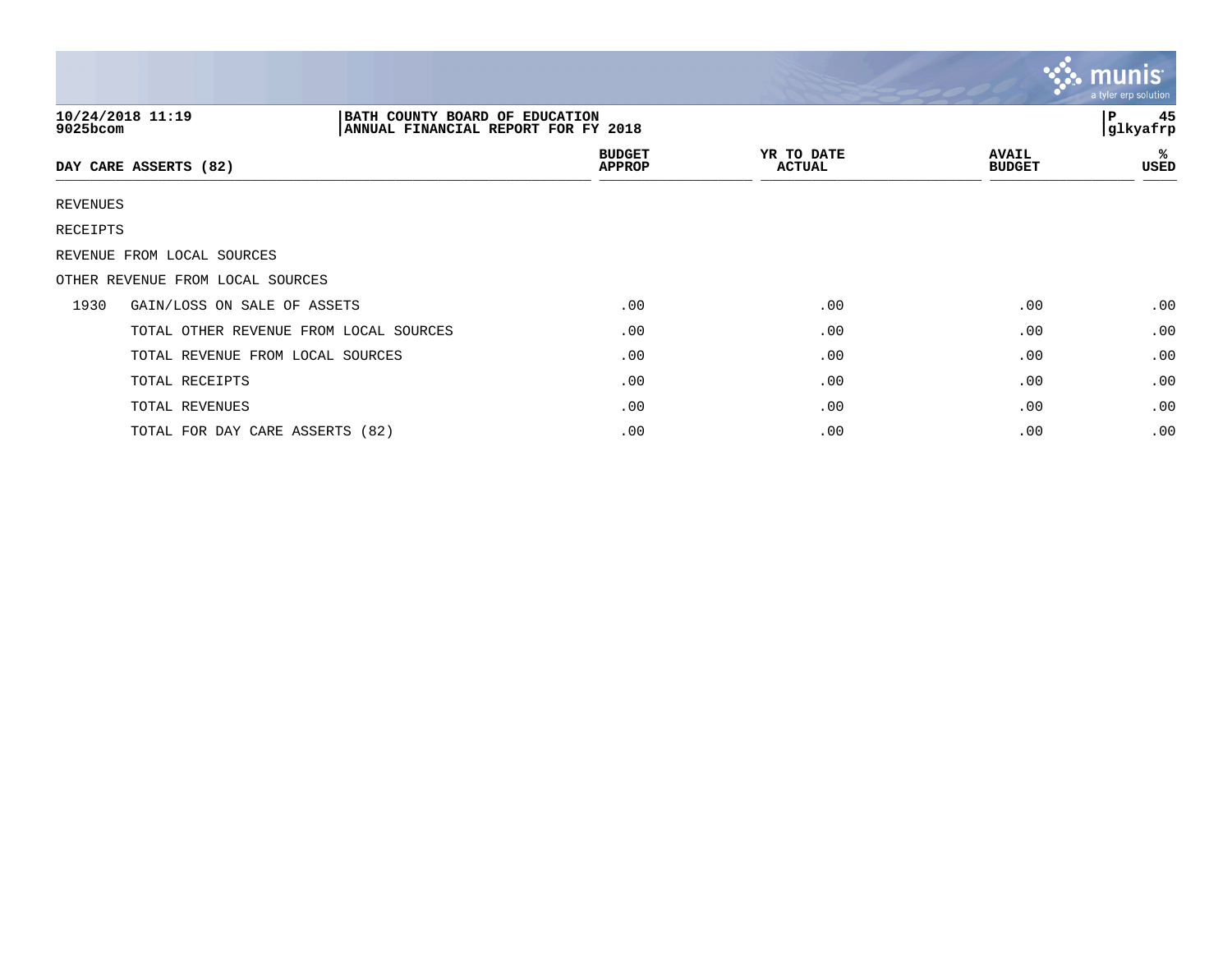|          |                                                    |                                     |                             |                               | $\mathbf{\mathcal{S}}$ . munist<br>a tyler erp solution |
|----------|----------------------------------------------------|-------------------------------------|-----------------------------|-------------------------------|---------------------------------------------------------|
| 9025bcom | 10/24/2018 11:19<br>BATH COUNTY BOARD OF EDUCATION | ANNUAL FINANCIAL REPORT FOR FY 2018 |                             |                               | 45<br>l P<br> glkyafrp                                  |
|          | DAY CARE ASSERTS (82)                              | <b>BUDGET</b><br><b>APPROP</b>      | YR TO DATE<br><b>ACTUAL</b> | <b>AVAIL</b><br><b>BUDGET</b> | ℁<br>USED                                               |
| REVENUES |                                                    |                                     |                             |                               |                                                         |
| RECEIPTS |                                                    |                                     |                             |                               |                                                         |
|          | REVENUE FROM LOCAL SOURCES                         |                                     |                             |                               |                                                         |
|          | OTHER REVENUE FROM LOCAL SOURCES                   |                                     |                             |                               |                                                         |
| 1930     | GAIN/LOSS ON SALE OF ASSETS                        | .00                                 | .00                         | .00                           | .00                                                     |
|          | TOTAL OTHER REVENUE FROM LOCAL SOURCES             | .00                                 | .00                         | .00                           | .00                                                     |
|          | TOTAL REVENUE FROM LOCAL SOURCES                   | .00                                 | .00                         | .00                           | .00                                                     |
|          | TOTAL RECEIPTS                                     | .00                                 | .00                         | .00                           | .00                                                     |
|          | TOTAL REVENUES                                     | .00                                 | .00                         | .00                           | .00                                                     |
|          | TOTAL FOR DAY CARE ASSERTS (82)                    | .00                                 | .00                         | .00                           | .00                                                     |

 $\mathcal{L} = \mathcal{L}$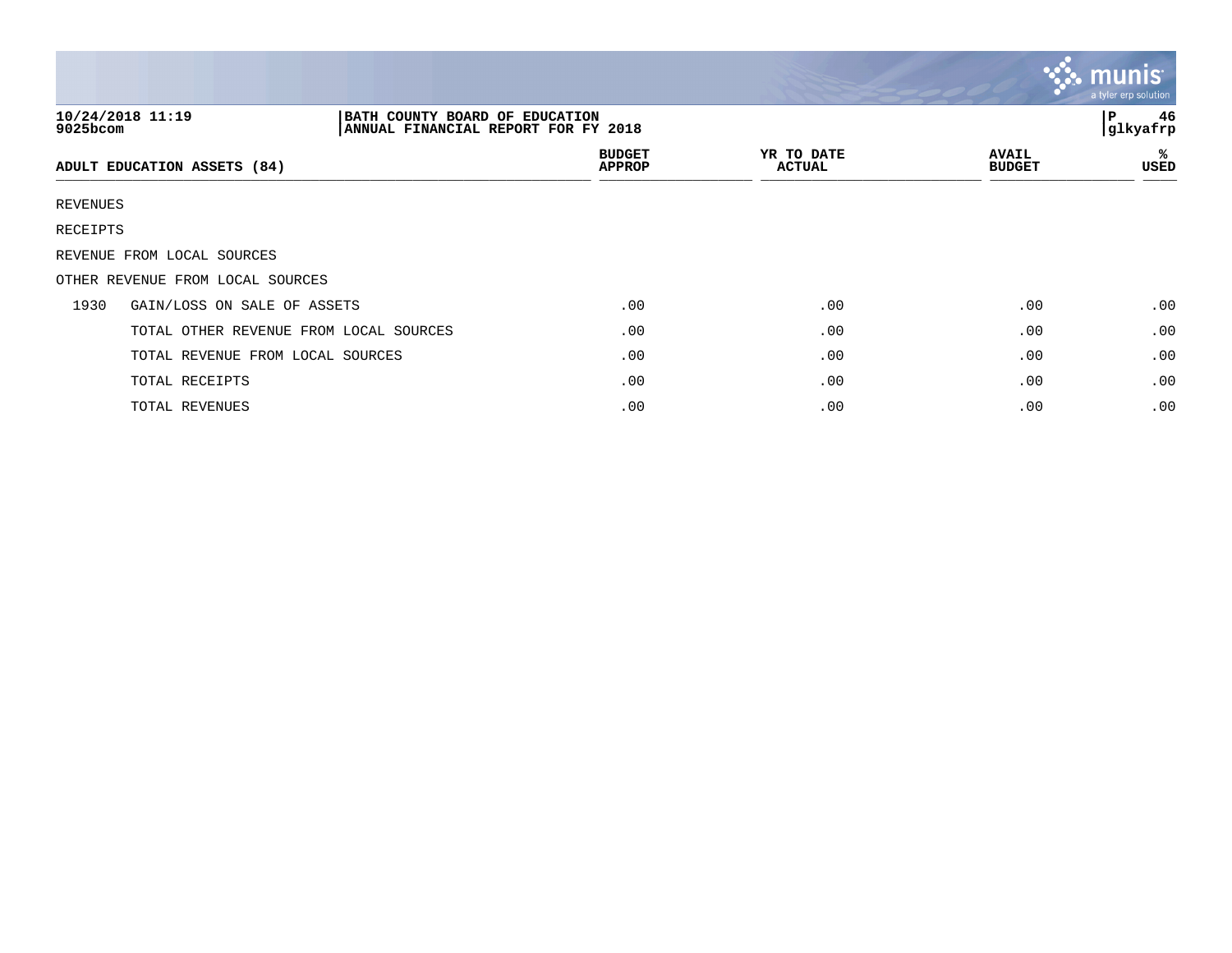|             |                                                                                           |                                |                             |                               | <b>SS. MUNIS</b><br>a tyler erp solution |
|-------------|-------------------------------------------------------------------------------------------|--------------------------------|-----------------------------|-------------------------------|------------------------------------------|
| $9025$ bcom | 10/24/2018 11:19<br>BATH COUNTY BOARD OF EDUCATION<br>ANNUAL FINANCIAL REPORT FOR FY 2018 |                                |                             |                               | 46<br>l P<br>glkyafrp                    |
|             | ADULT EDUCATION ASSETS (84)                                                               | <b>BUDGET</b><br><b>APPROP</b> | YR TO DATE<br><b>ACTUAL</b> | <b>AVAIL</b><br><b>BUDGET</b> | ℁<br>USED                                |
| REVENUES    |                                                                                           |                                |                             |                               |                                          |
| RECEIPTS    |                                                                                           |                                |                             |                               |                                          |
|             | REVENUE FROM LOCAL SOURCES                                                                |                                |                             |                               |                                          |
|             | OTHER REVENUE FROM LOCAL SOURCES                                                          |                                |                             |                               |                                          |
| 1930        | GAIN/LOSS ON SALE OF ASSETS                                                               | .00                            | .00                         | .00                           | .00                                      |
|             | TOTAL OTHER REVENUE FROM LOCAL SOURCES                                                    | .00                            | .00                         | .00                           | .00                                      |
|             | TOTAL REVENUE FROM LOCAL SOURCES                                                          | .00                            | .00                         | .00                           | .00                                      |
|             | TOTAL RECEIPTS                                                                            | .00                            | .00                         | .00                           | .00                                      |
|             | TOTAL REVENUES                                                                            | .00                            | .00                         | .00                           | .00                                      |

 $\sim$   $\sim$   $\sim$   $\sim$   $\sim$   $\sim$   $\sim$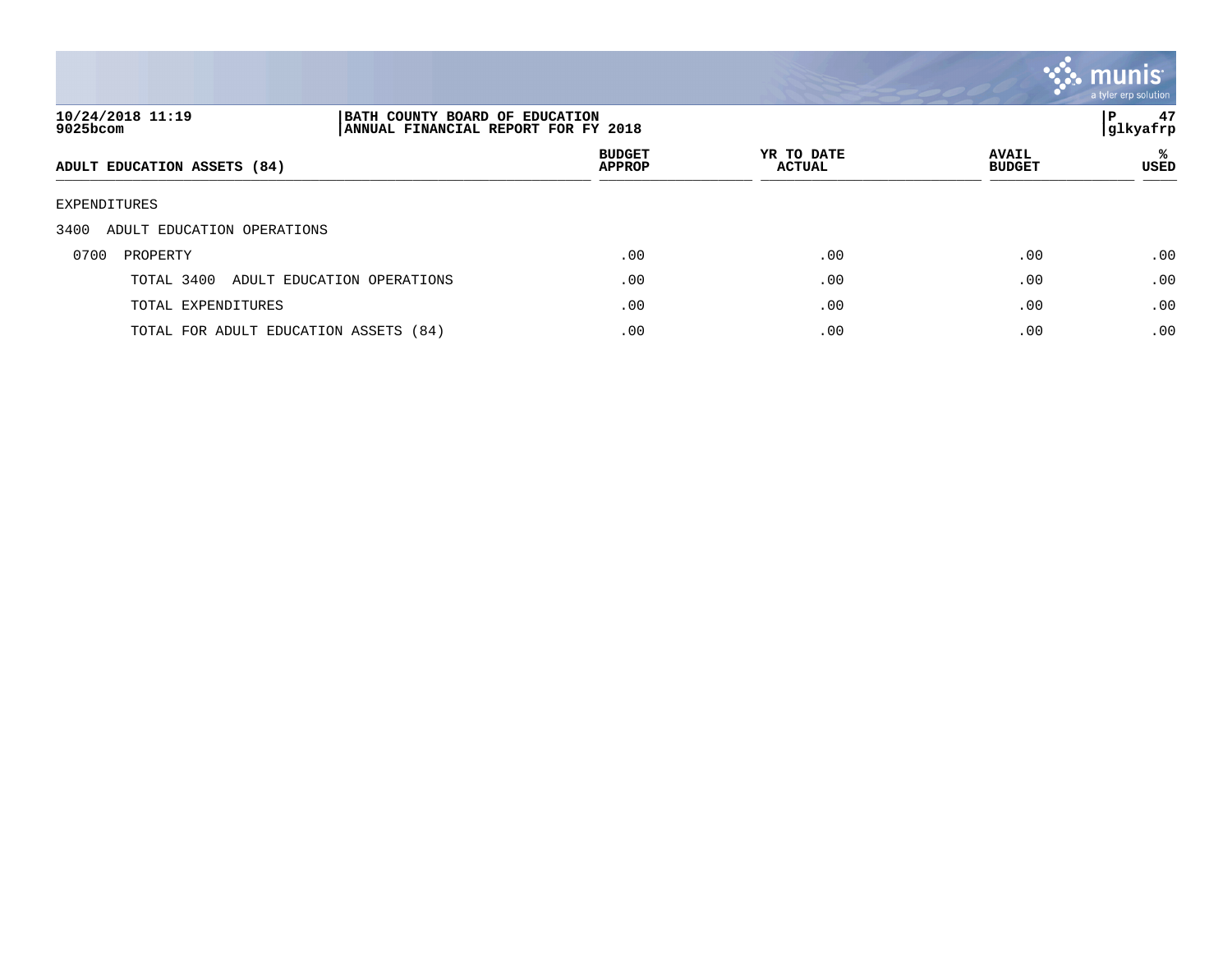

| 10/24/2018 11:19<br>9025bcom          | BATH COUNTY BOARD OF EDUCATION<br>ANNUAL FINANCIAL REPORT FOR FY 2018 |                                |                             |                               | 47<br>P<br> glkyafrp |
|---------------------------------------|-----------------------------------------------------------------------|--------------------------------|-----------------------------|-------------------------------|----------------------|
| ADULT EDUCATION ASSETS (84)           |                                                                       | <b>BUDGET</b><br><b>APPROP</b> | YR TO DATE<br><b>ACTUAL</b> | <b>AVAIL</b><br><b>BUDGET</b> | ℁<br>USED            |
| EXPENDITURES                          |                                                                       |                                |                             |                               |                      |
| 3400<br>ADULT EDUCATION OPERATIONS    |                                                                       |                                |                             |                               |                      |
| 0700<br>PROPERTY                      |                                                                       | .00                            | .00                         | .00                           | .00                  |
| TOTAL 3400                            | ADULT EDUCATION OPERATIONS                                            | .00                            | .00                         | .00                           | .00                  |
| TOTAL EXPENDITURES                    |                                                                       | .00                            | .00                         | .00                           | .00                  |
| TOTAL FOR ADULT EDUCATION ASSETS (84) |                                                                       | .00                            | .00                         | .00                           | .00                  |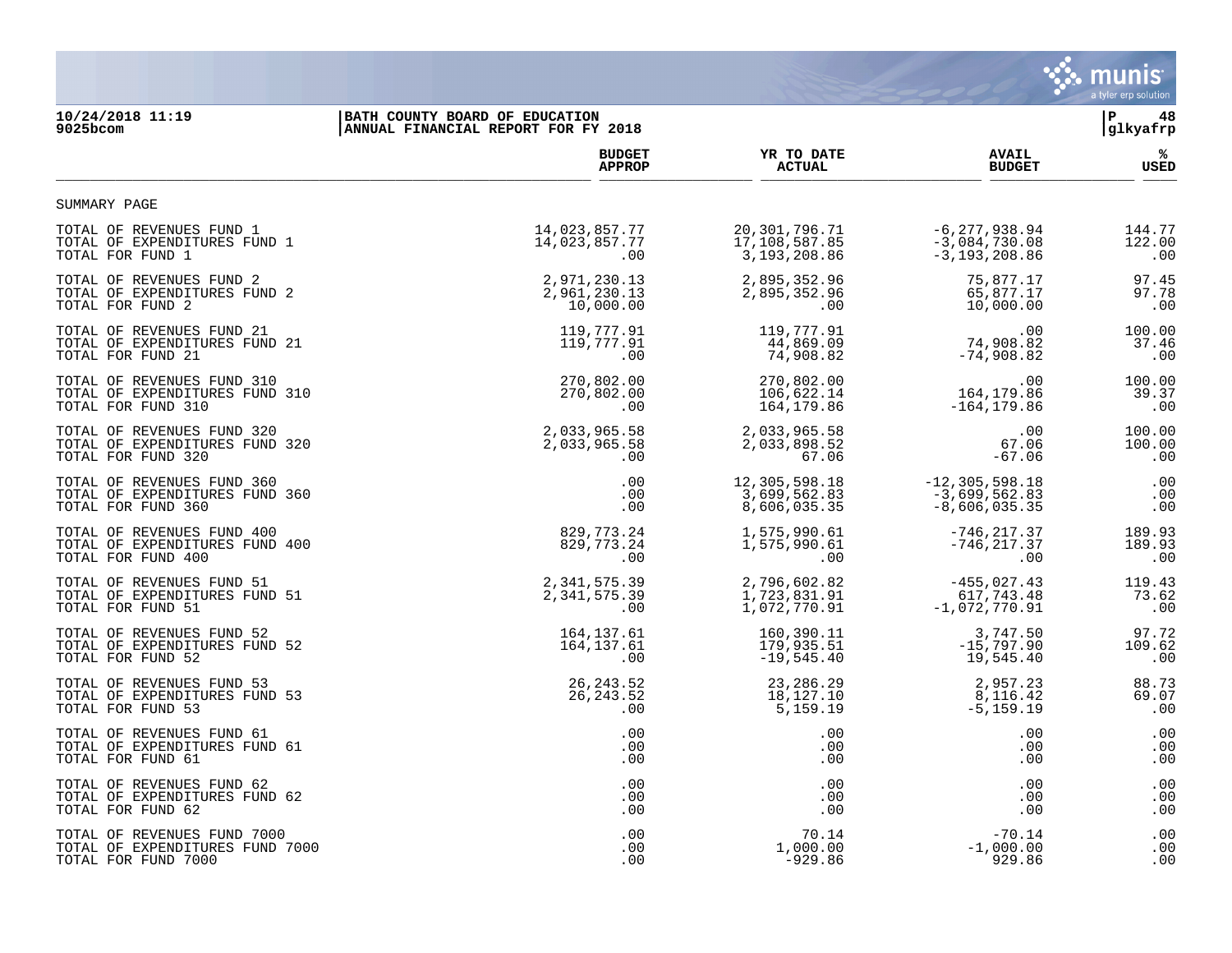

## **10/24/2018 11:19 |BATH COUNTY BOARD OF EDUCATION |P 48 9025bcom |ANNUAL FINANCIAL REPORT FOR FY 2018 |glkyafrp**

|                                 | <b>BUDGET</b> | YR TO DATE     | <b>AVAIL</b>       | ℁           |
|---------------------------------|---------------|----------------|--------------------|-------------|
|                                 | <b>APPROP</b> | <b>ACTUAL</b>  | <b>BUDGET</b>      | <b>USED</b> |
| SUMMARY PAGE                    |               |                |                    |             |
| TOTAL OF REVENUES FUND 1        | 14,023,857.77 | 20,301,796.71  | $-6, 277, 938.94$  | 144.77      |
| TOTAL OF EXPENDITURES FUND 1    | 14,023,857.77 | 17,108,587.85  | $-3,084,730.08$    | 122.00      |
| TOTAL FOR FUND 1                | .00           | 3, 193, 208.86 | $-3, 193, 208.86$  | .00         |
| TOTAL OF REVENUES FUND 2        | 2,971,230.13  | 2,895,352.96   | 75,877.17          | 97.45       |
| TOTAL OF EXPENDITURES FUND 2    | 2,961,230.13  | 2,895,352.96   | 65,877.17          | 97.78       |
| TOTAL FOR FUND 2                | 10,000.00     | $.00 \,$       | 10,000.00          | .00         |
| TOTAL OF REVENUES FUND 21       | 119,777.91    | 119,777.91     | .00                | 100.00      |
| TOTAL OF EXPENDITURES FUND 21   | 119,777.91    | 44,869.09      | 74,908.82          | 37.46       |
| TOTAL FOR FUND 21               | .00           | 74,908.82      | $-74,908.82$       | .00         |
| TOTAL OF REVENUES FUND 310      | 270,802.00    | 270,802.00     | .00                | 100.00      |
| TOTAL OF EXPENDITURES FUND 310  | 270,802.00    | 106,622.14     | 164, 179.86        | 39.37       |
| TOTAL FOR FUND 310              | $.00 \,$      | 164,179.86     | $-164, 179.86$     | .00         |
| TOTAL OF REVENUES FUND 320      | 2,033,965.58  | 2,033,965.58   | .00                | 100.00      |
| TOTAL OF EXPENDITURES FUND 320  | 2,033,965.58  | 2,033,898.52   | 67.06              | 100.00      |
| TOTAL FOR FUND 320              | .00           | 67.06          | $-67.06$           | .00         |
| TOTAL OF REVENUES FUND 360      | .00           | 12,305,598.18  | $-12, 305, 598.18$ | .00         |
| TOTAL OF EXPENDITURES FUND 360  | .00           | 3,699,562.83   | $-3,699,562.83$    | .00         |
| TOTAL FOR FUND 360              | .00           | 8,606,035.35   | $-8,606,035.35$    | .00         |
| TOTAL OF REVENUES FUND 400      | 829,773.24    | 1,575,990.61   | $-746, 217.37$     | 189.93      |
| TOTAL OF EXPENDITURES FUND 400  | 829, 773. 24  | 1,575,990.61   | $-746, 217.37$     | 189.93      |
| TOTAL FOR FUND 400              | .00           | .00            | .00                | .00         |
| TOTAL OF REVENUES FUND 51       | 2,341,575.39  | 2,796,602.82   | $-455,027.43$      | 119.43      |
| TOTAL OF EXPENDITURES FUND 51   | 2,341,575.39  | 1,723,831.91   | 617,743.48         | 73.62       |
| TOTAL FOR FUND 51               | .00           | 1,072,770.91   | $-1,072,770.91$    | .00         |
| TOTAL OF REVENUES FUND 52       | 164,137.61    | 160,390.11     | 3,747.50           | 97.72       |
| TOTAL OF EXPENDITURES FUND 52   | 164, 137.61   | 179,935.51     | $-15,797.90$       | 109.62      |
| TOTAL FOR FUND 52               | .00           | $-19,545.40$   | 19,545.40          | .00         |
| TOTAL OF REVENUES FUND 53       | 26, 243.52    | 23, 286. 29    | 2,957.23           | 88.73       |
| TOTAL OF EXPENDITURES FUND 53   | 26, 243.52    | 18,127.10      | 8,116.42           | 69.07       |
| TOTAL FOR FUND 53               | .00           | 5,159.19       | $-5, 159.19$       | .00         |
| TOTAL OF REVENUES FUND 61       | .00           | .00            | .00                | .00         |
| TOTAL OF EXPENDITURES FUND 61   | .00           | .00            | .00                | .00         |
| TOTAL FOR FUND 61               | .00           | .00            | .00                | .00         |
| TOTAL OF REVENUES FUND 62       | .00           | .00            | .00                | .00         |
| TOTAL OF EXPENDITURES FUND 62   | .00           | .00            | .00                | .00         |
| TOTAL FOR FUND 62               | .00           | .00            | .00                | .00         |
| TOTAL OF REVENUES FUND 7000     | .00           | 70.14          | $-70.14$           | .00         |
| TOTAL OF EXPENDITURES FUND 7000 | .00           | 1,000.00       | $-1,000.00$        | .00         |
| TOTAL FOR FUND 7000             | .00           | $-929.86$      | 929.86             | .00         |